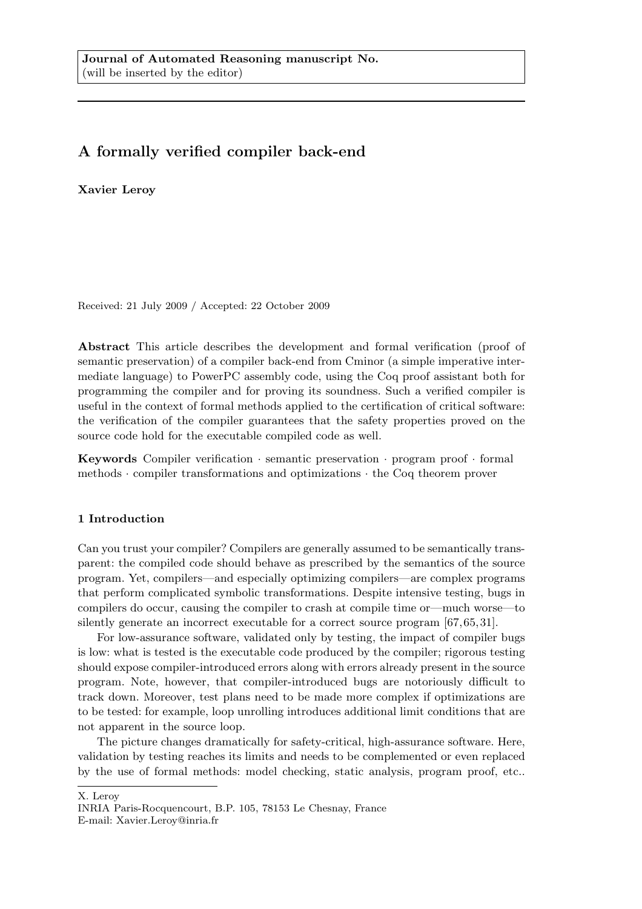# A formally verified compiler back-end

Xavier Leroy

Received: 21 July 2009 / Accepted: 22 October 2009

Abstract This article describes the development and formal verification (proof of semantic preservation) of a compiler back-end from Cminor (a simple imperative intermediate language) to PowerPC assembly code, using the Coq proof assistant both for programming the compiler and for proving its soundness. Such a verified compiler is useful in the context of formal methods applied to the certification of critical software: the verification of the compiler guarantees that the safety properties proved on the source code hold for the executable compiled code as well.

Keywords Compiler verification · semantic preservation · program proof · formal methods · compiler transformations and optimizations · the Coq theorem prover

# 1 Introduction

Can you trust your compiler? Compilers are generally assumed to be semantically transparent: the compiled code should behave as prescribed by the semantics of the source program. Yet, compilers—and especially optimizing compilers—are complex programs that perform complicated symbolic transformations. Despite intensive testing, bugs in compilers do occur, causing the compiler to crash at compile time or—much worse—to silently generate an incorrect executable for a correct source program [67, 65,31].

For low-assurance software, validated only by testing, the impact of compiler bugs is low: what is tested is the executable code produced by the compiler; rigorous testing should expose compiler-introduced errors along with errors already present in the source program. Note, however, that compiler-introduced bugs are notoriously difficult to track down. Moreover, test plans need to be made more complex if optimizations are to be tested: for example, loop unrolling introduces additional limit conditions that are not apparent in the source loop.

The picture changes dramatically for safety-critical, high-assurance software. Here, validation by testing reaches its limits and needs to be complemented or even replaced by the use of formal methods: model checking, static analysis, program proof, etc..

X. Leroy

E-mail: Xavier.Leroy@inria.fr

INRIA Paris-Rocquencourt, B.P. 105, 78153 Le Chesnay, France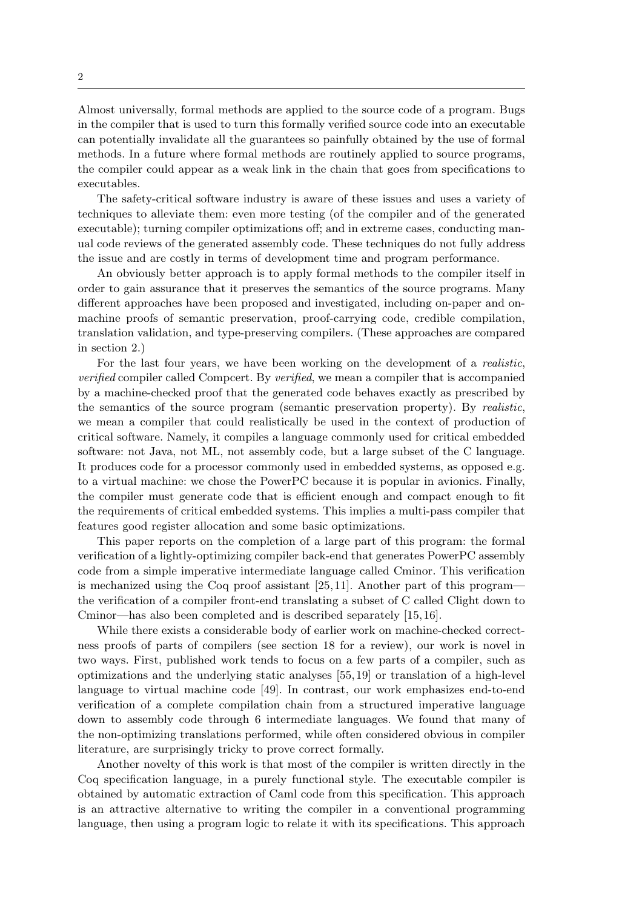Almost universally, formal methods are applied to the source code of a program. Bugs in the compiler that is used to turn this formally verified source code into an executable can potentially invalidate all the guarantees so painfully obtained by the use of formal methods. In a future where formal methods are routinely applied to source programs, the compiler could appear as a weak link in the chain that goes from specifications to executables.

The safety-critical software industry is aware of these issues and uses a variety of techniques to alleviate them: even more testing (of the compiler and of the generated executable); turning compiler optimizations off; and in extreme cases, conducting manual code reviews of the generated assembly code. These techniques do not fully address the issue and are costly in terms of development time and program performance.

An obviously better approach is to apply formal methods to the compiler itself in order to gain assurance that it preserves the semantics of the source programs. Many different approaches have been proposed and investigated, including on-paper and onmachine proofs of semantic preservation, proof-carrying code, credible compilation, translation validation, and type-preserving compilers. (These approaches are compared in section 2.)

For the last four years, we have been working on the development of a *realistic*, verified compiler called Compcert. By verified, we mean a compiler that is accompanied by a machine-checked proof that the generated code behaves exactly as prescribed by the semantics of the source program (semantic preservation property). By realistic, we mean a compiler that could realistically be used in the context of production of critical software. Namely, it compiles a language commonly used for critical embedded software: not Java, not ML, not assembly code, but a large subset of the C language. It produces code for a processor commonly used in embedded systems, as opposed e.g. to a virtual machine: we chose the PowerPC because it is popular in avionics. Finally, the compiler must generate code that is efficient enough and compact enough to fit the requirements of critical embedded systems. This implies a multi-pass compiler that features good register allocation and some basic optimizations.

This paper reports on the completion of a large part of this program: the formal verification of a lightly-optimizing compiler back-end that generates PowerPC assembly code from a simple imperative intermediate language called Cminor. This verification is mechanized using the Coq proof assistant [25, 11]. Another part of this program the verification of a compiler front-end translating a subset of C called Clight down to Cminor—has also been completed and is described separately [15, 16].

While there exists a considerable body of earlier work on machine-checked correctness proofs of parts of compilers (see section 18 for a review), our work is novel in two ways. First, published work tends to focus on a few parts of a compiler, such as optimizations and the underlying static analyses [55, 19] or translation of a high-level language to virtual machine code [49]. In contrast, our work emphasizes end-to-end verification of a complete compilation chain from a structured imperative language down to assembly code through 6 intermediate languages. We found that many of the non-optimizing translations performed, while often considered obvious in compiler literature, are surprisingly tricky to prove correct formally.

Another novelty of this work is that most of the compiler is written directly in the Coq specification language, in a purely functional style. The executable compiler is obtained by automatic extraction of Caml code from this specification. This approach is an attractive alternative to writing the compiler in a conventional programming language, then using a program logic to relate it with its specifications. This approach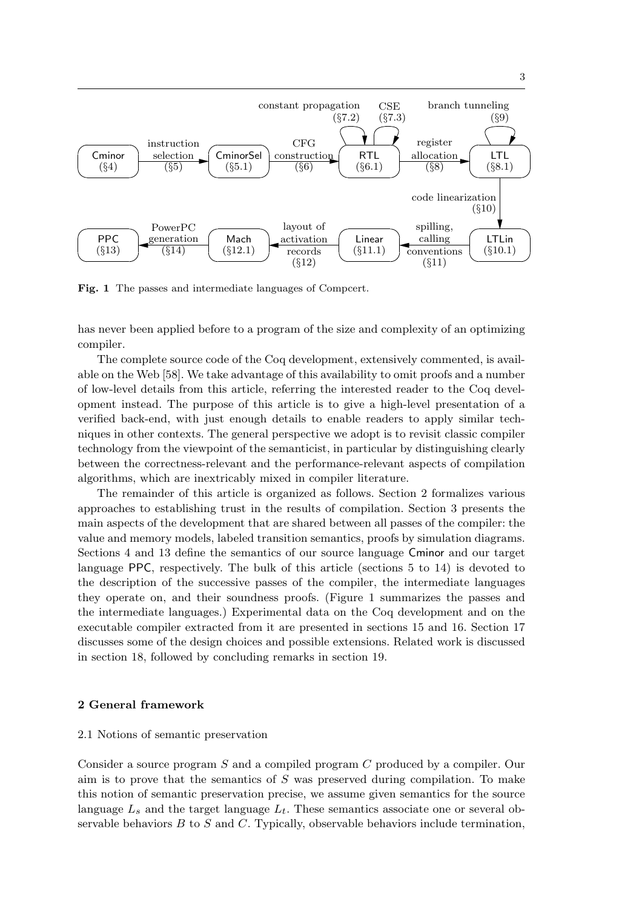

Fig. 1 The passes and intermediate languages of Compcert.

has never been applied before to a program of the size and complexity of an optimizing compiler.

The complete source code of the Coq development, extensively commented, is available on the Web [58]. We take advantage of this availability to omit proofs and a number of low-level details from this article, referring the interested reader to the Coq development instead. The purpose of this article is to give a high-level presentation of a verified back-end, with just enough details to enable readers to apply similar techniques in other contexts. The general perspective we adopt is to revisit classic compiler technology from the viewpoint of the semanticist, in particular by distinguishing clearly between the correctness-relevant and the performance-relevant aspects of compilation algorithms, which are inextricably mixed in compiler literature.

The remainder of this article is organized as follows. Section 2 formalizes various approaches to establishing trust in the results of compilation. Section 3 presents the main aspects of the development that are shared between all passes of the compiler: the value and memory models, labeled transition semantics, proofs by simulation diagrams. Sections 4 and 13 define the semantics of our source language Cminor and our target language PPC, respectively. The bulk of this article (sections 5 to 14) is devoted to the description of the successive passes of the compiler, the intermediate languages they operate on, and their soundness proofs. (Figure 1 summarizes the passes and the intermediate languages.) Experimental data on the Coq development and on the executable compiler extracted from it are presented in sections 15 and 16. Section 17 discusses some of the design choices and possible extensions. Related work is discussed in section 18, followed by concluding remarks in section 19.

## 2 General framework

#### 2.1 Notions of semantic preservation

Consider a source program S and a compiled program C produced by a compiler. Our aim is to prove that the semantics of S was preserved during compilation. To make this notion of semantic preservation precise, we assume given semantics for the source language  $L_s$  and the target language  $L_t$ . These semantics associate one or several observable behaviors  $B$  to  $S$  and  $C$ . Typically, observable behaviors include termination,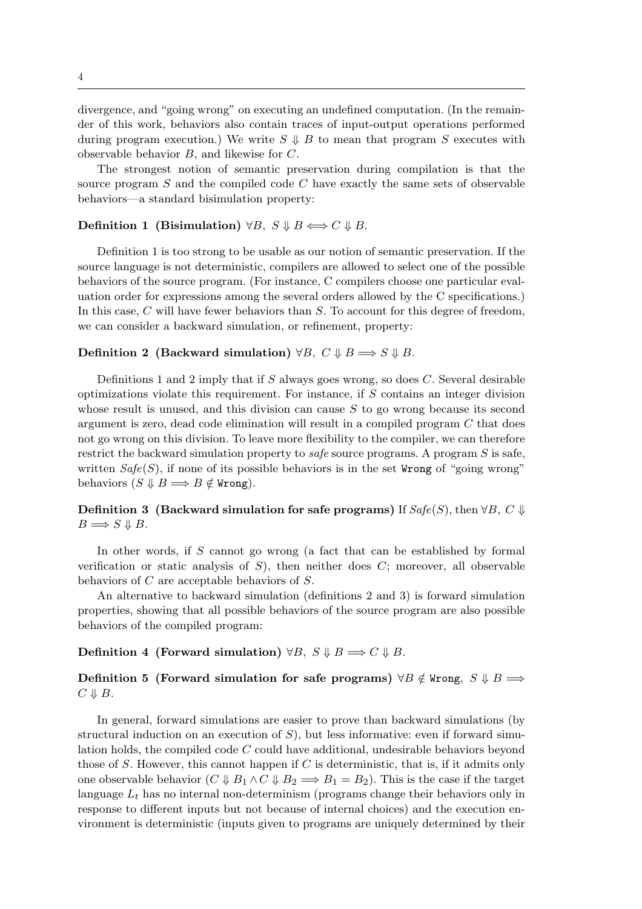divergence, and "going wrong" on executing an undefined computation. (In the remainder of this work, behaviors also contain traces of input-output operations performed during program execution.) We write  $S \downarrow B$  to mean that program S executes with observable behavior B, and likewise for C.

The strongest notion of semantic preservation during compilation is that the source program S and the compiled code C have exactly the same sets of observable behaviors—a standard bisimulation property:

## Definition 1 (Bisimulation)  $\forall B, S \Downarrow B \Longleftrightarrow C \Downarrow B$ .

Definition 1 is too strong to be usable as our notion of semantic preservation. If the source language is not deterministic, compilers are allowed to select one of the possible behaviors of the source program. (For instance, C compilers choose one particular evaluation order for expressions among the several orders allowed by the C specifications.) In this case, C will have fewer behaviors than S. To account for this degree of freedom, we can consider a backward simulation, or refinement, property:

# Definition 2 (Backward simulation)  $\forall B, C \Downarrow B \Longrightarrow S \Downarrow B$ .

Definitions 1 and 2 imply that if  $S$  always goes wrong, so does  $C$ . Several desirable optimizations violate this requirement. For instance, if S contains an integer division whose result is unused, and this division can cause  $S$  to go wrong because its second argument is zero, dead code elimination will result in a compiled program  $C$  that does not go wrong on this division. To leave more flexibility to the compiler, we can therefore restrict the backward simulation property to safe source programs. A program  $S$  is safe, written  $Safe(S)$ , if none of its possible behaviors is in the set Wrong of "going wrong" behaviors  $(S \Downarrow B \Longrightarrow B \notin$  Wrong).

# Definition 3 (Backward simulation for safe programs) If  $Safe(S)$ , then  $\forall B, C \Downarrow$  $B \Longrightarrow S \Downarrow B$ .

In other words, if S cannot go wrong (a fact that can be established by formal verification or static analysis of  $S$ ), then neither does  $C$ ; moreover, all observable behaviors of C are acceptable behaviors of S.

An alternative to backward simulation (definitions 2 and 3) is forward simulation properties, showing that all possible behaviors of the source program are also possible behaviors of the compiled program:

# Definition 4 (Forward simulation)  $\forall B, S \Downarrow B \Longrightarrow C \Downarrow B$ .

Definition 5 (Forward simulation for safe programs)  $\forall B \notin$  Wrong,  $S \Downarrow B \Longrightarrow$  $C \Downarrow B$ .

In general, forward simulations are easier to prove than backward simulations (by structural induction on an execution of  $S$ ), but less informative: even if forward simulation holds, the compiled code C could have additional, undesirable behaviors beyond those of  $S$ . However, this cannot happen if  $C$  is deterministic, that is, if it admits only one observable behavior  $(C \Downarrow B_1 \wedge C \Downarrow B_2 \Longrightarrow B_1 = B_2$ . This is the case if the target language  $L_t$  has no internal non-determinism (programs change their behaviors only in response to different inputs but not because of internal choices) and the execution environment is deterministic (inputs given to programs are uniquely determined by their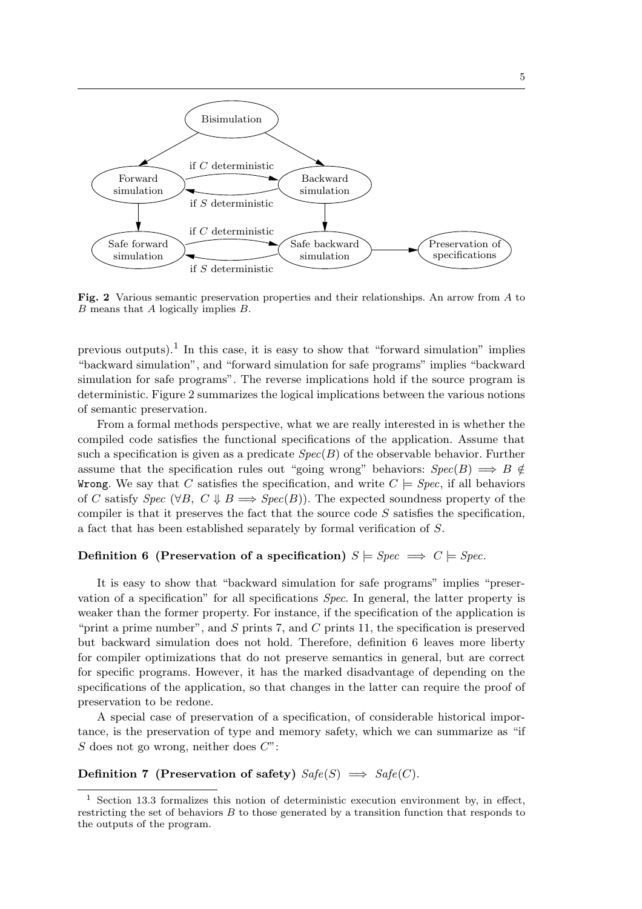

Fig. 2 Various semantic preservation properties and their relationships. An arrow from A to B means that A logically implies B.

previous outputs).<sup>1</sup> In this case, it is easy to show that "forward simulation" implies "backward simulation", and "forward simulation for safe programs" implies "backward simulation for safe programs". The reverse implications hold if the source program is deterministic. Figure 2 summarizes the logical implications between the various notions of semantic preservation.

From a formal methods perspective, what we are really interested in is whether the compiled code satisfies the functional specifications of the application. Assume that such a specification is given as a predicate  $Spec(B)$  of the observable behavior. Further assume that the specification rules out "going wrong" behaviors:  $Spec(B) \implies B \notin$ Wrong. We say that C satisfies the specification, and write  $C \models Spec$ , if all behaviors of C satisfy Spec ( $\forall B, C \Downarrow B \Longrightarrow Spec(B)$ ). The expected soundness property of the compiler is that it preserves the fact that the source code  $S$  satisfies the specification, a fact that has been established separately by formal verification of S.

# Definition 6 (Preservation of a specification)  $S \models Spec \implies C \models Spec.$

It is easy to show that "backward simulation for safe programs" implies "preservation of a specification" for all specifications Spec. In general, the latter property is weaker than the former property. For instance, if the specification of the application is "print a prime number", and  $S$  prints 7, and  $C$  prints 11, the specification is preserved but backward simulation does not hold. Therefore, definition 6 leaves more liberty for compiler optimizations that do not preserve semantics in general, but are correct for specific programs. However, it has the marked disadvantage of depending on the specifications of the application, so that changes in the latter can require the proof of preservation to be redone.

A special case of preservation of a specification, of considerable historical importance, is the preservation of type and memory safety, which we can summarize as "if S does not go wrong, neither does  $C$ ":

# Definition 7 (Preservation of safety)  $Safe(S) \implies Safe(C)$ .

Section 13.3 formalizes this notion of deterministic execution environment by, in effect, restricting the set of behaviors  $B$  to those generated by a transition function that responds to the outputs of the program.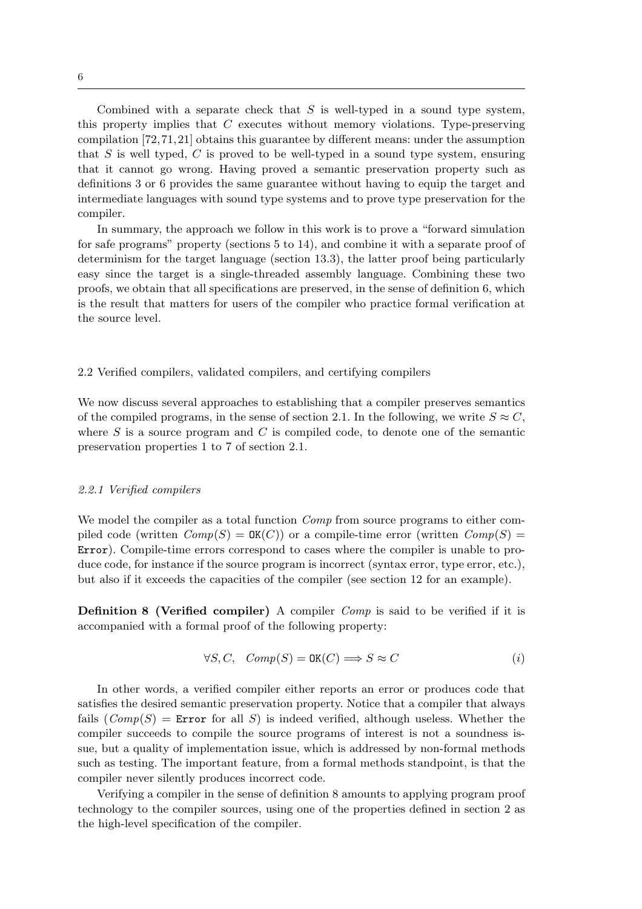Combined with a separate check that  $S$  is well-typed in a sound type system, this property implies that C executes without memory violations. Type-preserving compilation [72, 71, 21] obtains this guarantee by different means: under the assumption that  $S$  is well typed,  $C$  is proved to be well-typed in a sound type system, ensuring that it cannot go wrong. Having proved a semantic preservation property such as definitions 3 or 6 provides the same guarantee without having to equip the target and intermediate languages with sound type systems and to prove type preservation for the compiler.

In summary, the approach we follow in this work is to prove a "forward simulation for safe programs" property (sections 5 to 14), and combine it with a separate proof of determinism for the target language (section 13.3), the latter proof being particularly easy since the target is a single-threaded assembly language. Combining these two proofs, we obtain that all specifications are preserved, in the sense of definition 6, which is the result that matters for users of the compiler who practice formal verification at the source level.

2.2 Verified compilers, validated compilers, and certifying compilers

We now discuss several approaches to establishing that a compiler preserves semantics of the compiled programs, in the sense of section 2.1. In the following, we write  $S \approx C$ , where  $S$  is a source program and  $C$  is compiled code, to denote one of the semantic preservation properties 1 to 7 of section 2.1.

#### 2.2.1 Verified compilers

We model the compiler as a total function *Comp* from source programs to either compiled code (written  $Comp(S) = OK(C)$ ) or a compile-time error (written  $Comp(S) =$ Error). Compile-time errors correspond to cases where the compiler is unable to produce code, for instance if the source program is incorrect (syntax error, type error, etc.), but also if it exceeds the capacities of the compiler (see section 12 for an example).

Definition 8 (Verified compiler) A compiler Comp is said to be verified if it is accompanied with a formal proof of the following property:

$$
\forall S, C, \quad Comp(S) = \text{OK}(C) \Longrightarrow S \approx C \tag{i}
$$

In other words, a verified compiler either reports an error or produces code that satisfies the desired semantic preservation property. Notice that a compiler that always fails  $(Comp(S) = Error for all S)$  is indeed verified, although useless. Whether the compiler succeeds to compile the source programs of interest is not a soundness issue, but a quality of implementation issue, which is addressed by non-formal methods such as testing. The important feature, from a formal methods standpoint, is that the compiler never silently produces incorrect code.

Verifying a compiler in the sense of definition 8 amounts to applying program proof technology to the compiler sources, using one of the properties defined in section 2 as the high-level specification of the compiler.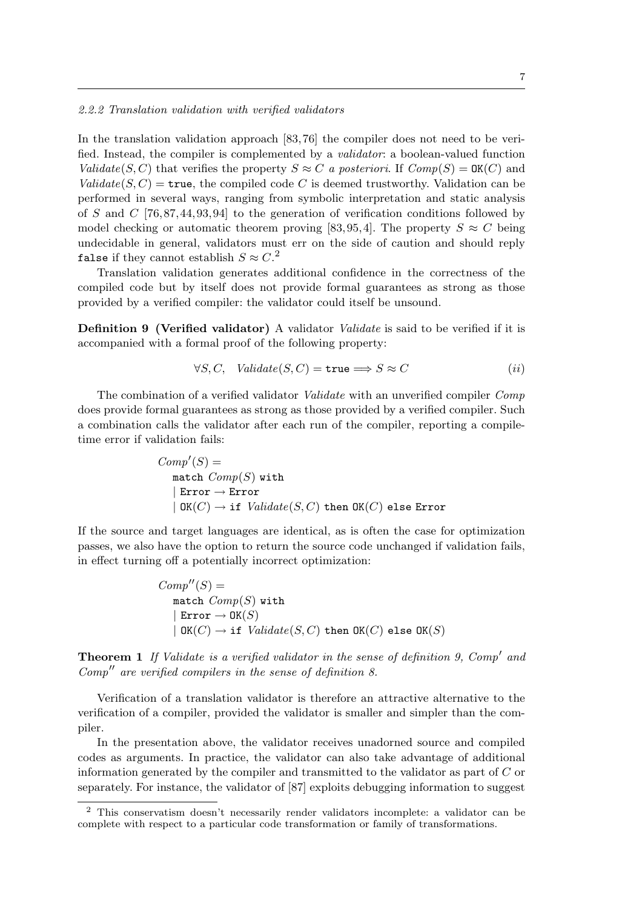#### 2.2.2 Translation validation with verified validators

In the translation validation approach [83, 76] the compiler does not need to be verified. Instead, the compiler is complemented by a validator: a boolean-valued function Validate(S, C) that verifies the property  $S \approx C$  a posteriori. If  $Comp(S) = OK(C)$  and Validate(S, C) = true, the compiled code C is deemed trustworthy. Validation can be performed in several ways, ranging from symbolic interpretation and static analysis of S and C  $[76, 87, 44, 93, 94]$  to the generation of verification conditions followed by model checking or automatic theorem proving [83, 95, 4]. The property  $S \approx C$  being undecidable in general, validators must err on the side of caution and should reply false if they cannot establish  $S \approx C<sup>2</sup>$ 

Translation validation generates additional confidence in the correctness of the compiled code but by itself does not provide formal guarantees as strong as those provided by a verified compiler: the validator could itself be unsound.

Definition 9 (Verified validator) A validator Validate is said to be verified if it is accompanied with a formal proof of the following property:

$$
\forall S, C, \; \; \textit{Validate}(S, C) = \text{true} \Longrightarrow S \approx C \tag{ii}
$$

The combination of a verified validator Validate with an unverified compiler Comp does provide formal guarantees as strong as those provided by a verified compiler. Such a combination calls the validator after each run of the compiler, reporting a compiletime error if validation fails:

$$
Comp'(S) =
$$
\n
$$
\begin{array}{l}\n\texttt{match } Comp(S) \text{ with} \\
\mid \texttt{Error} \rightarrow \texttt{Error} \\
\mid \texttt{OK}(C) \rightarrow \texttt{if } \textit{Validate}(S, C) \text{ then } \texttt{OK}(C) \text{ else Error}\n\end{array}
$$

If the source and target languages are identical, as is often the case for optimization passes, we also have the option to return the source code unchanged if validation fails, in effect turning off a potentially incorrect optimization:

$$
Comp''(S) =
$$
\n
$$
\begin{array}{l}\n\texttt{match} \text{ } Comp(S) \text{ with} \\
\mid \texttt{Error} \rightarrow \texttt{OK}(S) \\
\mid \texttt{OK}(C) \rightarrow \texttt{if} \text{ } Validate(S, C) \text{ then } \texttt{OK}(C) \text{ else } \texttt{OK}(S)\n\end{array}
$$

**Theorem 1** If Validate is a verified validator in the sense of definition 9,  $Comp'$  and  $Comp''$  are verified compilers in the sense of definition 8.

Verification of a translation validator is therefore an attractive alternative to the verification of a compiler, provided the validator is smaller and simpler than the compiler.

In the presentation above, the validator receives unadorned source and compiled codes as arguments. In practice, the validator can also take advantage of additional information generated by the compiler and transmitted to the validator as part of C or separately. For instance, the validator of [87] exploits debugging information to suggest

<sup>2</sup> This conservatism doesn't necessarily render validators incomplete: a validator can be complete with respect to a particular code transformation or family of transformations.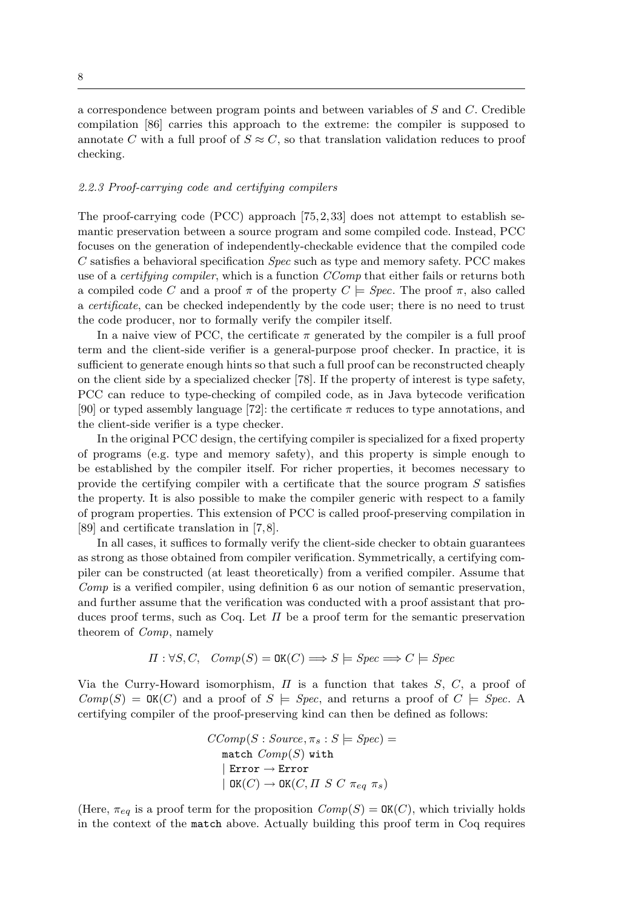a correspondence between program points and between variables of S and C. Credible compilation [86] carries this approach to the extreme: the compiler is supposed to annotate C with a full proof of  $S \approx C$ , so that translation validation reduces to proof checking.

#### 2.2.3 Proof-carrying code and certifying compilers

The proof-carrying code (PCC) approach [75, 2, 33] does not attempt to establish semantic preservation between a source program and some compiled code. Instead, PCC focuses on the generation of independently-checkable evidence that the compiled code C satisfies a behavioral specification Spec such as type and memory safety. PCC makes use of a *certifying compiler*, which is a function *CComp* that either fails or returns both a compiled code C and a proof  $\pi$  of the property  $C \models Spec$ . The proof  $\pi$ , also called a certificate, can be checked independently by the code user; there is no need to trust the code producer, nor to formally verify the compiler itself.

In a naive view of PCC, the certificate  $\pi$  generated by the compiler is a full proof term and the client-side verifier is a general-purpose proof checker. In practice, it is sufficient to generate enough hints so that such a full proof can be reconstructed cheaply on the client side by a specialized checker [78]. If the property of interest is type safety, PCC can reduce to type-checking of compiled code, as in Java bytecode verification [90] or typed assembly language [72]: the certificate  $\pi$  reduces to type annotations, and the client-side verifier is a type checker.

In the original PCC design, the certifying compiler is specialized for a fixed property of programs (e.g. type and memory safety), and this property is simple enough to be established by the compiler itself. For richer properties, it becomes necessary to provide the certifying compiler with a certificate that the source program S satisfies the property. It is also possible to make the compiler generic with respect to a family of program properties. This extension of PCC is called proof-preserving compilation in [89] and certificate translation in [7, 8].

In all cases, it suffices to formally verify the client-side checker to obtain guarantees as strong as those obtained from compiler verification. Symmetrically, a certifying compiler can be constructed (at least theoretically) from a verified compiler. Assume that Comp is a verified compiler, using definition 6 as our notion of semantic preservation, and further assume that the verification was conducted with a proof assistant that produces proof terms, such as Coq. Let  $\Pi$  be a proof term for the semantic preservation theorem of Comp, namely

$$
\Pi: \forall S, C, \quad Comp(S) = \text{OK}(C) \Longrightarrow S \models Spec \Longrightarrow C \models Spec
$$

Via the Curry-Howard isomorphism,  $\Pi$  is a function that takes  $S, C$ , a proof of  $Comp(S) = OK(C)$  and a proof of  $S = Spec$ , and returns a proof of  $C = Spec$ . A certifying compiler of the proof-preserving kind can then be defined as follows:

$$
CComp(S: Source, \pi_s : S \models Spec) =
$$
\n
$$
\begin{array}{c}\n\text{match } Comp(S) \text{ with} \\
\mid \text{Error } \rightarrow \text{Error} \\
0\text{K}(C) \rightarrow 0\text{K}(C, \Pi \ S \ C \ \pi_{eq} \ \pi_s)\n\end{array}
$$

(Here,  $\pi_{eq}$  is a proof term for the proposition  $Comp(S) = OK(C)$ , which trivially holds in the context of the match above. Actually building this proof term in Coq requires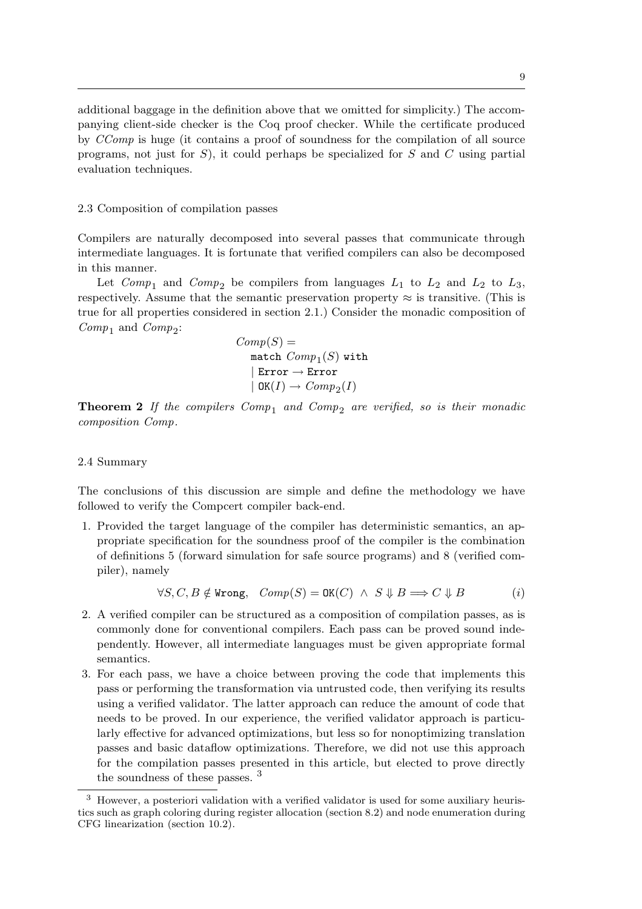additional baggage in the definition above that we omitted for simplicity.) The accompanying client-side checker is the Coq proof checker. While the certificate produced by CComp is huge (it contains a proof of soundness for the compilation of all source programs, not just for  $S$ ), it could perhaps be specialized for  $S$  and  $C$  using partial evaluation techniques.

2.3 Composition of compilation passes

Compilers are naturally decomposed into several passes that communicate through intermediate languages. It is fortunate that verified compilers can also be decomposed in this manner.

Let  $Comp_1$  and  $Comp_2$  be compilers from languages  $L_1$  to  $L_2$  and  $L_2$  to  $L_3$ , respectively. Assume that the semantic preservation property  $\approx$  is transitive. (This is true for all properties considered in section 2.1.) Consider the monadic composition of  $Comp_1$  and  $Comp_2\colon$ 

$$
Comp(S) = \text{match } Comp_1(S) \text{ with } \\ |\text{ Error } \rightarrow \text{Error} \\ |\text{ OK}(I) \rightarrow Comp_2(I)|
$$

**Theorem 2** If the compilers  $Comp_1$  and  $Comp_2$  are verified, so is their monadic composition Comp.

#### 2.4 Summary

The conclusions of this discussion are simple and define the methodology we have followed to verify the Compcert compiler back-end.

1. Provided the target language of the compiler has deterministic semantics, an appropriate specification for the soundness proof of the compiler is the combination of definitions 5 (forward simulation for safe source programs) and 8 (verified compiler), namely

$$
\forall S, C, B \notin \text{Wrong}, \quad Comp(S) = \text{OK}(C) \land S \Downarrow B \Longrightarrow C \Downarrow B \tag{i}
$$

- 2. A verified compiler can be structured as a composition of compilation passes, as is commonly done for conventional compilers. Each pass can be proved sound independently. However, all intermediate languages must be given appropriate formal semantics.
- 3. For each pass, we have a choice between proving the code that implements this pass or performing the transformation via untrusted code, then verifying its results using a verified validator. The latter approach can reduce the amount of code that needs to be proved. In our experience, the verified validator approach is particularly effective for advanced optimizations, but less so for nonoptimizing translation passes and basic dataflow optimizations. Therefore, we did not use this approach for the compilation passes presented in this article, but elected to prove directly the soundness of these passes. <sup>3</sup>

<sup>&</sup>lt;sup>3</sup> However, a posteriori validation with a verified validator is used for some auxiliary heuristics such as graph coloring during register allocation (section 8.2) and node enumeration during CFG linearization (section 10.2).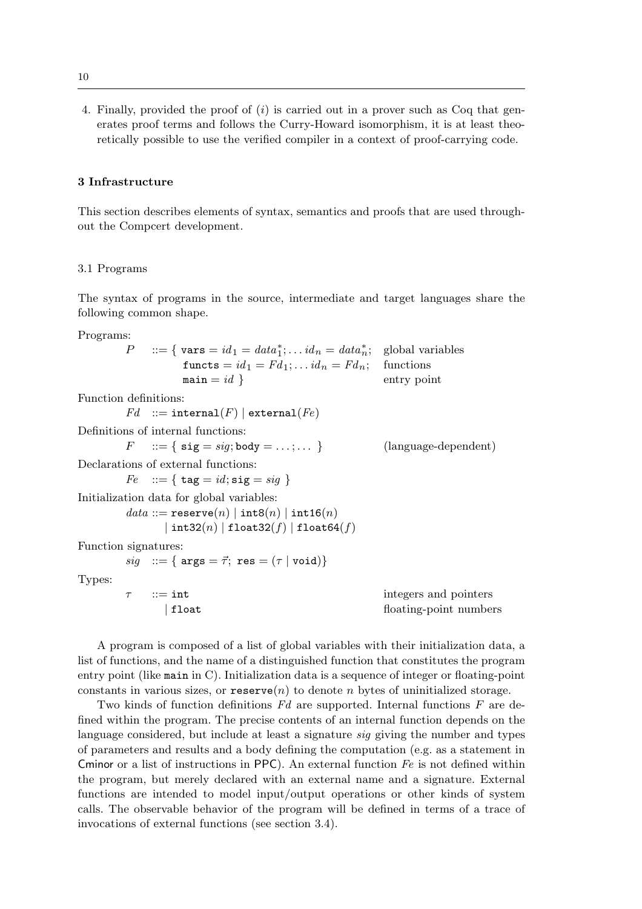4. Finally, provided the proof of  $(i)$  is carried out in a prover such as Coq that generates proof terms and follows the Curry-Howard isomorphism, it is at least theoretically possible to use the verified compiler in a context of proof-carrying code.

# 3 Infrastructure

This section describes elements of syntax, semantics and proofs that are used throughout the Compcert development.

#### 3.1 Programs

The syntax of programs in the source, intermediate and target languages share the following common shape.

Programs:

$$
P \quad ::= \{ \text{vars} = id_1 = data_1^*; \dots id_n = data_n^*; \text{ global variables} \quad \text{functs} = id_1 = Fd_1; \dots id_n = Fd_n; \text{ functions} \quad \text{main} = id \} \quad \text{entry point} \quad \text{Function definitions:} \quad Fd \quad ::= \text{internal}(F) \mid \text{external}(Fe) \quad \text{Definitions of internal functions:} \quad F \quad ::= \{ \text{sig} = sig; \text{body} = \dots; \dots \} \quad \text{(language-dependent)} \quad \text{Declarations of external functions:} \quad \text{Fe} \quad ::= \{ \text{tag} = id; \text{sig} = sig \} \quad \text{Initialization data for global variables:} \quad \text{data} := \text{reserve}(n) \mid \text{int8}(n) \mid \text{int16}(n) \quad \mid \text{int32}(n) \mid \text{float64}(f) \quad \text{Function signatures:} \quad \text{sig} \quad ::= \{ \text{args} = \vec{\tau}; \text{res} = (\tau \mid \text{void}) \} \quad \text{Types:} \quad \tau \quad ::= \text{int} \quad \text{ind} \quad \text{floating-point numbers} \quad \text{floating-point numbers} \quad \text{floating-point numbers} \quad \text{floating-point numbers} \quad \text{floating-point numbers} \quad \text{floating-point numbers} \quad \text{floating-point numbers} \quad \text{floating-point numbers} \quad \text{floating-point numbers} \quad \text{floating-point numbers} \quad \text{final} \quad \text{final} \quad \text{final} \quad \text{final} \quad \text{final} \quad \text{final} \quad \text{final} \quad \text{final} \quad \text{final} \quad \text{final} \quad \text{final} \quad \text{final} \quad \text{final} \quad \text{final} \quad \text{final} \quad \text{final} \quad \text{final} \quad \text{final} \quad \text{final} \quad \text{final} \quad \text{final} \quad \text{final} \quad \text{final} \quad \text{final} \quad \text{final} \quad \text{final} \quad \text{final} \quad \text{final} \quad \text{final} \quad \text{final} \quad \text{final} \quad \text{final} \quad \text{final} \quad \text{final} \quad \text{total} \quad \text{initial} \quad \text{total} \quad \text{total} \quad \text{total} \quad \text{total} \quad \text{total} \quad \text{total} \quad \text{
$$

A program is composed of a list of global variables with their initialization data, a list of functions, and the name of a distinguished function that constitutes the program entry point (like main in C). Initialization data is a sequence of integer or floating-point constants in various sizes, or  $\mathbf{r}$  reserve $(n)$  to denote n bytes of uninitialized storage.

Two kinds of function definitions  $Fd$  are supported. Internal functions  $F$  are defined within the program. The precise contents of an internal function depends on the language considered, but include at least a signature sig giving the number and types of parameters and results and a body defining the computation (e.g. as a statement in Cminor or a list of instructions in PPC). An external function Fe is not defined within the program, but merely declared with an external name and a signature. External functions are intended to model input/output operations or other kinds of system calls. The observable behavior of the program will be defined in terms of a trace of invocations of external functions (see section 3.4).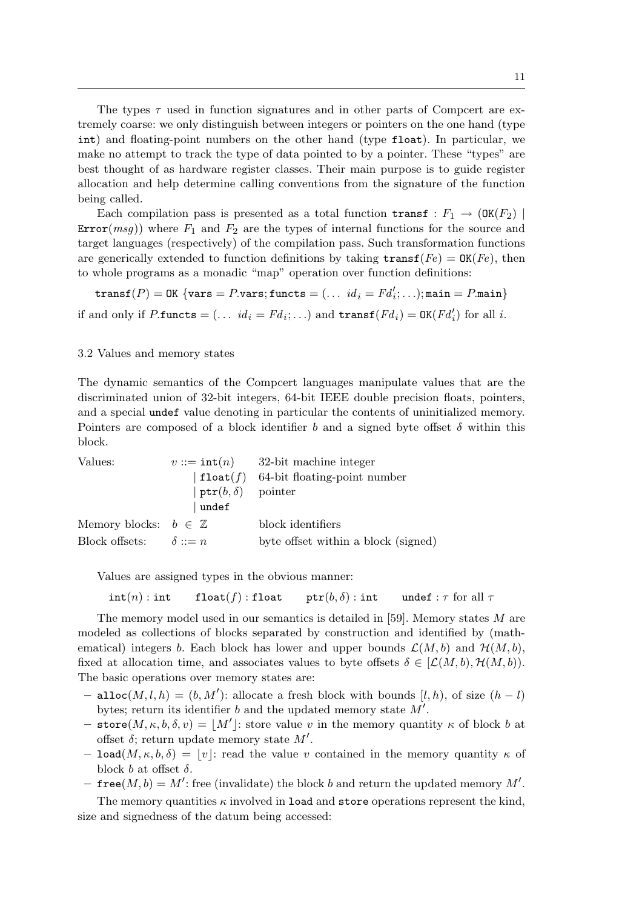The types  $\tau$  used in function signatures and in other parts of Compcert are extremely coarse: we only distinguish between integers or pointers on the one hand (type int) and floating-point numbers on the other hand (type float). In particular, we make no attempt to track the type of data pointed to by a pointer. These "types" are best thought of as hardware register classes. Their main purpose is to guide register allocation and help determine calling conventions from the signature of the function being called.

Each compilation pass is presented as a total function transf :  $F_1 \rightarrow (\text{OK}(F_2))$ Error(msg)) where  $F_1$  and  $F_2$  are the types of internal functions for the source and target languages (respectively) of the compilation pass. Such transformation functions are generically extended to function definitions by taking  $\text{transf}(Fe) = \text{OK}(Fe)$ , then to whole programs as a monadic "map" operation over function definitions:

 $\texttt{transf}(P) = \texttt{OK} \ \{\texttt{vars} = P.\texttt{vars}; \texttt{functs} = (\dots \ \textit{id}_i = \textit{Fd}_i';\ldots); \texttt{main} = P.\texttt{main}\}$ if and only if  $P.\mathtt{functs} = (\dots \ id_i = Fd_i; \dots)$  and  $\mathtt{transf}(Fd_i) = \mathtt{OK}(Fd'_i)$  for all  $i$ .

#### 3.2 Values and memory states

The dynamic semantics of the Compcert languages manipulate values that are the discriminated union of 32-bit integers, 64-bit IEEE double precision floats, pointers, and a special undef value denoting in particular the contents of uninitialized memory. Pointers are composed of a block identifier b and a signed byte offset  $\delta$  within this block.

Values:  $v ::= \text{int}(n)$  32-bit machine integer | float $(f)$  64-bit floating-point number  $ptr(b, \delta)$  pointer | undef Memory blocks:  $b \in \mathbb{Z}$  block identifiers Block offsets:  $\delta ::= n$  byte offset within a block (signed)

Values are assigned types in the obvious manner:

 $\text{int}(n) : \text{int}$  float $(f) : \text{float}$  ptr $(b, \delta) : \text{int}$  undef :  $\tau$  for all  $\tau$ 

The memory model used in our semantics is detailed in  $[59]$ . Memory states M are modeled as collections of blocks separated by construction and identified by (mathematical) integers b. Each block has lower and upper bounds  $\mathcal{L}(M, b)$  and  $\mathcal{H}(M, b)$ , fixed at allocation time, and associates values to byte offsets  $\delta \in [\mathcal{L}(M, b), \mathcal{H}(M, b)].$ The basic operations over memory states are:

- $-$  alloc( $M, l, h$ ) = (b, M'): allocate a fresh block with bounds [l, h), of size (h − l) bytes; return its identifier b and the updated memory state  $M'$ .
- $-$  store  $(M, \kappa, b, \delta, v) = |M'|$ : store value v in the memory quantity κ of block b at offset  $\delta$ ; return update memory state  $M'$ .
- load $(M, \kappa, b, \delta) = |v|$ : read the value v contained in the memory quantity  $\kappa$  of block b at offset  $\delta$ .
- free $(M, b) = M'$ : free (invalidate) the block b and return the updated memory M'.

The memory quantities  $\kappa$  involved in load and store operations represent the kind, size and signedness of the datum being accessed: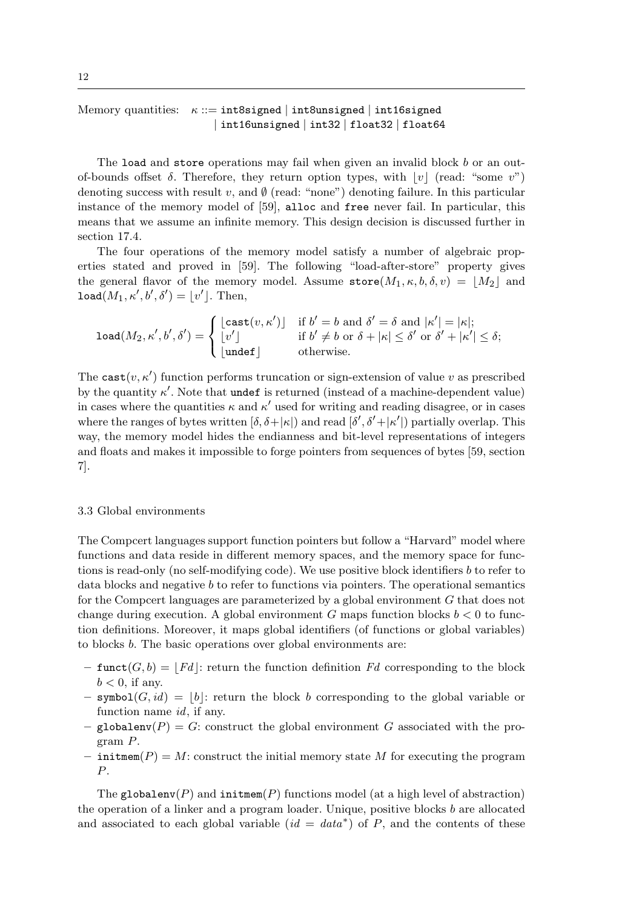Memory quantities:  $\kappa ::= \texttt{int8signed} \mid \texttt{int8unsigned} \mid \texttt{int16signed}$ | int16unsigned | int32 | float32 | float64

The load and store operations may fail when given an invalid block b or an outof-bounds offset  $\delta$ . Therefore, they return option types, with  $|v|$  (read: "some v") denoting success with result v, and  $\emptyset$  (read: "none") denoting failure. In this particular instance of the memory model of [59], alloc and free never fail. In particular, this means that we assume an infinite memory. This design decision is discussed further in section 17.4.

The four operations of the memory model satisfy a number of algebraic properties stated and proved in [59]. The following "load-after-store" property gives the general flavor of the memory model. Assume store $(M_1, \kappa, b, \delta, v) = |M_2|$  and  $\texttt{load}(M_1, \kappa', b', \delta') = \lfloor v' \rfloor$ . Then,

$$
\texttt{load}(M_2, \kappa', b', \delta') = \begin{cases} \lfloor \texttt{cast}(v, \kappa') \rfloor & \text{if } b' = b \text{ and } \delta' = \delta \text{ and } |\kappa'| = |\kappa|; \\ \lfloor v' \rfloor & \text{if } b' \neq b \text{ or } \delta + |\kappa| \leq \delta' \text{ or } \delta' + |\kappa'| \leq \delta; \\ \lfloor \texttt{underf} \rfloor & \text{otherwise.} \end{cases}
$$

The cast $(v, \kappa')$  function performs truncation or sign-extension of value v as prescribed by the quantity  $\kappa'$ . Note that undef is returned (instead of a machine-dependent value) in cases where the quantities  $\kappa$  and  $\kappa'$  used for writing and reading disagree, or in cases where the ranges of bytes written  $[\delta, \delta+|\kappa|]$  and read  $[\delta', \delta'+|\kappa'|$  partially overlap. This way, the memory model hides the endianness and bit-level representations of integers and floats and makes it impossible to forge pointers from sequences of bytes [59, section 7].

#### 3.3 Global environments

The Compcert languages support function pointers but follow a "Harvard" model where functions and data reside in different memory spaces, and the memory space for functions is read-only (no self-modifying code). We use positive block identifiers b to refer to data blocks and negative *b* to refer to functions via pointers. The operational semantics for the Compcert languages are parameterized by a global environment G that does not change during execution. A global environment G maps function blocks  $b < 0$  to function definitions. Moreover, it maps global identifiers (of functions or global variables) to blocks b. The basic operations over global environments are:

- funct $(G, b) = |Fd|$ : return the function definition Fd corresponding to the block  $b < 0$ , if any.
- symbol $(G, id) = |b|$ : return the block b corresponding to the global variable or function name id, if any.
- globalenv(P) = G: construct the global environment G associated with the program P.
- initmem( $P$ ) = M: construct the initial memory state M for executing the program P.

The globalenv(P) and initmem(P) functions model (at a high level of abstraction) the operation of a linker and a program loader. Unique, positive blocks b are allocated and associated to each global variable  $(id = data^*)$  of P, and the contents of these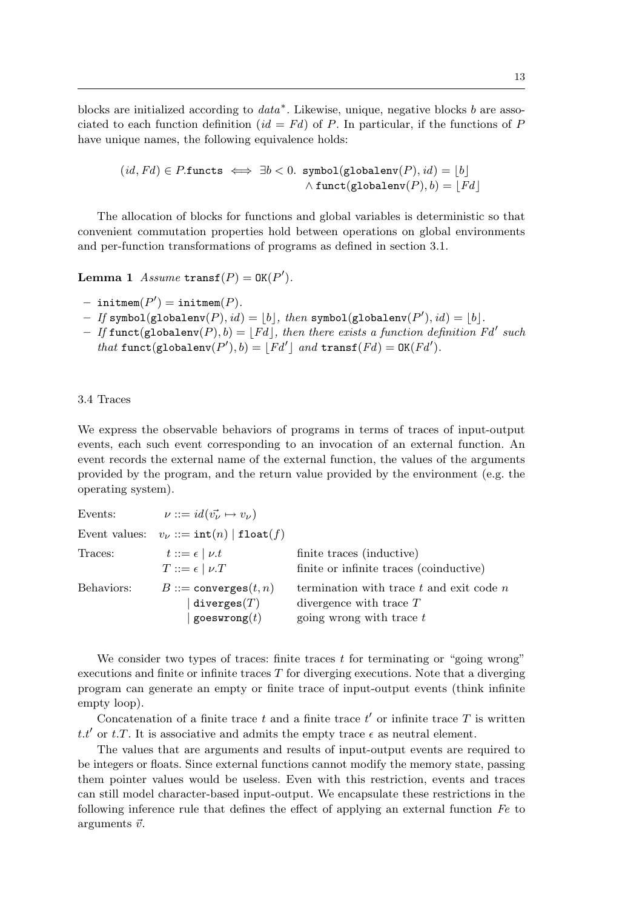blocks are initialized according to  $data^*$ . Likewise, unique, negative blocks b are associated to each function definition (id = Fd) of P. In particular, if the functions of P have unique names, the following equivalence holds:

$$
(id, Fd) \in P.\mathtt{functs} \iff \exists b < 0. \ \mathtt{symbol(globalenv}(P), id) = \lfloor b \rfloor \\ \land \mathtt{funct(globalenv}(P), b) = \lfloor Fd \rfloor
$$

The allocation of blocks for functions and global variables is deterministic so that convenient commutation properties hold between operations on global environments and per-function transformations of programs as defined in section 3.1.

Lemma 1 Assume transf( $P$ ) =  $OK(P')$ .

- $\texttt{initmem}(P') = \texttt{initmem}(P)$ .
- If symbol(globalenv(P),  $id$ ) = |b|, then symbol(globalenv(P'),  $id$ ) = |b|.
- If funct(globalenv(P), b) = |Fd|, then there exists a function definition Fd' such that funct(globalenv( $P'$ ),  $b$ ) = | $Fd'$ | and transf( $Fd$ ) = 0K( $Fd'$ ).

## 3.4 Traces

We express the observable behaviors of programs in terms of traces of input-output events, each such event corresponding to an invocation of an external function. An event records the external name of the external function, the values of the arguments provided by the program, and the return value provided by the environment (e.g. the operating system).

| Events:    | $\nu ::= id(\vec{v_{\nu}} \mapsto v_{\nu})$                      |                                                                                                         |
|------------|------------------------------------------------------------------|---------------------------------------------------------------------------------------------------------|
|            | Event values: $v_{\nu} ::= \text{int}(n)   \text{float}(f)  $    |                                                                                                         |
| Traces:    | $t ::= \epsilon \mid \nu.t$<br>$T ::= \epsilon \mid \nu \cdot T$ | finite traces (inductive)<br>finite or infinite traces (coinductive)                                    |
| Behaviors: | $B ::=$ converges $(t, n)$<br>diverges $(T)$<br>goeswrong $(t)$  | termination with trace $t$ and exit code $n$<br>divergence with trace $T$<br>going wrong with trace $t$ |

We consider two types of traces: finite traces  $t$  for terminating or "going wrong" executions and finite or infinite traces T for diverging executions. Note that a diverging program can generate an empty or finite trace of input-output events (think infinite empty loop).

Concatenation of a finite trace  $t$  and a finite trace  $t'$  or infinite trace  $T$  is written t.t' or t.T. It is associative and admits the empty trace  $\epsilon$  as neutral element.

The values that are arguments and results of input-output events are required to be integers or floats. Since external functions cannot modify the memory state, passing them pointer values would be useless. Even with this restriction, events and traces can still model character-based input-output. We encapsulate these restrictions in the following inference rule that defines the effect of applying an external function Fe to arguments  $\vec{v}$ .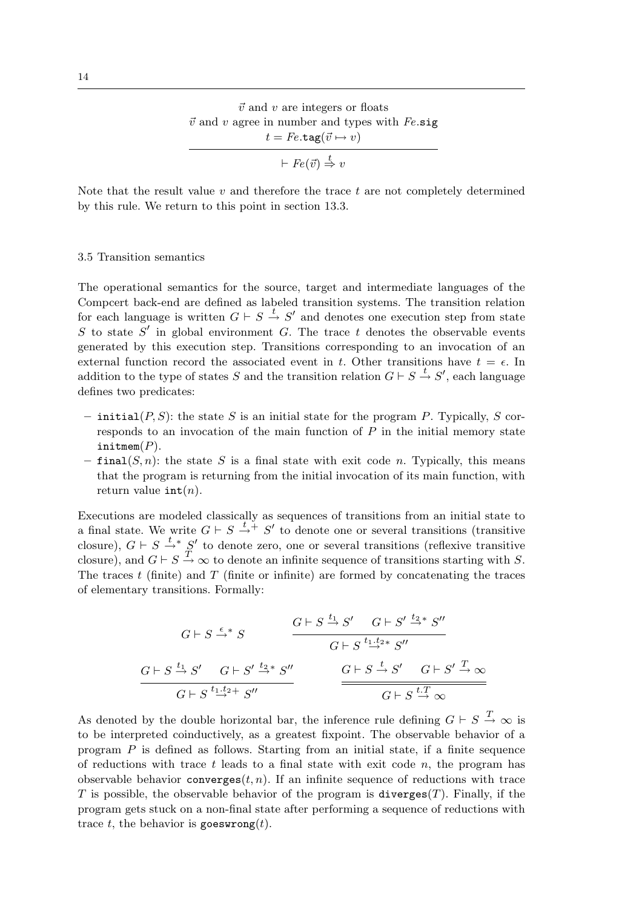# $\vec{v}$  and  $v$  are integers or floats  $\vec{v}$  and  $v$  agree in number and types with Fe.sig  $t = Fe.\texttt{tag}(\vec{v} \mapsto v)$  $\vdash Fe(\vec{v}) \overset{t}{\Rightarrow} v$

Note that the result value  $v$  and therefore the trace  $t$  are not completely determined by this rule. We return to this point in section 13.3.

#### 3.5 Transition semantics

The operational semantics for the source, target and intermediate languages of the Compcert back-end are defined as labeled transition systems. The transition relation for each language is written  $G \vdash S \stackrel{t}{\rightarrow} S'$  and denotes one execution step from state S to state  $S'$  in global environment G. The trace t denotes the observable events generated by this execution step. Transitions corresponding to an invocation of an external function record the associated event in t. Other transitions have  $t = \epsilon$ . In addition to the type of states S and the transition relation  $G \vdash S \stackrel{t}{\to} S'$ , each language defines two predicates:

- initial( $P, S$ ): the state S is an initial state for the program P. Typically, S corresponds to an invocation of the main function of  $P$  in the initial memory state initmem $(P)$ .
- final(S, n): the state S is a final state with exit code n. Typically, this means that the program is returning from the initial invocation of its main function, with return value  $\text{int}(n)$ .

Executions are modeled classically as sequences of transitions from an initial state to a final state. We write  $G \vdash S \stackrel{t}{\rightarrow} S'$  to denote one or several transitions (transitive closure),  $G \vdash S \stackrel{t}{\rightarrow} S'$  to denote zero, one or several transitions (reflexive transitive closure), and  $G \vdash S \stackrel{T}{\to} \infty$  to denote an infinite sequence of transitions starting with S. The traces  $t$  (finite) and  $T$  (finite or infinite) are formed by concatenating the traces of elementary transitions. Formally:

$$
G \vdash S \xrightarrow{\epsilon} S
$$
\n
$$
\xrightarrow{G \vdash S \xrightarrow{\epsilon} S} G \vdash S' \xrightarrow{G \vdash S' \xrightarrow{t_1, t_2} S''}
$$
\n
$$
\xrightarrow{G \vdash S \xrightarrow{t_1, t_2} S} S''
$$
\n
$$
\xrightarrow{G \vdash S' \xrightarrow{t_2, t_2} S''}
$$
\n
$$
\xrightarrow{G \vdash S \xrightarrow{t_1, t_2} S''}
$$
\n
$$
\xrightarrow{G \vdash S \xrightarrow{t_1, t_2} S''}
$$
\n
$$
\xrightarrow{G \vdash S \xrightarrow{t_1, t_2} S''}
$$
\n
$$
\xrightarrow{G \vdash S \xrightarrow{t_1, t_2} S''}
$$

As denoted by the double horizontal bar, the inference rule defining  $G \vdash S \stackrel{T}{\to} \infty$  is to be interpreted coinductively, as a greatest fixpoint. The observable behavior of a program  $P$  is defined as follows. Starting from an initial state, if a finite sequence of reductions with trace  $t$  leads to a final state with exit code  $n$ , the program has observable behavior converges $(t, n)$ . If an infinite sequence of reductions with trace T is possible, the observable behavior of the program is  $diverges(T)$ . Finally, if the program gets stuck on a non-final state after performing a sequence of reductions with trace t, the behavior is goeswrong(t).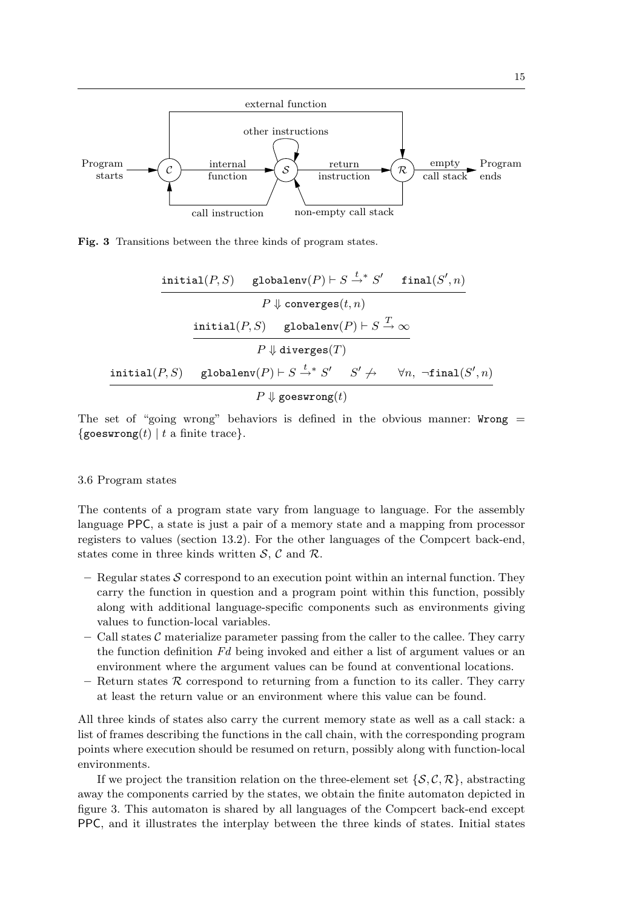



$$
\cfrac{\text{initial}(P,S) \quad \text{globalenv}(P) \vdash S \xrightarrow{t}^* S' \quad \text{final}(S',n)}{P \Downarrow \text{converges}(t,n)} \\[1em] \cfrac{\text{initial}(P,S) \quad \text{globalenv}(P) \vdash S \xrightarrow{T} \infty}{P \Downarrow \text{diverges}(T)} \\[1em] \text{initial}(P,S) \quad \text{globalenv}(P) \vdash S \xrightarrow{t}^* S' \quad S' \nrightarrow \forall n, \ \neg \text{final}(S',n) \\[1em] \qquad \qquad P \Downarrow \text{goeswrong}(t) \\[1em]
$$

The set of "going wrong" behaviors is defined in the obvious manner:  $Wrong =$ {goeswrong(t) | t a finite trace}.

#### 3.6 Program states

 $\overline{a}$ 

The contents of a program state vary from language to language. For the assembly language PPC, a state is just a pair of a memory state and a mapping from processor registers to values (section 13.2). For the other languages of the Compcert back-end, states come in three kinds written  $S$ ,  $C$  and  $R$ .

- $-$  Regular states S correspond to an execution point within an internal function. They carry the function in question and a program point within this function, possibly along with additional language-specific components such as environments giving values to function-local variables.
- $-$  Call states C materialize parameter passing from the caller to the callee. They carry the function definition Fd being invoked and either a list of argument values or an environment where the argument values can be found at conventional locations.
- Return states  $\mathcal R$  correspond to returning from a function to its caller. They carry at least the return value or an environment where this value can be found.

All three kinds of states also carry the current memory state as well as a call stack: a list of frames describing the functions in the call chain, with the corresponding program points where execution should be resumed on return, possibly along with function-local environments.

If we project the transition relation on the three-element set  $\{\mathcal{S}, \mathcal{C}, \mathcal{R}\}$ , abstracting away the components carried by the states, we obtain the finite automaton depicted in figure 3. This automaton is shared by all languages of the Compcert back-end except PPC, and it illustrates the interplay between the three kinds of states. Initial states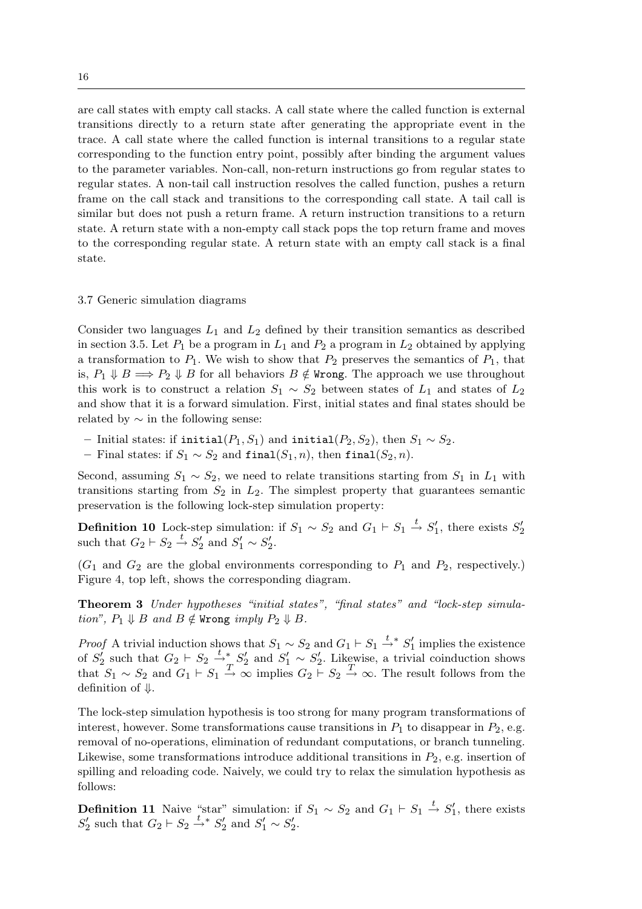are call states with empty call stacks. A call state where the called function is external transitions directly to a return state after generating the appropriate event in the trace. A call state where the called function is internal transitions to a regular state corresponding to the function entry point, possibly after binding the argument values to the parameter variables. Non-call, non-return instructions go from regular states to regular states. A non-tail call instruction resolves the called function, pushes a return frame on the call stack and transitions to the corresponding call state. A tail call is similar but does not push a return frame. A return instruction transitions to a return state. A return state with a non-empty call stack pops the top return frame and moves to the corresponding regular state. A return state with an empty call stack is a final state.

## 3.7 Generic simulation diagrams

Consider two languages  $L_1$  and  $L_2$  defined by their transition semantics as described in section 3.5. Let  $P_1$  be a program in  $L_1$  and  $P_2$  a program in  $L_2$  obtained by applying a transformation to  $P_1$ . We wish to show that  $P_2$  preserves the semantics of  $P_1$ , that is,  $P_1 \Downarrow B \Longrightarrow P_2 \Downarrow B$  for all behaviors  $B \notin \text{Wrong.}$  The approach we use throughout this work is to construct a relation  $S_1 \sim S_2$  between states of  $L_1$  and states of  $L_2$ and show that it is a forward simulation. First, initial states and final states should be related by  $\sim$  in the following sense:

- Initial states: if initial( $P_1, S_1$ ) and initial( $P_2, S_2$ ), then  $S_1 ∼ S_2$ .
- Final states: if  $S_1$  ~  $S_2$  and final( $S_1$ , *n*), then final( $S_2$ , *n*).

Second, assuming  $S_1 \sim S_2$ , we need to relate transitions starting from  $S_1$  in  $L_1$  with transitions starting from  $S_2$  in  $L_2$ . The simplest property that guarantees semantic preservation is the following lock-step simulation property:

**Definition 10** Lock-step simulation: if  $S_1 \sim S_2$  and  $G_1 \vdash S_1 \stackrel{t}{\to} S'_1$ , there exists  $S'_2$ such that  $G_2 \vdash S_2 \stackrel{t}{\rightarrow} S_2'$  and  $S_1' \sim S_2'$ .

 $(G_1$  and  $G_2$  are the global environments corresponding to  $P_1$  and  $P_2$ , respectively.) Figure 4, top left, shows the corresponding diagram.

Theorem 3 Under hypotheses "initial states", "final states" and "lock-step simulation",  $P_1 \Downarrow B$  and  $B \notin$  Wrong imply  $P_2 \Downarrow B$ .

*Proof* A trivial induction shows that  $S_1 \sim S_2$  and  $G_1 \vdash S_1 \stackrel{t}{\to}^* S'_1$  implies the existence of  $S_2'$  such that  $G_2 \vdash S_2 \stackrel{t_*}{\rightarrow} S_2'$  and  $S_1' \sim S_2'$ . Likewise, a trivial coinduction shows that  $S_1 \sim S_2$  and  $G_1 \vdash S_1 \stackrel{T}{\to} \infty$  implies  $G_2 \stackrel{r}{\vdash} S_2 \stackrel{T}{\to} \infty$ . The result follows from the definition of ⇓.

The lock-step simulation hypothesis is too strong for many program transformations of interest, however. Some transformations cause transitions in  $P_1$  to disappear in  $P_2$ , e.g. removal of no-operations, elimination of redundant computations, or branch tunneling. Likewise, some transformations introduce additional transitions in  $P_2$ , e.g. insertion of spilling and reloading code. Naively, we could try to relax the simulation hypothesis as follows:

**Definition 11** Naive "star" simulation: if  $S_1 \sim S_2$  and  $G_1 \vdash S_1 \stackrel{t}{\to} S_1'$ , there exists  $S'_2$  such that  $G_2 \vdash S_2 \stackrel{t}{\rightarrow}^* S'_2$  and  $S'_1 \sim S'_2$ .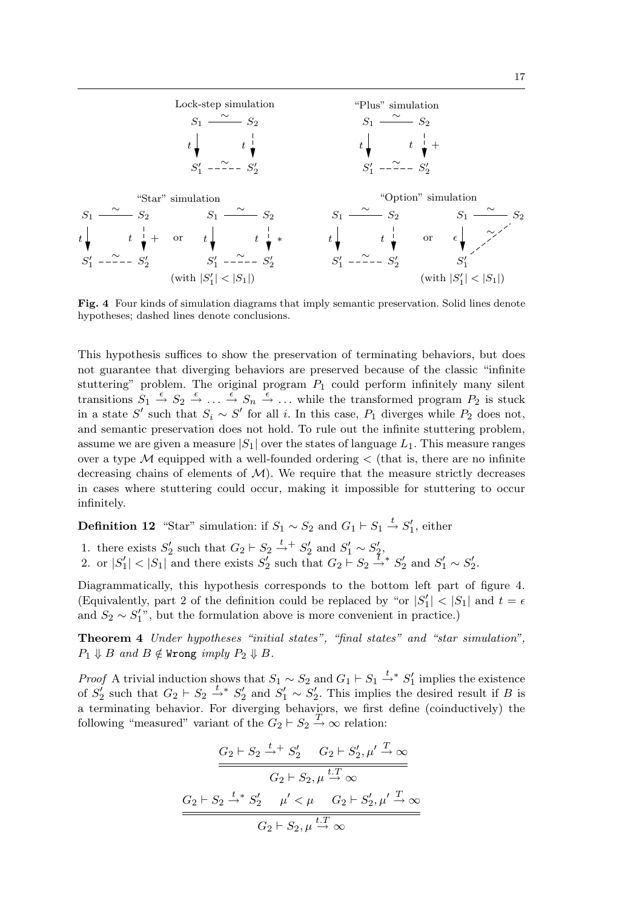

Fig. 4 Four kinds of simulation diagrams that imply semantic preservation. Solid lines denote hypotheses; dashed lines denote conclusions.

This hypothesis suffices to show the preservation of terminating behaviors, but does not guarantee that diverging behaviors are preserved because of the classic "infinite stuttering" problem. The original program  $P_1$  could perform infinitely many silent transitions  $S_1 \stackrel{\epsilon}{\rightarrow} S_2 \stackrel{\epsilon}{\rightarrow} \ldots \stackrel{\epsilon}{\rightarrow} S_n \stackrel{\epsilon}{\rightarrow} \ldots$  while the transformed program  $P_2$  is stuck in a state S' such that  $S_i \sim S'$  for all i. In this case,  $P_1$  diverges while  $P_2$  does not, and semantic preservation does not hold. To rule out the infinite stuttering problem, assume we are given a measure  $|S_1|$  over the states of language  $L_1$ . This measure ranges over a type  $\mathcal M$  equipped with a well-founded ordering  $\lt$  (that is, there are no infinite decreasing chains of elements of  $\mathcal{M}$ ). We require that the measure strictly decreases in cases where stuttering could occur, making it impossible for stuttering to occur infinitely.

**Definition 12** "Star" simulation: if  $S_1 \sim S_2$  and  $G_1 \vdash S_1 \stackrel{t}{\rightarrow} S_1'$ , either

- 1. there exists  $S'_2$  such that  $G_2 \vdash S_2 \stackrel{t}{\to}^+ S'_2$  and  $S'_1 \sim S'_2$ ,
- 2. or  $|S'_1| < |S_1|$  and there exists  $S'_2$  such that  $G_2 \nightharpoonup S_2 \stackrel{\tilde{\tau}}{\rightarrow} S'_2$  and  $S'_1 \sim S'_2$ .

Diagrammatically, this hypothesis corresponds to the bottom left part of figure 4. (Equivalently, part 2 of the definition could be replaced by "or  $|S'_1| < |S_1|$  and  $t = \epsilon$ and  $S_2 \sim S_1^{\prime}$ , but the formulation above is more convenient in practice.)

Theorem 4 Under hypotheses "initial states", "final states" and "star simulation",  $P_1 \Downarrow B$  and  $B \notin$  Wrong imply  $P_2 \Downarrow B$ .

*Proof* A trivial induction shows that  $S_1 \sim S_2$  and  $G_1 \vdash S_1 \stackrel{t}{\to}^* S'_1$  implies the existence of  $S_2'$  such that  $G_2 \vdash S_2 \stackrel{t}{\rightarrow} S_2'$  and  $S_1' \sim S_2'$ . This implies the desired result if B is a terminating behavior. For diverging behaviors, we first define (coinductively) the following "measured" variant of the  $G_2 \vdash S_2 \stackrel{T}{\to} \infty$  relation:

$$
\frac{G_2 \vdash S_2 \stackrel{t}{\rightarrow}^+ S_2'}{G_2 \vdash S_2, \mu \stackrel{t}{\rightarrow} \infty}
$$
  
\n
$$
\frac{G_2 \vdash S_2 \stackrel{t}{\rightarrow}^* S_2'}{G_2 \vdash S_2, \mu \stackrel{t}{\rightarrow} \infty}
$$
  
\n
$$
\frac{G_2 \vdash S_2 \stackrel{t}{\rightarrow}^* S_2'}{G_2 \vdash S_2, \mu \stackrel{t}{\rightarrow} \infty}
$$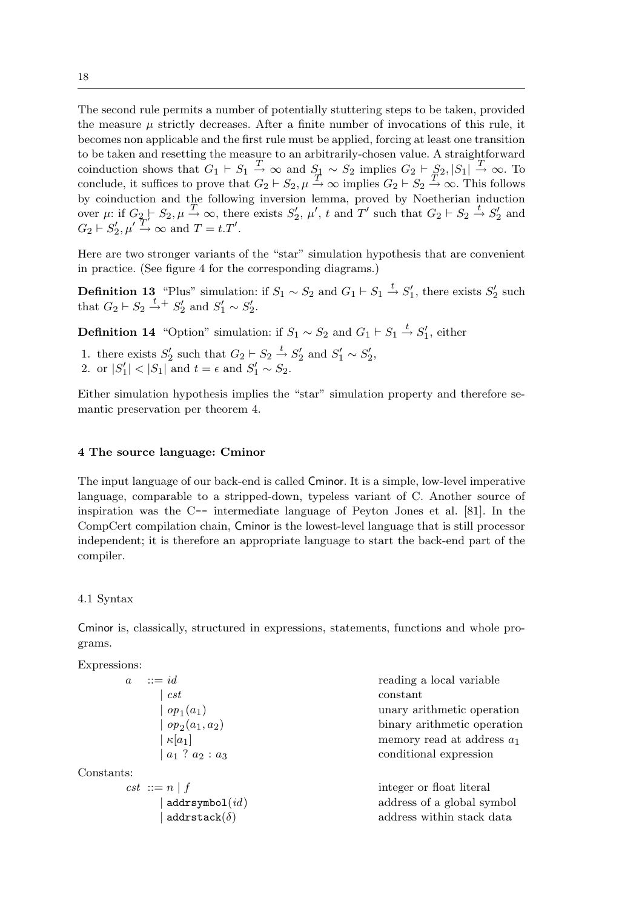The second rule permits a number of potentially stuttering steps to be taken, provided the measure  $\mu$  strictly decreases. After a finite number of invocations of this rule, it becomes non applicable and the first rule must be applied, forcing at least one transition to be taken and resetting the measure to an arbitrarily-chosen value. A straightforward coinduction shows that  $G_1 \vdash S_1 \stackrel{T}{\to} \infty$  and  $S_1 \sim S_2$  implies  $G_2 \vdash S_2, |S_1| \stackrel{T}{\to} \infty$ . To conclude, it suffices to prove that  $G_2 \vdash S_2, \mu \stackrel{\overline{T}}{\rightarrow} \infty$  implies  $G_2 \vdash S_2 \stackrel{\overline{T}}{\rightarrow} \infty$ . This follows by coinduction and the following inversion lemma, proved by Noetherian induction over  $\mu$ : if  $G_{2r} \nightharpoonup S_2$ ,  $\mu \stackrel{T}{\rightarrow} \infty$ , there exists  $S'_2$ ,  $\mu'$ , t and T' such that  $G_2 \vdash S_2 \stackrel{t}{\rightarrow} S'_2$  and  $G_2 \vdash S'_2, \mu' \stackrel{\sim}{\rightarrow} \infty$  and  $T = t.T'.$ 

Here are two stronger variants of the "star" simulation hypothesis that are convenient in practice. (See figure 4 for the corresponding diagrams.)

**Definition 13** "Plus" simulation: if  $S_1 \sim S_2$  and  $G_1 \vdash S_1 \stackrel{t}{\rightarrow} S'_1$ , there exists  $S'_2$  such that  $G_2 \vdash S_2 \stackrel{t}{\rightarrow}^+ S_2'$  and  $S_1' \sim S_2'$ .

**Definition 14** "Option" simulation: if  $S_1 \sim S_2$  and  $G_1 \vdash S_1 \stackrel{t}{\rightarrow} S_1'$ , either

1. there exists  $S_2'$  such that  $G_2 \vdash S_2 \stackrel{t}{\to} S_2'$  and  $S_1' \sim S_2'$ , 2. or  $|S'_1| < |S_1|$  and  $t = \epsilon$  and  $S'_1 \sim S_2$ .

Either simulation hypothesis implies the "star" simulation property and therefore semantic preservation per theorem 4.

## 4 The source language: Cminor

The input language of our back-end is called Cminor. It is a simple, low-level imperative language, comparable to a stripped-down, typeless variant of C. Another source of inspiration was the C-- intermediate language of Peyton Jones et al. [81]. In the CompCert compilation chain, Cminor is the lowest-level language that is still processor independent; it is therefore an appropriate language to start the back-end part of the compiler.

## 4.1 Syntax

Cminor is, classically, structured in expressions, statements, functions and whole programs.

Expressions:

| $ ::= id$<br>$\overline{a}$ | reading a local variable     |
|-----------------------------|------------------------------|
| cst                         | constant                     |
| $op_1(a_1)$                 | unary arithmetic operation   |
| $\mid op_2(a_1,a_2)$        | binary arithmetic operation  |
| $\kappa[a_1]$               | memory read at address $a_1$ |
| $ a_1 ? a_2 : a_3$          | conditional expression       |
| Constants:                  |                              |
| $cst := n   f$              | integer or float literal     |
| addrsymbol(id)              | address of a global symbol   |
| addrstack $(\delta)$        | address within stack data    |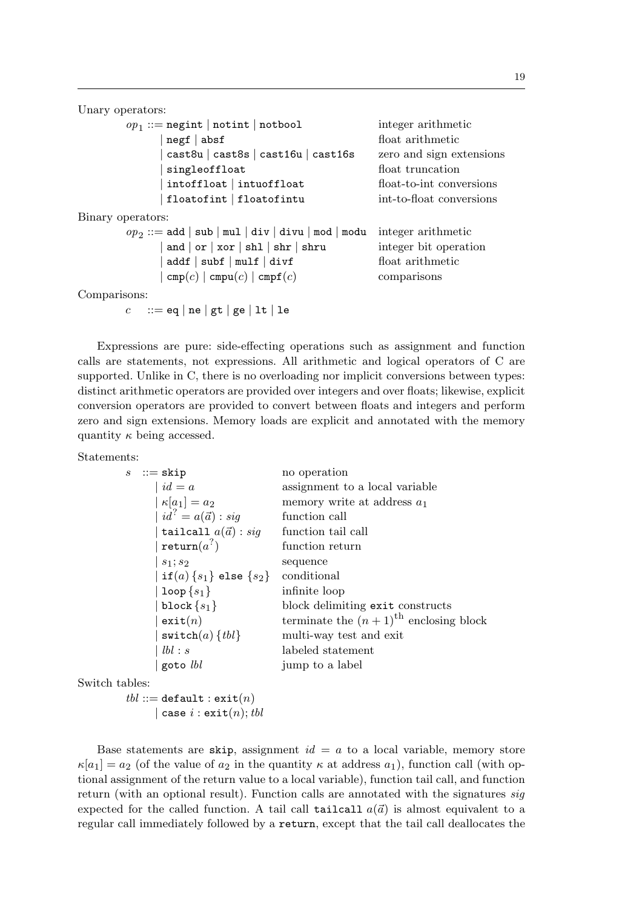Unary operators:  $op_1 ::= \mathtt{negint} \mid \mathtt{notint} \mid \mathtt{notbool}$  integer arithmetic | negf | absf float arithmetic cast8u | cast8s | cast16u | cast16s zero and sign extensions singleoffloat float truncation intoffloat intuoffloat float-to-int conversions | floatofint | floatofintu int-to-float conversions Binary operators:  $op_2 ::=$  add | sub | mul | div | divu | mod | modu integer arithmetic | and | or | xor | shl | shr | shru integer bit operation addf | subf | mulf | divf float arithmetic  $|\text{cmp}(c)| \text{cmp}(c)| \text{cmp}(c)$  comparisons Comparisons:

 $c$  := eq | ne | gt | ge | 1t | 1e

| case  $i : \text{exit}(n); \text{thl}$ 

Expressions are pure: side-effecting operations such as assignment and function calls are statements, not expressions. All arithmetic and logical operators of C are supported. Unlike in C, there is no overloading nor implicit conversions between types: distinct arithmetic operators are provided over integers and over floats; likewise, explicit conversion operators are provided to convert between floats and integers and perform zero and sign extensions. Memory loads are explicit and annotated with the memory quantity  $\kappa$  being accessed.

Statements:

| $s$ := skip                               | no operation                                        |
|-------------------------------------------|-----------------------------------------------------|
| $\vert id = a$                            | assignment to a local variable                      |
| $\kappa[a_1]=a_2$                         | memory write at address $a_1$                       |
| $\vert id^2 = a(\vec{a}) : sig$           | function call                                       |
| tailcall $a(\vec{a})$ : sig               | function tail call                                  |
| $return(a^?)$                             | function return                                     |
| $s_1; s_2$                                | sequence                                            |
| $\vert$ if $(a)$ $\{s_1\}$ else $\{s_2\}$ | conditional                                         |
| $loop{s_1}$                               | infinite loop                                       |
| block $\{s_1\}$                           | block delimiting exit constructs                    |
| exit(n)                                   | terminate the $(n+1)$ <sup>th</sup> enclosing block |
| switch $(a)$ { <i>tbl</i> }               | multi-way test and exit                             |
| lbl : s                                   | labeled statement                                   |
| goto $lbl$                                | jump to a label                                     |
| Switch tables:                            |                                                     |
| $tbl ::= default : exit(n)$               |                                                     |

Base statements are skip, assignment  $id = a$  to a local variable, memory store  $\kappa[a_1] = a_2$  (of the value of  $a_2$  in the quantity  $\kappa$  at address  $a_1$ ), function call (with optional assignment of the return value to a local variable), function tail call, and function return (with an optional result). Function calls are annotated with the signatures sig expected for the called function. A tail call tailcall  $a(\vec{a})$  is almost equivalent to a regular call immediately followed by a return, except that the tail call deallocates the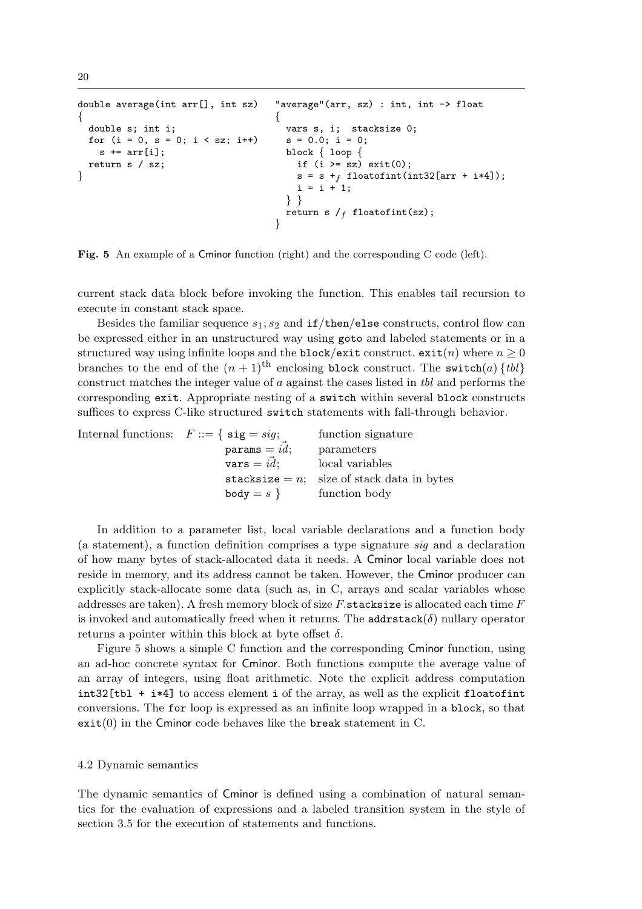```
double average(int arr[], int sz) "average"(arr, sz) : int, int -> float
{\{double s; int i; vars s, i; stacksize 0;
 for (i = 0, s = 0; i < sz; i++) s = 0.0; i = 0;s += arr[i]; block { loop {
 return s / sz; \text{if} (i >= sz) exit(0);
s = s + f floatofint(int32[arr + i*4]);
                            i = i + 1;
                           } }
                           return s / f 1oatofint(sz);
                         }
```
Fig. 5 An example of a Cminor function (right) and the corresponding C code (left).

current stack data block before invoking the function. This enables tail recursion to execute in constant stack space.

Besides the familiar sequence  $s_1$ ;  $s_2$  and  $if/then/else$  constructs, control flow can be expressed either in an unstructured way using goto and labeled statements or in a structured way using infinite loops and the block/exit construct. exit(n) where  $n > 0$ branches to the end of the  $(n + 1)$ <sup>th</sup> enclosing **block** construct. The **switch** $(a) \{ \text{thl} \}$ construct matches the integer value of a against the cases listed in tbl and performs the corresponding exit. Appropriate nesting of a switch within several block constructs suffices to express C-like structured switch statements with fall-through behavior.

| Internal functions: $F ::= \{ \text{sig} = sig;$ | function signature                         |
|--------------------------------------------------|--------------------------------------------|
| $\texttt{params} = id;$                          | parameters                                 |
| $\texttt{vars} = \vec{id}$ ;                     | local variables                            |
|                                                  | stacksize = n; size of stack data in bytes |
| $body = s$                                       | function body                              |

In addition to a parameter list, local variable declarations and a function body (a statement), a function definition comprises a type signature  $sig$  and a declaration of how many bytes of stack-allocated data it needs. A Cminor local variable does not reside in memory, and its address cannot be taken. However, the Cminor producer can explicitly stack-allocate some data (such as, in C, arrays and scalar variables whose addresses are taken). A fresh memory block of size  $F$  stacksize is allocated each time  $F$ is invoked and automatically freed when it returns. The  $\texttt{address}( \delta)$  nullary operator returns a pointer within this block at byte offset  $\delta$ .

Figure 5 shows a simple C function and the corresponding Cminor function, using an ad-hoc concrete syntax for Cminor. Both functions compute the average value of an array of integers, using float arithmetic. Note the explicit address computation  $int32[tb1 + i*4]$  to access element i of the array, as well as the explicit floatofint conversions. The for loop is expressed as an infinite loop wrapped in a block, so that  $ext(0)$  in the Cminor code behaves like the break statement in C.

#### 4.2 Dynamic semantics

The dynamic semantics of Cminor is defined using a combination of natural semantics for the evaluation of expressions and a labeled transition system in the style of section 3.5 for the execution of statements and functions.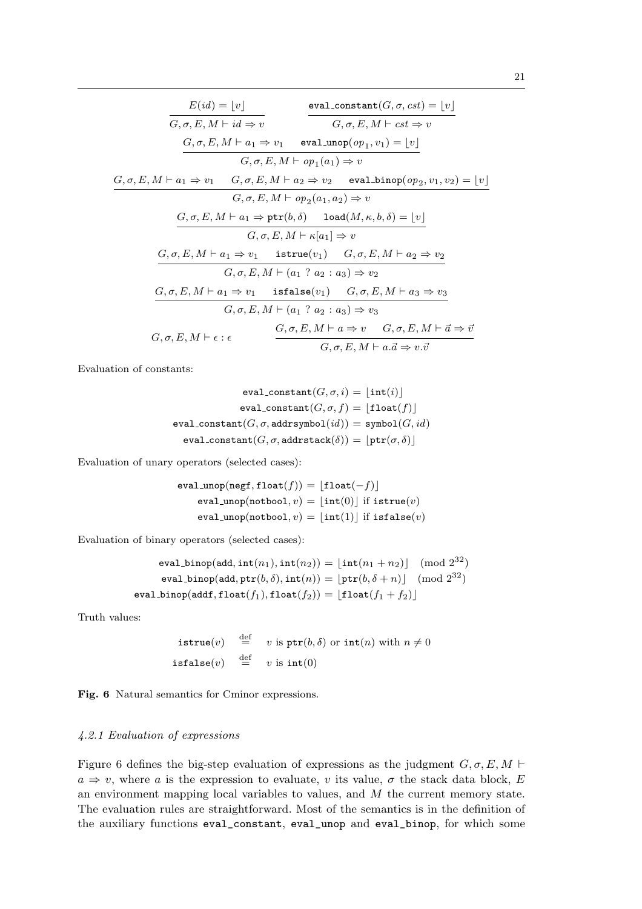$$
E(id) = \lfloor v \rfloor \qquad \text{eval-constant}(G, \sigma, cst) = \lfloor v \rfloor
$$
  
\n
$$
\overline{G}, \sigma, E, M \vdash id \Rightarrow v \qquad \overline{G}, \sigma, E, M \vdash cst \Rightarrow v
$$
  
\n
$$
\overline{G}, \sigma, E, M \vdash a_1 \Rightarrow v_1 \qquad \text{eval\_unop}(op_1, v_1) = \lfloor v \rfloor
$$
  
\n
$$
\overline{G}, \sigma, E, M \vdash o_1 \Rightarrow v_1 \qquad G, \sigma, E, M \vdash o_2 \Rightarrow v_2 \qquad \text{eval\_binop}(op_2, v_1, v_2) = \lfloor v \rfloor
$$
  
\n
$$
\overline{G}, \sigma, E, M \vdash o_2(a_1, a_2) \Rightarrow v
$$
  
\n
$$
\overline{G}, \sigma, E, M \vdash a_1 \Rightarrow \text{ptr}(b, \delta) \qquad \text{load}(M, \kappa, b, \delta) = \lfloor v \rfloor
$$
  
\n
$$
\overline{G}, \sigma, E, M \vdash a_1 \Rightarrow \text{ptr}(b, \delta) \qquad \text{load}(M, \kappa, b, \delta) = \lfloor v \rfloor
$$
  
\n
$$
\overline{G}, \sigma, E, M \vdash a_1 \Rightarrow v_1 \qquad \text{isttrue}(v_1) \qquad G, \sigma, E, M \vdash a_2 \Rightarrow v_2
$$
  
\n
$$
\overline{G}, \sigma, E, M \vdash (a_1 \ ? \ a_2 : a_3) \Rightarrow v_2
$$
  
\n
$$
\overline{G}, \sigma, E, M \vdash a_1 \Rightarrow v_1 \qquad \text{isfalse}(v_1) \qquad G, \sigma, E, M \vdash a_3 \Rightarrow v_3
$$
  
\n
$$
\overline{G}, \sigma, E, M \vdash (a_1 \ ? \ a_2 : a_3) \Rightarrow v_3
$$
  
\n
$$
\overline{G}, \sigma, E, M \vdash a \Rightarrow v \qquad G, \sigma, E, M \vdash a \Rightarrow v \exists \overline{G}, \sigma, E, M \vdash a \Rightarrow v \exists \overline{G}, \sigma, E, M \vdash a \Rightarrow v \exists \overline{G}, \sigma, E, M \vdash a \Rightarrow v \exists \overline{
$$

Evaluation of constants:

$$
\texttt{eval\_constant}(G, \sigma, i) = \lfloor \texttt{int}(i) \rfloor
$$
\n
$$
\texttt{eval\_constant}(G, \sigma, f) = \lfloor \texttt{float}(f) \rfloor
$$
\n
$$
\texttt{eval\_constant}(G, \sigma, \texttt{addressmbol}(id)) = \texttt{symbol}(G, id)
$$
\n
$$
\texttt{eval\_constant}(G, \sigma, \texttt{addressack}(\delta)) = |\texttt{ptr}(\sigma, \delta)|
$$

Evaluation of unary operators (selected cases):

$$
\texttt{eval\_unop}(\texttt{negf},\texttt{float}(f)) = \lfloor \texttt{float}(-f) \rfloor \\ \texttt{eval\_unop}(\texttt{notbool},v) = \lfloor \texttt{int}(0) \rfloor \text{ if } \texttt{istrue}(v) \\ \texttt{eval\_unop}(\texttt{notbool},v) = \lfloor \texttt{int}(1) \rfloor \text{ if } \texttt{isfalse}(v)
$$

Evaluation of binary operators (selected cases):

eval\_binop(add, int(
$$
n_1
$$
), int( $n_2$ )) =  $\lfloor int(n_1 + n_2) \rfloor \pmod{2^{32}}$   
eval\_binop(add, ptr(b, \delta), int(n)) =  $\lfloor ptr(b, \delta + n) \rfloor \pmod{2^{32}}$   
eval\_binop(addf, float(f<sub>1</sub>), float(f<sub>2</sub>)) =  $\lfloor \text{float}(f_1 + f_2) \rfloor$ 

Truth values:

$$
\begin{array}{rcl}\n\texttt{istru}(v) & \stackrel{\text{def}}{=} & v \text{ is } \texttt{ptr}(b, \delta) \text{ or } \texttt{int}(n) \text{ with } n \neq 0 \\
\texttt{isfalse}(v) & \stackrel{\text{def}}{=} & v \text{ is } \texttt{int}(0)\n\end{array}
$$

Fig. 6 Natural semantics for Cminor expressions.

#### 4.2.1 Evaluation of expressions

Figure 6 defines the big-step evaluation of expressions as the judgment  $G, \sigma, E, M \vdash$  $a \Rightarrow v$ , where a is the expression to evaluate, v its value,  $\sigma$  the stack data block, E an environment mapping local variables to values, and M the current memory state. The evaluation rules are straightforward. Most of the semantics is in the definition of the auxiliary functions eval\_constant, eval\_unop and eval\_binop, for which some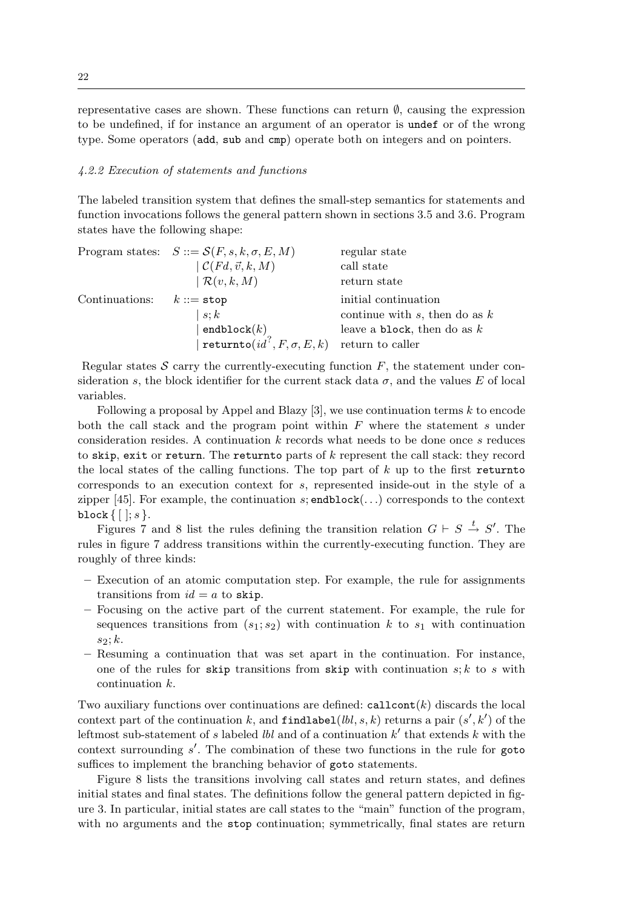representative cases are shown. These functions can return  $\emptyset$ , causing the expression to be undefined, if for instance an argument of an operator is undef or of the wrong type. Some operators (add, sub and cmp) operate both on integers and on pointers.

#### 4.2.2 Execution of statements and functions

The labeled transition system that defines the small-step semantics for statements and function invocations follows the general pattern shown in sections 3.5 and 3.6. Program states have the following shape:

|                | Program states: $S ::= S(F, s, k, \sigma, E, M)$ | regular state                   |
|----------------|--------------------------------------------------|---------------------------------|
|                | $\mathcal{C}(Fd, \vec{v}, k, M)$                 | call state                      |
|                | $\mathcal{R}(v,k,M)$                             | return state                    |
| Continuations: | $k ::= \mathtt{stop}$                            | initial continuation            |
|                | s; k                                             | continue with s, then do as $k$ |
|                | endblock $(k)$                                   | leave a block, then do as $k$   |
|                | $\mathbf{r}$ returnto $(id^?,F,\sigma,E,k)$      | return to caller                |

Regular states S carry the currently-executing function  $F$ , the statement under consideration s, the block identifier for the current stack data  $\sigma$ , and the values E of local variables.

Following a proposal by Appel and Blazy  $[3]$ , we use continuation terms k to encode both the call stack and the program point within F where the statement s under consideration resides. A continuation  $k$  records what needs to be done once  $s$  reduces to skip, exit or return. The return to parts of  $k$  represent the call stack: they record the local states of the calling functions. The top part of  $k$  up to the first returnto corresponds to an execution context for s, represented inside-out in the style of a zipper [45]. For example, the continuation s; endblock( $\dots$ ) corresponds to the context block  $\{ |$   $|$ ;  $s \}$ .

Figures 7 and 8 list the rules defining the transition relation  $G \vdash S \stackrel{t}{\rightarrow} S'$ . The rules in figure 7 address transitions within the currently-executing function. They are roughly of three kinds:

- Execution of an atomic computation step. For example, the rule for assignments transitions from  $id = a$  to skip.
- Focusing on the active part of the current statement. For example, the rule for sequences transitions from  $(s_1; s_2)$  with continuation k to  $s_1$  with continuation  $s_2; k.$
- Resuming a continuation that was set apart in the continuation. For instance, one of the rules for skip transitions from skip with continuation  $s; k$  to s with continuation k.

Two auxiliary functions over continuations are defined:  $\text{callcont}(k)$  discards the local context part of the continuation k, and **findlabel**( $[bl, s, k)$  returns a pair  $(s', k')$  of the leftmost sub-statement of s labeled lbl and of a continuation  $k'$  that extends k with the context surrounding  $s'$ . The combination of these two functions in the rule for goto suffices to implement the branching behavior of goto statements.

Figure 8 lists the transitions involving call states and return states, and defines initial states and final states. The definitions follow the general pattern depicted in figure 3. In particular, initial states are call states to the "main" function of the program, with no arguments and the stop continuation; symmetrically, final states are return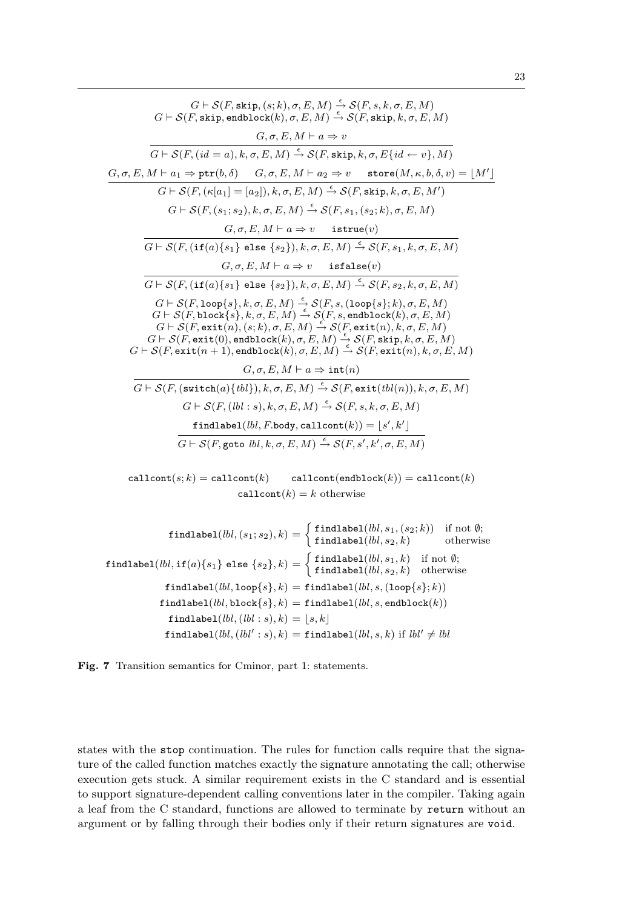

$$
\text{findlabel}(lbl,\text{loop}\{s\},k) = \text{findlabel}(lbl,s,(\text{loop}\{s\};k)) \\ \text{findlabel}(lbl,\text{block}\{s\},k) = \text{findlabel}(lbl,s,(\text{loop}\{s\};k)) \\ \text{findlabel}(lbl,(lbl:s),k) = \lfloor s,k \rfloor \\ \text{findlabel}(lbl,(lbl':s),k) = \lfloor s,k \rfloor \\ \text{findlabel}(lbl,(lbl':s),k) = \text{findlabel}(lbl,s,k) \text{ if } lbl' \neq lbl
$$



states with the stop continuation. The rules for function calls require that the signature of the called function matches exactly the signature annotating the call; otherwise execution gets stuck. A similar requirement exists in the C standard and is essential to support signature-dependent calling conventions later in the compiler. Taking again a leaf from the C standard, functions are allowed to terminate by return without an argument or by falling through their bodies only if their return signatures are void.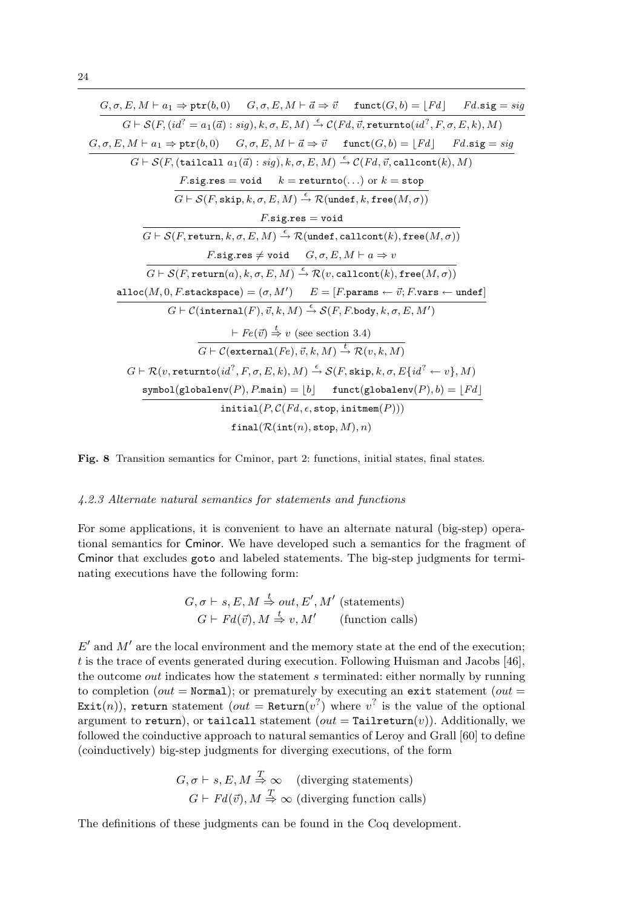$$
G, \sigma, E, M \vdash a_1 \Rightarrow \text{ptr}(b, 0) \qquad G, \sigma, E, M \vdash \vec{a} \Rightarrow \vec{v} \qquad \text{funct}(G, b) = \lfloor Fd \rfloor \qquad Fd.\text{sig} = sig
$$
\n
$$
G \vdash \mathcal{S}(F, (id^2 = a_1(\vec{a}) : sig), k, \sigma, E, M) \xrightarrow{\epsilon} \mathcal{C}(Fd, \vec{v}, \text{returnto}(id^2, F, \sigma, E, k), M)
$$
\n
$$
G, \sigma, E, M \vdash a_1 \Rightarrow \text{ptr}(b, 0) \qquad G, \sigma, E, M \vdash \vec{a} \Rightarrow \vec{v} \qquad \text{funct}(G, b) = \lfloor Fd \rfloor \qquad Fd.\text{sig} = sig
$$
\n
$$
G \vdash \mathcal{S}(F, (\text{tailcall cal1 } a_1(\vec{a}) : sig), k, \sigma, E, M) \xrightarrow{\epsilon} \mathcal{C}(Fd, \vec{v}, \text{callcont}(k), M)
$$
\n
$$
F.\text{sig}.\text{res} = \text{void} \qquad k = \text{returnto}(\ldots) \text{ or } k = \text{stop}
$$
\n
$$
\overline{G} \vdash \mathcal{S}(F, \text{skip}, k, \sigma, E, M) \xrightarrow{\epsilon} \mathcal{R}(\text{undef}, k, \text{free}(M, \sigma))
$$
\n
$$
F.\text{sig}.\text{res} = \text{void}
$$
\n
$$
\overline{G} \vdash \mathcal{S}(F, \text{return}, k, \sigma, E, M) \xrightarrow{\epsilon} \mathcal{R}(\text{undef}, \text{callcont}(k), \text{free}(M, \sigma))
$$
\n
$$
F.\text{sig}.\text{res} \neq \text{void} \qquad G, \sigma, E, M \vdash a \Rightarrow v
$$
\n
$$
\overline{G} \vdash \mathcal{S}(F, \text{return}(a), k, \sigma, E, M) \xrightarrow{\epsilon} \mathcal{R}(v, \text{callcont}(k), \text{free}(M, \sigma))
$$
\n
$$
\text{alloc}(M, 0, F.\text{stackspace}) = (\sigma, M') \qquad E = [F.\text{params} \leftarrow \vec{v}; F.\text{vars} \leftarrow \text{und
$$

Fig. 8 Transition semantics for Cminor, part 2: functions, initial states, final states.

#### 4.2.3 Alternate natural semantics for statements and functions

For some applications, it is convenient to have an alternate natural (big-step) operational semantics for Cminor. We have developed such a semantics for the fragment of Cminor that excludes goto and labeled statements. The big-step judgments for terminating executions have the following form:

$$
G, \sigma \vdash s, E, M \stackrel{t}{\Rightarrow} out, E', M' \text{ (statements)}
$$
  

$$
G \vdash Fd(\vec{v}), M \stackrel{t}{\Rightarrow} v, M' \text{ (function calls)}
$$

 $E'$  and  $M'$  are the local environment and the memory state at the end of the execution; t is the trace of events generated during execution. Following Huisman and Jacobs  $[46]$ , the outcome out indicates how the statement s terminated: either normally by running to completion (*out* = Normal); or prematurely by executing an exit statement (*out* = Exit(n)), return statement  $(out = Return(v^?)$  where  $v^?$  is the value of the optional argument to return), or tailcall statement  $(out = Tailreturn(v))$ . Additionally, we followed the coinductive approach to natural semantics of Leroy and Grall [60] to define (coinductively) big-step judgments for diverging executions, of the form

$$
G, \sigma \vdash s, E, M \stackrel{T}{\Rightarrow} \infty \quad \text{(diverging statements)}
$$
  

$$
G \vdash Fd(\vec{v}), M \stackrel{T}{\Rightarrow} \infty \text{ (diverging function calls)}
$$

The definitions of these judgments can be found in the Coq development.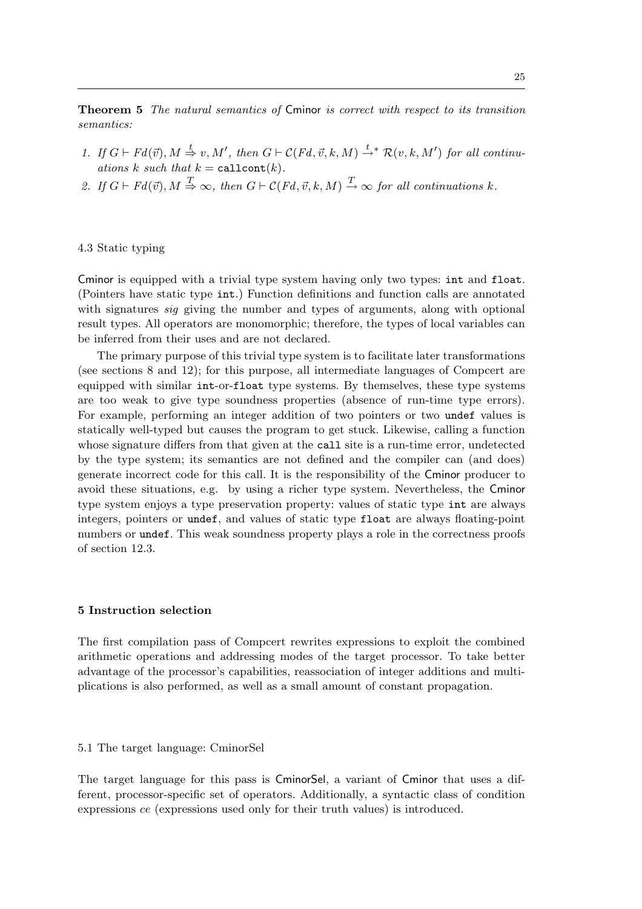Theorem 5 The natural semantics of Cminor is correct with respect to its transition semantics:

- 1. If  $G \vdash Fd(\vec{v}), M \stackrel{t}{\Rightarrow} v, M'$ , then  $G \vdash C(Fd, \vec{v}, k, M) \stackrel{t}{\rightarrow} \mathcal{R}(v, k, M')$  for all continuations k such that  $k = \text{callcont}(k)$ .
- 2. If  $G \vdash Fd(\vec{v}), M \stackrel{T}{\Rightarrow} \infty$ , then  $G \vdash C(Fd, \vec{v}, k, M) \stackrel{T}{\to} \infty$  for all continuations k.

#### 4.3 Static typing

Cminor is equipped with a trivial type system having only two types: int and float. (Pointers have static type int.) Function definitions and function calls are annotated with signatures *sig* giving the number and types of arguments, along with optional result types. All operators are monomorphic; therefore, the types of local variables can be inferred from their uses and are not declared.

The primary purpose of this trivial type system is to facilitate later transformations (see sections 8 and 12); for this purpose, all intermediate languages of Compcert are equipped with similar int-or-float type systems. By themselves, these type systems are too weak to give type soundness properties (absence of run-time type errors). For example, performing an integer addition of two pointers or two undef values is statically well-typed but causes the program to get stuck. Likewise, calling a function whose signature differs from that given at the call site is a run-time error, undetected by the type system; its semantics are not defined and the compiler can (and does) generate incorrect code for this call. It is the responsibility of the Cminor producer to avoid these situations, e.g. by using a richer type system. Nevertheless, the Cminor type system enjoys a type preservation property: values of static type int are always integers, pointers or undef, and values of static type float are always floating-point numbers or undef. This weak soundness property plays a role in the correctness proofs of section 12.3.

## 5 Instruction selection

The first compilation pass of Compcert rewrites expressions to exploit the combined arithmetic operations and addressing modes of the target processor. To take better advantage of the processor's capabilities, reassociation of integer additions and multiplications is also performed, as well as a small amount of constant propagation.

#### 5.1 The target language: CminorSel

The target language for this pass is CminorSel, a variant of Cminor that uses a different, processor-specific set of operators. Additionally, a syntactic class of condition expressions ce (expressions used only for their truth values) is introduced.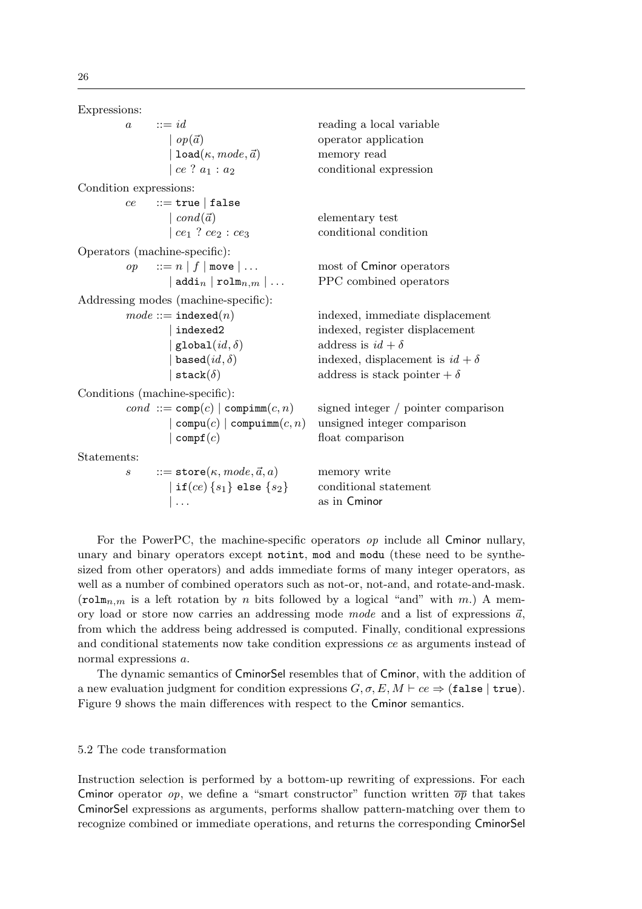Expressions:  $a$  ::= id reading a local variable  $| op(\vec{a})$  operator application | load $(\kappa, mode, \vec{a})$  memory read  $|ce\text{? }a_1:a_2$  conditional expression Condition expressions:  $ce$  := true | false  $| \text{cond}(\vec{a})$  elementary test  $|ce_1$  ?  $ce_2$  :  $ce_3$  conditional condition Operators (machine-specific): op  $:= n | f |$  move  $| \dots$  most of Cminor operators  $\vert$  addi<sub>n</sub>  $\vert$  rolm<sub>n,m</sub>  $\vert$ ... PPC combined operators Addressing modes (machine-specific):  $mode ::= \texttt{indexed}(n)$  indexed, immediate displacement | indexed2 indexed, register displacement  $\text{global}(id, \delta)$  address is  $id + \delta$  $\mathsf{based}(id, \delta)$  indexed, displacement is  $id + \delta$  $\texttt{stack}( \delta )$  address is stack pointer +  $\delta$ Conditions (machine-specific):  $cond ::= comp(c) | compimm(c, n)$  signed integer / pointer comparison  $|compu(c)|$  compuimm $(c, n)$  unsigned integer comparison  $\cos(t)$  float comparison Statements:  $s$  ::= store $(\kappa, mode, \vec{a}, a)$  memory write  $| \text{ if}(ce) \{s_1\} \text{ else } \{s_2\}$  conditional statement | ... as in Cminor

For the PowerPC, the machine-specific operators op include all Cminor nullary, unary and binary operators except notint, mod and modu (these need to be synthesized from other operators) and adds immediate forms of many integer operators, as well as a number of combined operators such as not-or, not-and, and rotate-and-mask.  $(rolm_{n,m}$  is a left rotation by n bits followed by a logical "and" with m.) A memory load or store now carries an addressing mode mode and a list of expressions  $\vec{a}$ , from which the address being addressed is computed. Finally, conditional expressions and conditional statements now take condition expressions ce as arguments instead of normal expressions a.

The dynamic semantics of CminorSel resembles that of Cminor, with the addition of a new evaluation judgment for condition expressions  $G, \sigma, E, M \vdash ce \Rightarrow (\text{false} \mid \text{true}).$ Figure 9 shows the main differences with respect to the Cminor semantics.

# 5.2 The code transformation

Instruction selection is performed by a bottom-up rewriting of expressions. For each Cminor operator op, we define a "smart constructor" function written  $\overline{op}$  that takes CminorSel expressions as arguments, performs shallow pattern-matching over them to recognize combined or immediate operations, and returns the corresponding CminorSel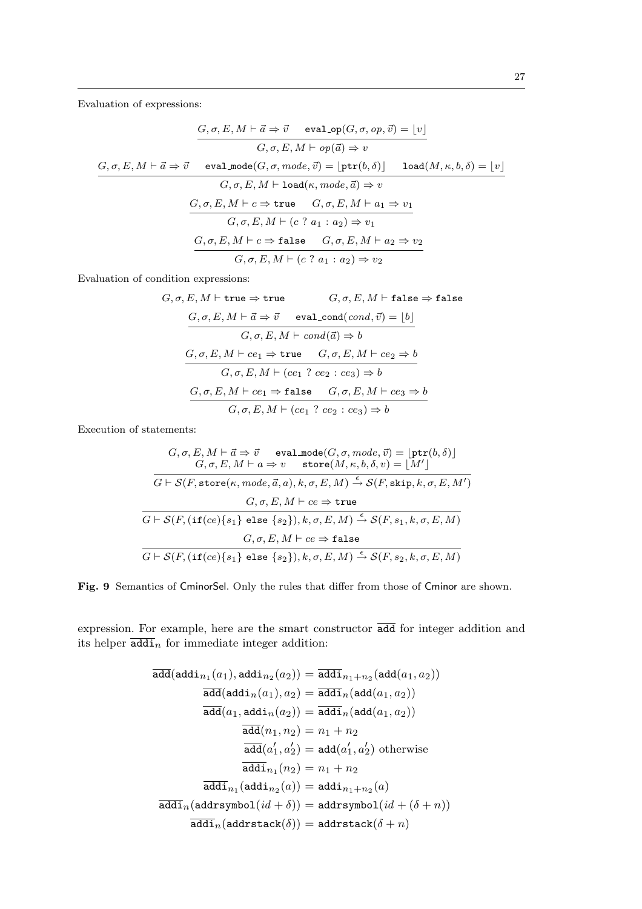$$
\frac{G, \sigma, E, M \vdash \vec{a} \Rightarrow \vec{v} \quad \text{eval_op}(G, \sigma, op, \vec{v}) = \lfloor v \rfloor}{G, \sigma, E, M \vdash op(\vec{a}) \Rightarrow v}
$$
\n
$$
\frac{G, \sigma, E, M \vdash \vec{a} \Rightarrow \vec{v} \quad \text{eval_model}(G, \sigma, mode, \vec{v}) = \lfloor \text{ptr}(b, \delta) \rfloor \quad \text{load}(M, \kappa, b, \delta) = \lfloor v \rfloor}{G, \sigma, E, M \vdash \text{load}(\kappa, mode, \vec{a}) \Rightarrow v}
$$
\n
$$
\frac{G, \sigma, E, M \vdash c \Rightarrow \text{true} \quad G, \sigma, E, M \vdash a_1 \Rightarrow v_1}{G, \sigma, E, M \vdash (c \ ? \ a_1 : a_2) \Rightarrow v_1}
$$
\n
$$
\frac{G, \sigma, E, M \vdash c \Rightarrow \text{false} \quad G, \sigma, E, M \vdash a_2 \Rightarrow v_2}{G, \sigma, E, M \vdash (c \ ? \ a_1 : a_2) \Rightarrow v_2}
$$

Evaluation of condition expressions:

$$
G, \sigma, E, M \vdash \text{true} \Rightarrow \text{true} \qquad G, \sigma, E, M \vdash \text{false} \Rightarrow \text{false}
$$
\n
$$
\frac{G, \sigma, E, M \vdash \vec{a} \Rightarrow \vec{v} \quad \text{eval_cond}(cond, \vec{v}) = \lfloor b \rfloor}{G, \sigma, E, M \vdash ce_1 \Rightarrow \text{true} \quad G, \sigma, E, M \vdash ce_2 \Rightarrow b}
$$
\n
$$
\frac{G, \sigma, E, M \vdash ce_1 \Rightarrow \text{true} \quad G, \sigma, E, M \vdash ce_2 \Rightarrow b}{G, \sigma, E, M \vdash (ce_1 ? ce_2 : ce_3) \Rightarrow b}
$$
\n
$$
\frac{G, \sigma, E, M \vdash ce_1 \Rightarrow \text{false} \quad G, \sigma, E, M \vdash ce_3 \Rightarrow b}{G, \sigma, E, M \vdash (ce_1 ? ce_2 : ce_3) \Rightarrow b}
$$

Execution of statements:

$$
G, \sigma, E, M \vdash \vec{a} \Rightarrow \vec{v} \quad \text{eval_model}(G, \sigma, mode, \vec{v}) = \lfloor \text{ptr}(b, \delta) \rfloor
$$
\n
$$
G, \sigma, E, M \vdash a \Rightarrow v \quad \text{store}(M, \kappa, b, \delta, v) = \lfloor M' \rfloor
$$
\n
$$
G \vdash \mathcal{S}(F, \text{store}(\kappa, mode, \vec{a}, a), k, \sigma, E, M) \stackrel{\epsilon}{\Rightarrow} \mathcal{S}(F, \text{skip}, k, \sigma, E, M')
$$
\n
$$
G, \sigma, E, M \vdash ce \Rightarrow \text{true}
$$
\n
$$
G \vdash \mathcal{S}(F, (\text{if}(ce)\{s_1\} \text{ else } \{s_2\}), k, \sigma, E, M) \stackrel{\epsilon}{\Rightarrow} \mathcal{S}(F, s_1, k, \sigma, E, M)
$$
\n
$$
G, \sigma, E, M \vdash ce \Rightarrow \text{false}
$$
\n
$$
G \vdash \mathcal{S}(F, (\text{if}(ce)\{s_1\} \text{ else } \{s_2\}), k, \sigma, E, M) \stackrel{\epsilon}{\Rightarrow} \mathcal{S}(F, s_2, k, \sigma, E, M)
$$

Fig. 9 Semantics of CminorSel. Only the rules that differ from those of Cminor are shown.

expression. For example, here are the smart constructor add for integer addition and its helper  $\overline{\text{addi}}_n$  for immediate integer addition:

$$
\overline{\text{add}}(\text{addi}_{n_1}(a_1),\text{addi}_{n_2}(a_2))=\overline{\text{addi}}_{n_1+n_2}(\text{add}(a_1,a_2))\\\overline{\text{add}}(\text{addi}_n(a_1),a_2)=\overline{\text{addi}}_n(\text{add}(a_1,a_2))\\\overline{\text{add}}(a_1,\text{addi}_n(a_2))=\overline{\text{addi}}_n(\text{add}(a_1,a_2))\\\overline{\text{add}}(n_1,n_2)=n_1+n_2\\\overline{\text{add}}(a'_1,a'_2)=\text{add}(a'_1,a'_2)\text{ otherwise}\\ \overline{\text{addi}}_{n_1}(n_2)=n_1+n_2\\\overline{\text{addi}}_{n_1}(\text{addi}_{n_2}(a))=\text{addi}_{n_1+n_2}(a)\\\overline{\text{addi}}_n(\text{addrsymbol}(id+\delta))=\text{addrsymbol}(id+(\delta+n))\\\overline{\text{addi}}_n(\text{addrstack}(\delta))=\text{addrstack}(\delta+n)
$$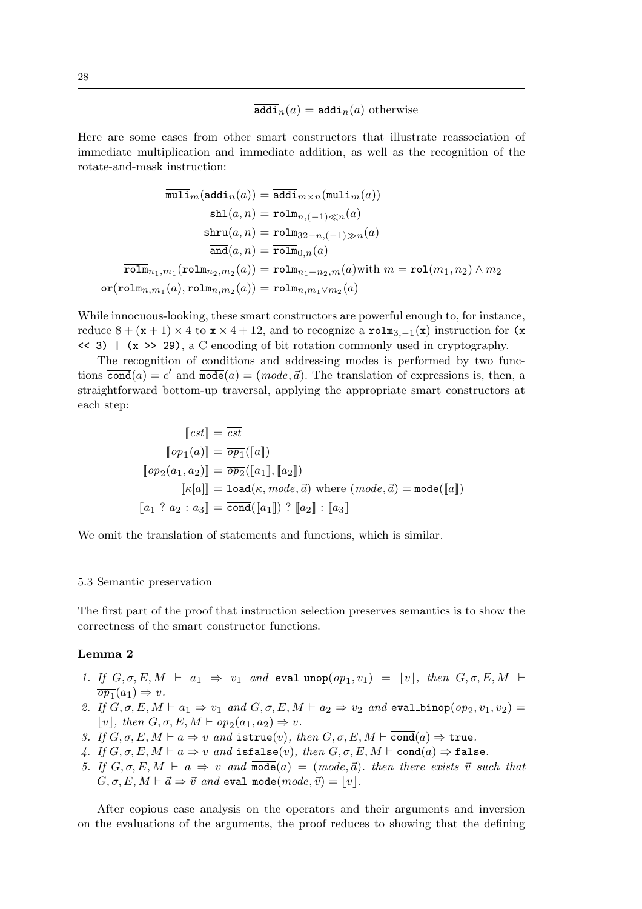$\overline{\text{addi}}_n(a) = \text{addi}_n(a)$  otherwise

Here are some cases from other smart constructors that illustrate reassociation of immediate multiplication and immediate addition, as well as the recognition of the rotate-and-mask instruction:

$$
\overline{\mathop{\mathrm{mulim}}}_m(\mathrm{addi}_n(a))=\overline{\mathop{\mathrm{addi}}}_{m\times n}(\mathop{\mathrm{mulim}}_m(a))\\ \overline{\mathop{\mathrm{shl}}}(a,n)=\overline{\mathop{\mathrm{rolm}}}_{n,(-1)\ll n}(a)\\ \overline{\mathop{\mathrm{shru}}}_a(a,n)=\overline{\mathop{\mathrm{rolm}}}_{32-n,(-1)\gg n}(a)\\ \overline{\mathop{\mathrm{and}}}(a,n)=\overline{\mathop{\mathrm{rolm}}}_{0,n}(a)\\ \overline{\mathop{\mathrm{rolm}}}_{n_1,m_1}(\mathrm{rolm}_{n_2,m_2}(a))=\mathrm{rolm}_{n_1+n_2,m}(a)\mathrm{with}\,\,m=\mathrm{rol}(m_1,n_2)\wedge m_2\\ \overline{\mathop{\mathrm{or}}}(\mathrm{rolm}_{n,m_1}(a),\mathrm{rolm}_{n,m_2}(a))=\mathrm{rolm}_{n,m_1\vee m_2}(a)
$$

While innocuous-looking, these smart constructors are powerful enough to, for instance, reduce  $8 + (\mathbf{x} + 1) \times 4$  to  $\mathbf{x} \times 4 + 12$ , and to recognize a rolm<sub>3,-1</sub>(x) instruction for (x)  $\langle 3 \rangle$  (x  $\gg$  29), a C encoding of bit rotation commonly used in cryptography.

The recognition of conditions and addressing modes is performed by two functions  $\overline{\text{cond}}(a) = c'$  and  $\overline{\text{mode}}(a) = (mode, \vec{a})$ . The translation of expressions is, then, a straightforward bottom-up traversal, applying the appropriate smart constructors at each step:

$$
\begin{aligned}\n\llbracket cst\rrbracket &= \overline{cst} \\
\llbracket op_1(a)\rrbracket &= \overline{op_1}(\llbracket a \rrbracket) \\
\llbracket op_2(a_1, a_2)\rrbracket &= \overline{op_2}(\llbracket a_1 \rrbracket, \llbracket a_2 \rrbracket) \\
\llbracket \kappa[a] \rrbracket &= \texttt{load}(\kappa, mode, \vec{a}) \text{ where } (mode, \vec{a}) = \overline{\text{mode}}(\llbracket a \rrbracket) \\
\llbracket a_1 ? a_2 : a_3 \rrbracket &= \overline{\text{cond}}(\llbracket a_1 \rrbracket) ? \llbracket a_2 \rrbracket : \llbracket a_3 \rrbracket\n\end{aligned}
$$

We omit the translation of statements and functions, which is similar.

#### 5.3 Semantic preservation

The first part of the proof that instruction selection preserves semantics is to show the correctness of the smart constructor functions.

## Lemma 2

- 1. If  $G, \sigma, E, M \vdash a_1 \Rightarrow v_1$  and eval unop $(op_1, v_1) = \lfloor v \rfloor$ , then  $G, \sigma, E, M \vdash$  $\overline{op_1}(a_1) \Rightarrow v.$
- 2. If  $G, \sigma, E, M \vdash a_1 \Rightarrow v_1$  and  $G, \sigma, E, M \vdash a_2 \Rightarrow v_2$  and eval binop $(op_2, v_1, v_2) =$  $\lfloor v \rfloor$ , then  $G, \sigma, E, M \vdash \overline{op_2}(a_1, a_2) \Rightarrow v.$
- 3. If  $G, \sigma, E, M \vdash a \Rightarrow v$  and istrue(v), then  $G, \sigma, E, M \vdash \overline{\text{cond}}(a) \Rightarrow$  true.
- 4. If  $G, \sigma, E, M \vdash a \Rightarrow v$  and isfalse(v), then  $G, \sigma, E, M \vdash \overline{\text{cond}}(a) \Rightarrow$  false.
- 5. If  $G, \sigma, E, M \vdash a \Rightarrow v$  and  $\overline{\text{mode}}(a) = (mode, \vec{a})$ . then there exists  $\vec{v}$  such that  $G, \sigma, E, M \vdash \vec{a} \Rightarrow \vec{v}$  and eval mode(mode,  $\vec{v}$ ) = |v|.

After copious case analysis on the operators and their arguments and inversion on the evaluations of the arguments, the proof reduces to showing that the defining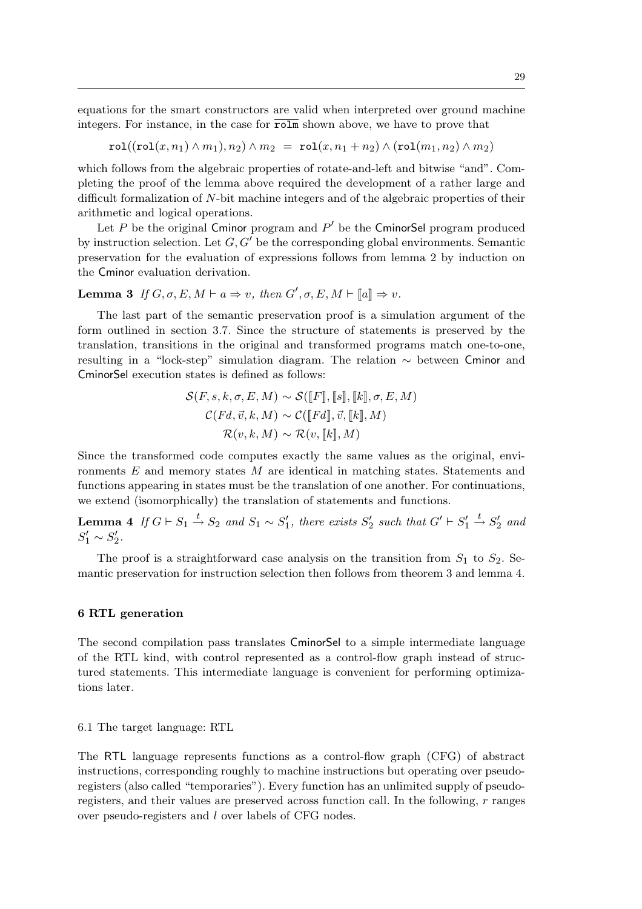equations for the smart constructors are valid when interpreted over ground machine integers. For instance, in the case for  $\overline{\text{roll}}$  shown above, we have to prove that

$$
\texttt{rol}((\texttt{rol}(x,n_1)\wedge m_1),n_2)\wedge m_2\ =\ \texttt{rol}(x,n_1+n_2)\wedge (\texttt{rol}(m_1,n_2)\wedge m_2)
$$

which follows from the algebraic properties of rotate-and-left and bitwise "and". Completing the proof of the lemma above required the development of a rather large and difficult formalization of N-bit machine integers and of the algebraic properties of their arithmetic and logical operations.

Let P be the original Cminor program and  $P'$  be the CminorSel program produced by instruction selection. Let  $G, G'$  be the corresponding global environments. Semantic preservation for the evaluation of expressions follows from lemma 2 by induction on the Cminor evaluation derivation.

**Lemma 3** If  $G, \sigma, E, M \vdash a \Rightarrow v$ , then  $G', \sigma, E, M \vdash \|a\| \Rightarrow v$ .

The last part of the semantic preservation proof is a simulation argument of the form outlined in section 3.7. Since the structure of statements is preserved by the translation, transitions in the original and transformed programs match one-to-one, resulting in a "lock-step" simulation diagram. The relation ∼ between Cminor and CminorSel execution states is defined as follows:

$$
S(F, s, k, \sigma, E, M) \sim S([\![F]\!], [\![s]\!], [\![k]\!], \sigma, E, M)
$$

$$
C(Fd, \vec{v}, k, M) \sim C([\![Fd]\!], \vec{v}, [\![k]\!], M)
$$

$$
\mathcal{R}(v, k, M) \sim \mathcal{R}(v, [\![k]\!], M)
$$

Since the transformed code computes exactly the same values as the original, environments E and memory states M are identical in matching states. Statements and functions appearing in states must be the translation of one another. For continuations, we extend (isomorphically) the translation of statements and functions.

**Lemma 4** If  $G \vdash S_1 \stackrel{t}{\rightarrow} S_2$  and  $S_1 \sim S_1'$ , there exists  $S_2'$  such that  $G' \vdash S_1' \stackrel{t}{\rightarrow} S_2'$  and  $S'_1 \sim S'_2$ .

The proof is a straightforward case analysis on the transition from  $S_1$  to  $S_2$ . Semantic preservation for instruction selection then follows from theorem 3 and lemma 4.

## 6 RTL generation

The second compilation pass translates CminorSel to a simple intermediate language of the RTL kind, with control represented as a control-flow graph instead of structured statements. This intermediate language is convenient for performing optimizations later.

6.1 The target language: RTL

The RTL language represents functions as a control-flow graph (CFG) of abstract instructions, corresponding roughly to machine instructions but operating over pseudoregisters (also called "temporaries"). Every function has an unlimited supply of pseudoregisters, and their values are preserved across function call. In the following, r ranges over pseudo-registers and l over labels of CFG nodes.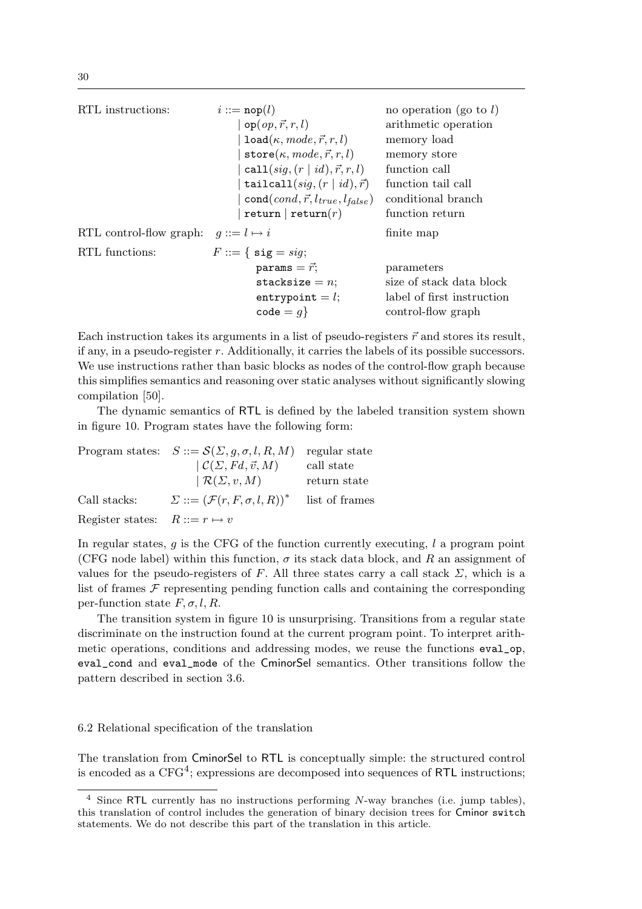| no operation (go to $l$ )                                        |
|------------------------------------------------------------------|
| $op(op, \vec{r}, r, l)$<br>arithmetic operation                  |
| $load(\kappa, mode, \vec{r}, r, l)$<br>memory load               |
| store $(\kappa, mode, \vec{r}, r, l)$<br>memory store            |
| call $(siq, (r   id), \vec{r}, r, l)$<br>function call           |
| tailcall $(sig, (r   id), \vec{r})$<br>function tail call        |
| $cond(cond, \vec{r}, l_{true}, l_{false})$<br>conditional branch |
| return   return(r)<br>function return                            |
| finite map                                                       |
| $F ::= \{ \text{sig} = sig;$                                     |
| params $= \vec{r}$ ;<br>parameters                               |
| size of stack data block<br>stacksize $=n$ ;                     |
| label of first instruction<br>entrypoint $=$ $l$ ;               |
| $code = q$<br>control-flow graph                                 |
|                                                                  |

Each instruction takes its arguments in a list of pseudo-registers  $\vec{r}$  and stores its result, if any, in a pseudo-register  $r$ . Additionally, it carries the labels of its possible successors. We use instructions rather than basic blocks as nodes of the control-flow graph because this simplifies semantics and reasoning over static analyses without significantly slowing compilation [50].

The dynamic semantics of RTL is defined by the labeled transition system shown in figure 10. Program states have the following form:

|                                      | Program states: $S ::= S(\Sigma, g, \sigma, l, R, M)$ | regular state  |
|--------------------------------------|-------------------------------------------------------|----------------|
|                                      | $\mathcal{C}(\Sigma, Fd, \vec{v}, M)$                 | call state     |
|                                      | $\mathcal{R}(\Sigma, v, M)$                           | return state   |
| Call stacks:                         | $\Sigma ::= (\mathcal{F}(r, F, \sigma, l, R))^*$      | list of frames |
| Register states: $R ::= r \mapsto v$ |                                                       |                |

In regular states, g is the CFG of the function currently executing,  $l$  a program point (CFG node label) within this function,  $\sigma$  its stack data block, and R an assignment of values for the pseudo-registers of F. All three states carry a call stack  $\Sigma$ , which is a list of frames  $F$  representing pending function calls and containing the corresponding per-function state  $F, \sigma, l, R$ .

The transition system in figure 10 is unsurprising. Transitions from a regular state discriminate on the instruction found at the current program point. To interpret arithmetic operations, conditions and addressing modes, we reuse the functions eval\_op, eval\_cond and eval\_mode of the CminorSel semantics. Other transitions follow the pattern described in section 3.6.

## 6.2 Relational specification of the translation

The translation from CminorSel to RTL is conceptually simple: the structured control is encoded as a CFG<sup>4</sup>; expressions are decomposed into sequences of RTL instructions;

 $4$  Since RTL currently has no instructions performing N-way branches (i.e. jump tables), this translation of control includes the generation of binary decision trees for Cminor switch statements. We do not describe this part of the translation in this article.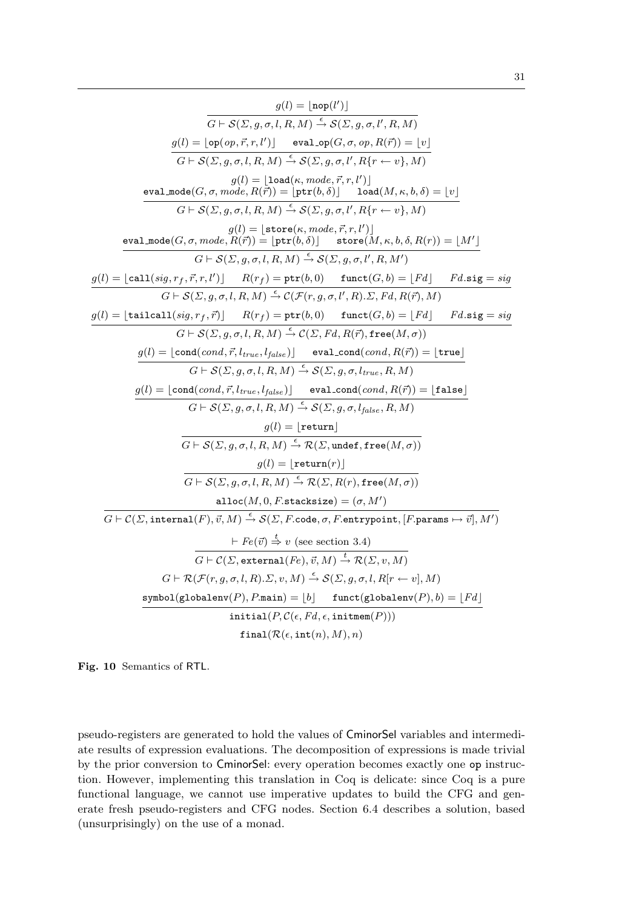$$
\frac{g(l) = \lfloor \text{np}(l') \rfloor}{G + S(\varSigma, g, \sigma, l, R, M) \xrightarrow{\epsilon} S(\varSigma, g, \sigma, l', R, M)}\n\frac{g(l) = \lfloor \text{pp}(op, \vec{r}, r, l') \rfloor \quad \text{eval\_op}(G, \sigma, op, R(\vec{r})) = \lfloor v \rfloor}{G + S(\varSigma, g, \sigma, l, R, M) \xrightarrow{\epsilon} S(\varSigma, g, \sigma, l', R(\tau - v), M)}\n\frac{g(l) = \lfloor \text{load}(\kappa, mode, \vec{r}, r, l') \rfloor}{G + S(\varSigma, g, \sigma, l, R, M) \xrightarrow{\epsilon} S(\varSigma, g, \sigma, l', R(\tau - v), M)}\n\text{eval\_mode}(G, \sigma, mode, R(\vec{r})) = \lfloor \text{ptr}(b, \delta) \rfloor \quad \text{load}(M, \kappa, b, \delta) = \lfloor v \rfloor\n\frac{G + S(\varSigma, g, \sigma, l, R, M) \xrightarrow{\epsilon} S(\varSigma, g, \sigma, l', R(\tau - v), M)}{G + S(\varSigma, g, \sigma, l, R, M) \xrightarrow{\epsilon} S(\varSigma, g, \sigma, l', R, M')}\n\text{eval\_mode}(G, \sigma, mode, R(\vec{r})) = \lfloor \text{ptr}(b, \delta) \rfloor \quad \text{fixed}(M, \kappa, b, \delta, R(\tau)) = \lfloor M' \rfloor\n\frac{G + S(\varSigma, g, \sigma, l, R, M) \xrightarrow{\epsilon} S(\varSigma, g, \sigma, l', R, M')}{G + S(\varSigma, g, \sigma, l, R, M) \xrightarrow{\epsilon} C(\mathcal{F}(\tau, g, \sigma, l', R, M')}, \varSigma, Fd, R(\vec{r}), M)}\n\frac{g(l) = \lfloor \text{call}(sign, r, \vec{r}) \rfloor \quad R(r_f) = \text{ptr}(b, 0) \quad \text{fund}(G, b) = \lfloor Fd \rfloor \quad Fd.\text{sig} = sig}{G + S(\varSigma, g, \sigma, l, R, M) \xrightarrow{\epsilon} C(\varSigma, Fd, R(\vec{r}), \text{free}(M, \sigma))}\n\frac{g(l) = \lfloor \text{cond}(cond, \vec{r}, l_{true}, l_{false}) \rfloor \quad \
$$

Fig. 10 Semantics of RTL.

pseudo-registers are generated to hold the values of CminorSel variables and intermediate results of expression evaluations. The decomposition of expressions is made trivial by the prior conversion to CminorSel: every operation becomes exactly one op instruction. However, implementing this translation in Coq is delicate: since Coq is a pure functional language, we cannot use imperative updates to build the CFG and generate fresh pseudo-registers and CFG nodes. Section 6.4 describes a solution, based (unsurprisingly) on the use of a monad.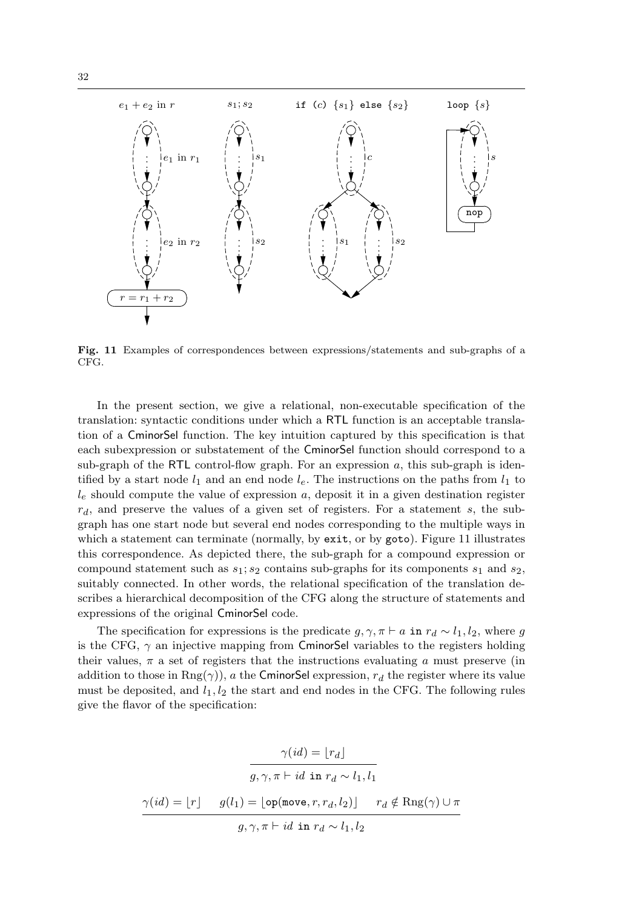

Fig. 11 Examples of correspondences between expressions/statements and sub-graphs of a CFG.

In the present section, we give a relational, non-executable specification of the translation: syntactic conditions under which a RTL function is an acceptable translation of a CminorSel function. The key intuition captured by this specification is that each subexpression or substatement of the CminorSel function should correspond to a sub-graph of the RTL control-flow graph. For an expression  $a$ , this sub-graph is identified by a start node  $l_1$  and an end node  $l_e$ . The instructions on the paths from  $l_1$  to  $l_e$  should compute the value of expression  $a$ , deposit it in a given destination register  $r_d$ , and preserve the values of a given set of registers. For a statement s, the subgraph has one start node but several end nodes corresponding to the multiple ways in which a statement can terminate (normally, by exit, or by goto). Figure 11 illustrates this correspondence. As depicted there, the sub-graph for a compound expression or compound statement such as  $s_1$ ;  $s_2$  contains sub-graphs for its components  $s_1$  and  $s_2$ , suitably connected. In other words, the relational specification of the translation describes a hierarchical decomposition of the CFG along the structure of statements and expressions of the original CminorSel code.

The specification for expressions is the predicate  $g, \gamma, \pi \vdash a$  in  $r_d \sim l_1, l_2$ , where g is the CFG,  $\gamma$  an injective mapping from CminorSel variables to the registers holding their values,  $\pi$  a set of registers that the instructions evaluating a must preserve (in addition to those in  $\text{Rng}(\gamma)$ , a the CminorSel expression,  $r_d$  the register where its value must be deposited, and  $l_1, l_2$  the start and end nodes in the CFG. The following rules give the flavor of the specification:

$$
\gamma(id) = \lfloor r_d \rfloor
$$
  

$$
g, \gamma, \pi \vdash id \text{ in } r_d \sim l_1, l_1
$$
  

$$
\gamma(id) = \lfloor r \rfloor \qquad g(l_1) = \lfloor \text{op}(\text{move}, r, r_d, l_2) \rfloor \qquad r_d \notin \text{Rng}(\gamma) \cup \pi
$$
  

$$
g, \gamma, \pi \vdash id \text{ in } r_d \sim l_1, l_2
$$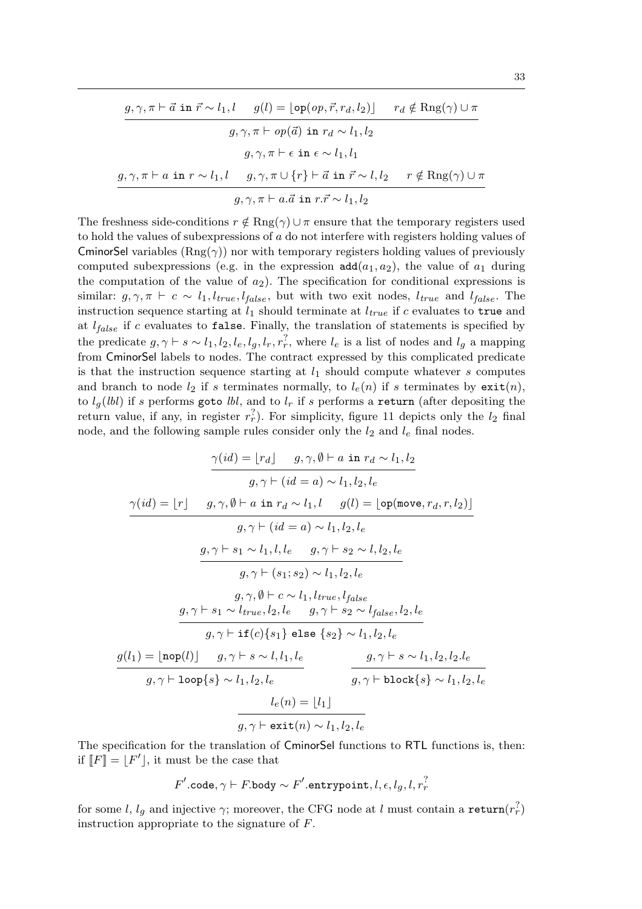$$
\frac{g, \gamma, \pi \vdash \vec{a} \text{ in } \vec{r} \sim l_1, l \qquad g(l) = \lfloor op(op, \vec{r}, r_d, l_2) \rfloor \qquad r_d \notin \text{Rng}(\gamma) \cup \pi}{g, \gamma, \pi \vdash op(\vec{a}) \text{ in } r_d \sim l_1, l_2}
$$
\n
$$
g, \gamma, \pi \vdash \epsilon \text{ in } \epsilon \sim l_1, l_1
$$
\n
$$
g, \gamma, \pi \vdash a \text{ in } r \sim l_1, l \qquad g, \gamma, \pi \cup \{r\} \vdash \vec{a} \text{ in } \vec{r} \sim l, l_2 \qquad r \notin \text{Rng}(\gamma) \cup \pi
$$
\n
$$
g, \gamma, \pi \vdash a. \vec{a} \text{ in } r. \vec{r} \sim l_1, l_2
$$

The freshness side-conditions  $r \notin \text{Rng}(\gamma) \cup \pi$  ensure that the temporary registers used to hold the values of subexpressions of  $a$  do not interfere with registers holding values of CminorSel variables  $(\text{Rng}(\gamma))$  nor with temporary registers holding values of previously computed subexpressions (e.g. in the expression  $add(a_1, a_2)$ , the value of  $a_1$  during the computation of the value of  $a_2$ ). The specification for conditional expressions is similar:  $g, \gamma, \pi \vdash c \sim l_1, l_{true}, l_{false}$ , but with two exit nodes,  $l_{true}$  and  $l_{false}$ . The instruction sequence starting at  $l_1$  should terminate at  $l_{true}$  if c evaluates to true and at  $l_{false}$  if c evaluates to false. Finally, the translation of statements is specified by the predicate  $g, \gamma \vdash s \sim l_1, l_2, l_e, l_g, l_r, r_r^2$ , where  $l_e$  is a list of nodes and  $l_g$  a mapping from CminorSel labels to nodes. The contract expressed by this complicated predicate is that the instruction sequence starting at  $l_1$  should compute whatever s computes and branch to node  $l_2$  if s terminates normally, to  $l_e(n)$  if s terminates by  $\text{exit}(n)$ , to  $l_q(lbl)$  if s performs goto lbl, and to  $l_r$  if s performs a return (after depositing the return value, if any, in register  $r_r^?$ ). For simplicity, figure 11 depicts only the  $l_2$  final node, and the following sample rules consider only the  $l_2$  and  $l_e$  final nodes.

$$
\frac{\gamma(id) = \lfloor r_d \rfloor \qquad g, \gamma, \emptyset \vdash a \text{ in } r_d \sim l_1, l_2}{g, \gamma \vdash (id = a) \sim l_1, l_2, l_e}
$$
\n
$$
\frac{\gamma(id) = \lfloor r \rfloor \qquad g, \gamma, \emptyset \vdash a \text{ in } r_d \sim l_1, l \qquad g(l) = \lfloor \text{op}(\text{move}, r_d, r, l_2) \rfloor}{g, \gamma \vdash (id = a) \sim l_1, l_2, l_e}
$$
\n
$$
\frac{g, \gamma \vdash s_1 \sim l_1, l, l_e \qquad g, \gamma \vdash s_2 \sim l, l_2, l_e}{g, \gamma \vdash (s_1; s_2) \sim l_1, l_2, l_e}
$$
\n
$$
\frac{g, \gamma, \emptyset \vdash c \sim l_1, l_{true}, l_{false}}{g, \gamma \vdash s_2 \sim l_{false}, l_2, l_e}
$$
\n
$$
\frac{g, \gamma \vdash s_1 \sim l_{true}, l_2, l_e \qquad g, \gamma \vdash s_2 \sim l_{false}, l_2, l_e}{g, \gamma \vdash \text{if}(c) \{s_1\} \text{ else } \{s_2\} \sim l_1, l_2, l_e}
$$
\n
$$
\frac{g(l_1) = \lfloor \text{nop}(l) \rfloor \qquad g, \gamma \vdash s \sim l, l_1, l_e}{g, \gamma \vdash \text{block} \{s\} \sim l_1, l_2, l_e}
$$
\n
$$
\frac{l_e(n) = \lfloor l_1 \rfloor}{g, \gamma \vdash \text{exit}(n) \sim l_1, l_2, l_e}
$$

The specification for the translation of CminorSel functions to RTL functions is, then: if  $\llbracket F \rrbracket = \llbracket F' \rrbracket$ , it must be the case that

$$
F'.\mathtt{code},\gamma\vdash F.\mathtt{body}\sim F'.\mathtt{entrypoint},l,\epsilon,l_g,l,r_r^?
$$

for some  $l, \, l_g$  and injective  $\gamma;$  moreover, the CFG node at  $l$  must contain a  $\texttt{return}(r^?_{r})$ instruction appropriate to the signature of F.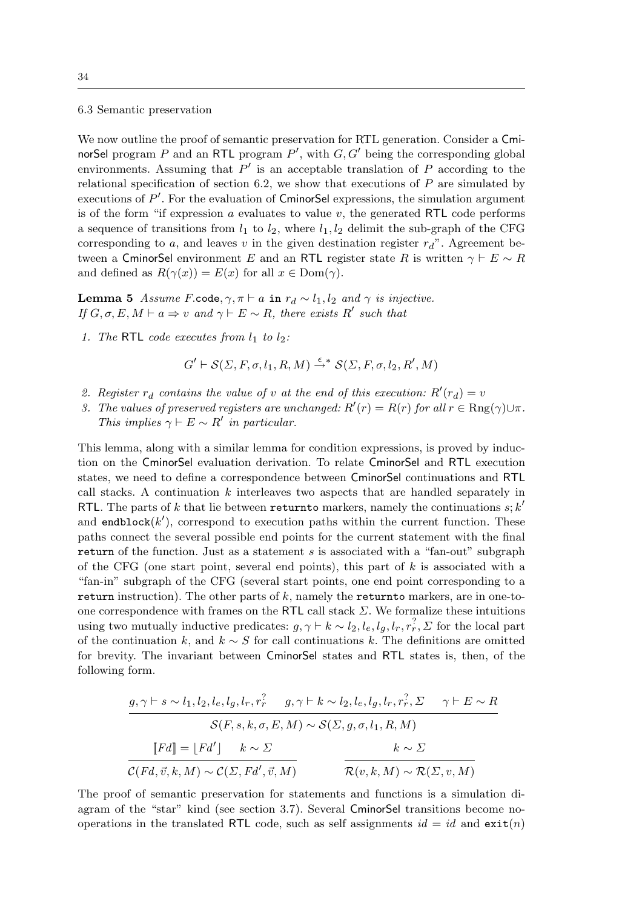6.3 Semantic preservation

We now outline the proof of semantic preservation for RTL generation. Consider a CminorSel program P and an RTL program  $P'$ , with  $G, G'$  being the corresponding global environments. Assuming that  $P'$  is an acceptable translation of P according to the relational specification of section 6.2, we show that executions of  $P$  are simulated by executions of  $P'$ . For the evaluation of CminorSel expressions, the simulation argument is of the form "if expression  $a$  evaluates to value  $v$ , the generated RTL code performs a sequence of transitions from  $l_1$  to  $l_2$ , where  $l_1, l_2$  delimit the sub-graph of the CFG corresponding to a, and leaves v in the given destination register  $r_d$ ". Agreement between a CminorSel environment E and an RTL register state R is written  $\gamma \vdash E \sim R$ and defined as  $R(\gamma(x)) = E(x)$  for all  $x \in \text{Dom}(\gamma)$ .

**Lemma 5** Assume F.code,  $\gamma$ ,  $\pi \vdash a$  in  $r_d \sim l_1, l_2$  and  $\gamma$  is injective. If  $G, \sigma, E, M \vdash a \Rightarrow v$  and  $\gamma \vdash E \sim R$ , there exists R' such that

1. The RTL code executes from  $l_1$  to  $l_2$ :

$$
G' \vdash \mathcal{S}(\Sigma, F, \sigma, l_1, R, M) \stackrel{\epsilon}{\rightarrow} \mathcal{S}(\Sigma, F, \sigma, l_2, R', M)
$$

- 2. Register  $r_d$  contains the value of v at the end of this execution:  $R'(r_d) = v$
- 3. The values of preserved registers are unchanged:  $R'(r) = R(r)$  for all  $r \in \text{Rng}(\gamma) \cup \pi$ . This implies  $\gamma \vdash E \sim R'$  in particular.

This lemma, along with a similar lemma for condition expressions, is proved by induction on the CminorSel evaluation derivation. To relate CminorSel and RTL execution states, we need to define a correspondence between CminorSel continuations and RTL call stacks. A continuation k interleaves two aspects that are handled separately in RTL. The parts of k that lie between returnto markers, namely the continuations  $s; k'$ and endblock $(k')$ , correspond to execution paths within the current function. These paths connect the several possible end points for the current statement with the final return of the function. Just as a statement s is associated with a "fan-out" subgraph of the CFG (one start point, several end points), this part of  $k$  is associated with a "fan-in" subgraph of the CFG (several start points, one end point corresponding to a return instruction). The other parts of  $k$ , namely the return to markers, are in one-toone correspondence with frames on the RTL call stack  $\Sigma$ . We formalize these intuitions using two mutually inductive predicates:  $g, \gamma \vdash k \sim l_2, l_e, l_g, l_r, r_r^?$ ,  $\Sigma$  for the local part of the continuation k, and  $k \sim S$  for call continuations k. The definitions are omitted for brevity. The invariant between CminorSel states and RTL states is, then, of the following form.

$$
\frac{g, \gamma \vdash s \sim l_1, l_2, l_e, l_g, l_r, r_r^? \qquad g, \gamma \vdash k \sim l_2, l_e, l_g, l_r, r_r^?, \Sigma \qquad \gamma \vdash E \sim R}{\mathcal{S}(F, s, k, \sigma, E, M) \sim \mathcal{S}(\Sigma, g, \sigma, l_1, R, M)}
$$
\n
$$
\frac{\llbracket Fd \rrbracket = \llbracket Fd' \rrbracket \qquad k \sim \Sigma \qquad k \sim \Sigma}{\mathcal{C}(Fd, \vec{v}, k, M) \sim \mathcal{C}(\Sigma, Fd', \vec{v}, M)} \qquad \frac{k \sim \Sigma}{\mathcal{R}(v, k, M) \sim \mathcal{R}(\Sigma, v, M)}
$$

The proof of semantic preservation for statements and functions is a simulation diagram of the "star" kind (see section 3.7). Several CminorSel transitions become nooperations in the translated RTL code, such as self assignments  $id = id$  and  $ext{ext}(n)$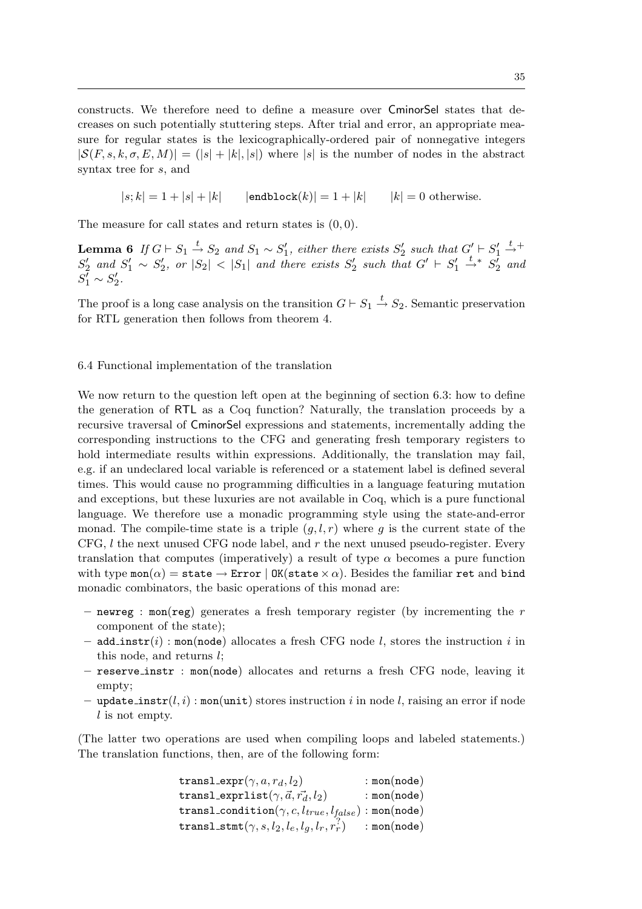constructs. We therefore need to define a measure over CminorSel states that decreases on such potentially stuttering steps. After trial and error, an appropriate measure for regular states is the lexicographically-ordered pair of nonnegative integers  $|S(F, s, k, \sigma, E, M)| = (|s| + |k|, |s|)$  where |s| is the number of nodes in the abstract syntax tree for s, and

 $|s; k| = 1 + |s| + |k|$  |endblock $(k) = 1 + |k|$   $|k| = 0$  otherwise.

The measure for call states and return states is  $(0, 0)$ .

**Lemma 6** If  $G \vdash S_1 \stackrel{t}{\rightarrow} S_2$  and  $S_1 \sim S_1'$ , either there exists  $S_2'$  such that  $G_1' \vdash S_1' \stackrel{t}{\rightarrow}^+$  $S'_2$  and  $S'_1 \sim S'_2$ , or  $|S_2| < |S_1|$  and there exists  $S'_2$  such that  $G' \vdash S'_1 \stackrel{t}{\rightarrow} S'_2$  and  $S_1^7 \sim S_2'.$ 

The proof is a long case analysis on the transition  $G \vdash S_1 \stackrel{t}{\to} S_2$ . Semantic preservation for RTL generation then follows from theorem 4.

6.4 Functional implementation of the translation

We now return to the question left open at the beginning of section 6.3: how to define the generation of RTL as a Coq function? Naturally, the translation proceeds by a recursive traversal of CminorSel expressions and statements, incrementally adding the corresponding instructions to the CFG and generating fresh temporary registers to hold intermediate results within expressions. Additionally, the translation may fail, e.g. if an undeclared local variable is referenced or a statement label is defined several times. This would cause no programming difficulties in a language featuring mutation and exceptions, but these luxuries are not available in Coq, which is a pure functional language. We therefore use a monadic programming style using the state-and-error monad. The compile-time state is a triple  $(q, l, r)$  where g is the current state of the CFG,  $l$  the next unused CFG node label, and  $r$  the next unused pseudo-register. Every translation that computes (imperatively) a result of type  $\alpha$  becomes a pure function with type  $\text{mon}(\alpha) =$  state  $\rightarrow$  Error | OK(state  $\times \alpha$ ). Besides the familiar ret and bind monadic combinators, the basic operations of this monad are:

- newreg : mon(reg) generates a fresh temporary register (by incrementing the  $r$ component of the state);
- add instr(i) : mon(node) allocates a fresh CFG node l, stores the instruction i in this node, and returns l;
- reserve instr : mon(node) allocates and returns a fresh CFG node, leaving it empty;
- update instr $(l, i)$ : mon(unit) stores instruction i in node l, raising an error if node l is not empty.

(The latter two operations are used when compiling loops and labeled statements.) The translation functions, then, are of the following form:

| transl_expr $(\gamma, a, r_d, l_2)$                             | : mon(node) |
|-----------------------------------------------------------------|-------------|
| transl_exprlist( $\gamma$ , $\vec{a}$ , $\vec{r_d}$ , $l_2$ )   | : mon(node) |
| transl_condition $(\gamma, c, l_{true}, l_{false})$ : mon(node) |             |
| transl_stmt $(\gamma, s, l_2, l_e, l_g, l_r, r_r^t)$            | : mon(node) |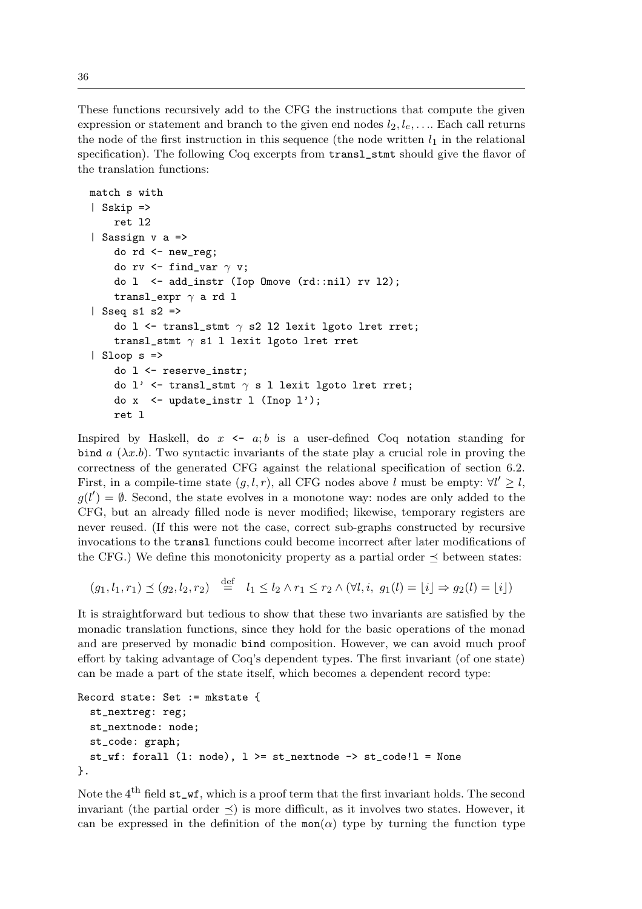These functions recursively add to the CFG the instructions that compute the given expression or statement and branch to the given end nodes  $l_2, l_e, \ldots$  Each call returns the node of the first instruction in this sequence (the node written  $l_1$  in the relational specification). The following Coq excerpts from transl\_stmt should give the flavor of the translation functions:

```
match s with
| Sskip =>
    ret l2
| Sassign v a =>
    do rd <- new_reg;
    do rv \leq find_var \gamma v;
    do l <- add_instr (Iop Omove (rd::nil) rv l2);
    transl_expr \gamma a rd l
| Sseq s1 s2 =>
    do l <- transl_stmt \gamma s2 12 lexit lgoto lret rret;
    transl_stmt \gamma s1 l lexit lgoto lret rret
| Sloop s =>
    do l <- reserve_instr;
    do l' <- transl_stmt \gamma s l lexit lgoto lret rret;
    do x <- update_instr l (Inop l');
    ret l
```
Inspired by Haskell, do  $x \leftarrow a; b$  is a user-defined Coq notation standing for bind a  $(\lambda x.b)$ . Two syntactic invariants of the state play a crucial role in proving the correctness of the generated CFG against the relational specification of section 6.2. First, in a compile-time state  $(g, l, r)$ , all CFG nodes above l must be empty:  $\forall l' \geq l$ ,  $g(l') = \emptyset$ . Second, the state evolves in a monotone way: nodes are only added to the CFG, but an already filled node is never modified; likewise, temporary registers are never reused. (If this were not the case, correct sub-graphs constructed by recursive invocations to the transl functions could become incorrect after later modifications of the CFG.) We define this monotonicity property as a partial order  $\preceq$  between states:

$$
(g_1, l_1, r_1) \preceq (g_2, l_2, r_2) \stackrel{\text{def}}{=} l_1 \le l_2 \land r_1 \le r_2 \land (\forall l, i, g_1(l) = \lfloor i \rfloor \Rightarrow g_2(l) = \lfloor i \rfloor)
$$

It is straightforward but tedious to show that these two invariants are satisfied by the monadic translation functions, since they hold for the basic operations of the monad and are preserved by monadic bind composition. However, we can avoid much proof effort by taking advantage of Coq's dependent types. The first invariant (of one state) can be made a part of the state itself, which becomes a dependent record type:

```
Record state: Set := mkstate {
  st_nextreg: reg;
  st_nextnode: node;
  st_code: graph;
  st_wf: forall (l: node), l > = st_nextnode \rightarrow st_code!l = None
}.
```
def

Note the  $4<sup>th</sup>$  field  $st_wf$ , which is a proof term that the first invariant holds. The second invariant (the partial order  $\prec$ ) is more difficult, as it involves two states. However, it can be expressed in the definition of the mon $(\alpha)$  type by turning the function type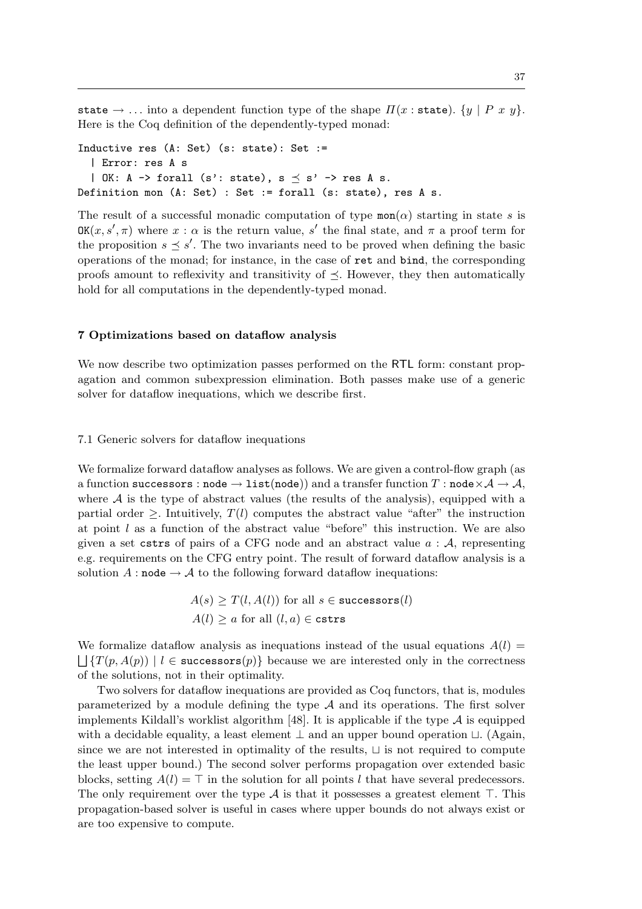state  $\rightarrow \dots$  into a dependent function type of the shape  $\Pi(x : \mathtt{state})$ .  $\{y \mid P \ x \ y\}$ . Here is the Coq definition of the dependently-typed monad:

Inductive res (A: Set) (s: state): Set := | Error: res A s | OK: A -> forall (s': state),  $s \prec s'$  -> res A s. Definition mon (A: Set) : Set := forall (s: state), res A s.

The result of a successful monadic computation of type  $\text{mon}(\alpha)$  starting in state s is  $OK(x, s', \pi)$  where  $x : \alpha$  is the return value, s' the final state, and  $\pi$  a proof term for the proposition  $s \leq s'$ . The two invariants need to be proved when defining the basic operations of the monad; for instance, in the case of ret and bind, the corresponding proofs amount to reflexivity and transitivity of  $\preceq$ . However, they then automatically hold for all computations in the dependently-typed monad.

### 7 Optimizations based on dataflow analysis

We now describe two optimization passes performed on the RTL form: constant propagation and common subexpression elimination. Both passes make use of a generic solver for dataflow inequations, which we describe first.

### 7.1 Generic solvers for dataflow inequations

We formalize forward dataflow analyses as follows. We are given a control-flow graph (as a function successors : node  $\rightarrow$  list(node)) and a transfer function T : node  $\times A \rightarrow A$ , where  $A$  is the type of abstract values (the results of the analysis), equipped with a partial order  $\geq$ . Intuitively,  $T(l)$  computes the abstract value "after" the instruction at point l as a function of the abstract value "before" this instruction. We are also given a set cstrs of pairs of a CFG node and an abstract value  $a : A$ , representing e.g. requirements on the CFG entry point. The result of forward dataflow analysis is a solution  $A : \text{node} \to \mathcal{A}$  to the following forward dataflow inequations:

$$
A(s) \geq T(l, A(l))
$$
 for all  $s \in \text{successors}(l)$   

$$
A(l) \geq a
$$
 for all  $(l, a) \in \text{estrs}$ 

We formalize dataflow analysis as inequations instead of the usual equations  $A(l) =$  $\{T(p, A(p)) \mid l \in \text{successors}(p)\}\$  because we are interested only in the correctness of the solutions, not in their optimality.

Two solvers for dataflow inequations are provided as Coq functors, that is, modules parameterized by a module defining the type  $A$  and its operations. The first solver implements Kildall's worklist algorithm [48]. It is applicable if the type  $\mathcal A$  is equipped with a decidable equality, a least element  $\perp$  and an upper bound operation  $\sqcup$ . (Again, since we are not interested in optimality of the results,  $\sqcup$  is not required to compute the least upper bound.) The second solver performs propagation over extended basic blocks, setting  $A(l) = \top$  in the solution for all points l that have several predecessors. The only requirement over the type  $A$  is that it possesses a greatest element  $\top$ . This propagation-based solver is useful in cases where upper bounds do not always exist or are too expensive to compute.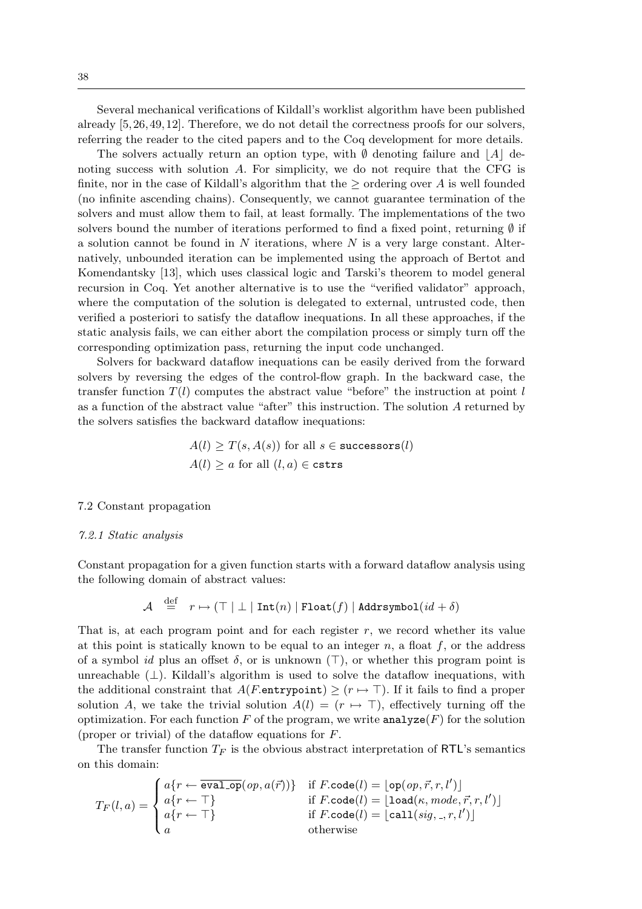Several mechanical verifications of Kildall's worklist algorithm have been published already [5, 26, 49, 12]. Therefore, we do not detail the correctness proofs for our solvers, referring the reader to the cited papers and to the Coq development for more details.

The solvers actually return an option type, with  $\emptyset$  denoting failure and  $|A|$  denoting success with solution A. For simplicity, we do not require that the CFG is finite, nor in the case of Kildall's algorithm that the  $\geq$  ordering over A is well founded (no infinite ascending chains). Consequently, we cannot guarantee termination of the solvers and must allow them to fail, at least formally. The implementations of the two solvers bound the number of iterations performed to find a fixed point, returning  $\emptyset$  if a solution cannot be found in  $N$  iterations, where  $N$  is a very large constant. Alternatively, unbounded iteration can be implemented using the approach of Bertot and Komendantsky [13], which uses classical logic and Tarski's theorem to model general recursion in Coq. Yet another alternative is to use the "verified validator" approach, where the computation of the solution is delegated to external, untrusted code, then verified a posteriori to satisfy the dataflow inequations. In all these approaches, if the static analysis fails, we can either abort the compilation process or simply turn off the corresponding optimization pass, returning the input code unchanged.

Solvers for backward dataflow inequations can be easily derived from the forward solvers by reversing the edges of the control-flow graph. In the backward case, the transfer function  $T(l)$  computes the abstract value "before" the instruction at point l as a function of the abstract value "after" this instruction. The solution A returned by the solvers satisfies the backward dataflow inequations:

$$
A(l) \ge T(s, A(s))
$$
 for all  $s \in \text{successors}(l)$   

$$
A(l) \ge a
$$
 for all  $(l, a) \in \text{cstrs}$ 

#### 7.2 Constant propagation

#### 7.2.1 Static analysis

Constant propagation for a given function starts with a forward dataflow analysis using the following domain of abstract values:

$$
\mathcal{A} \quad \stackrel{\text{def}}{=} \quad r \mapsto (\top \mid \bot \mid \text{Int}(n) \mid \text{Float}(f) \mid \text{Addressymbol}(id + \delta)
$$

That is, at each program point and for each register  $r$ , we record whether its value at this point is statically known to be equal to an integer  $n$ , a float  $f$ , or the address of a symbol id plus an offset  $\delta$ , or is unknown  $(\top)$ , or whether this program point is unreachable  $(\perp)$ . Kildall's algorithm is used to solve the dataflow inequations, with the additional constraint that  $A(F.\text{entrypoint}) \ge (r \mapsto \top)$ . If it fails to find a proper solution A, we take the trivial solution  $A(l) = (r \mapsto \top)$ , effectively turning off the optimization. For each function F of the program, we write **analyze**  $(F)$  for the solution (proper or trivial) of the dataflow equations for F.

The transfer function  $T_F$  is the obvious abstract interpretation of RTL's semantics on this domain:

$$
T_F(l,a) = \begin{cases} a\{r \leftarrow \overline{\texttt{eval\_op}}(op, a(\vec{r}))\} & \text{if } F.\texttt{code}(l) = \lfloor \texttt{op}(op, \vec{r}, r, l') \rfloor \\ a\{r \leftarrow \top\} & \text{if } F.\texttt{code}(l) = \lfloor \texttt{load}(\kappa, mode, \vec{r}, r, l') \rfloor \\ a\{r \leftarrow \top\} & \text{if } F.\texttt{code}(l) = \lfloor \texttt{call}(sig, \_, r, l') \rfloor \\ a & \text{otherwise} \end{cases}
$$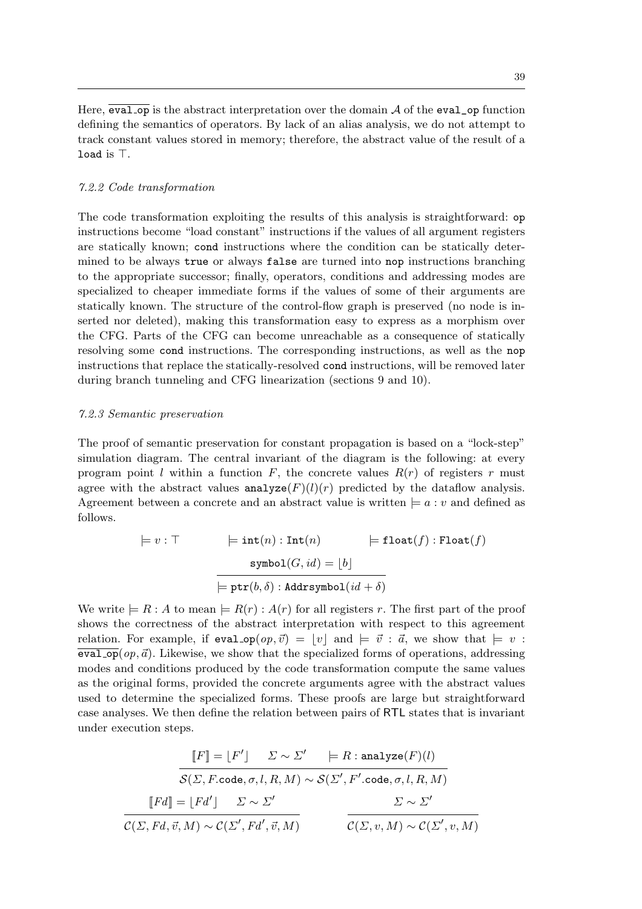Here,  $\overline{eval\_op}$  is the abstract interpretation over the domain  $A$  of the eval\_op function defining the semantics of operators. By lack of an alias analysis, we do not attempt to track constant values stored in memory; therefore, the abstract value of the result of a load is  $\top$ .

## 7.2.2 Code transformation

The code transformation exploiting the results of this analysis is straightforward: op instructions become "load constant" instructions if the values of all argument registers are statically known; cond instructions where the condition can be statically determined to be always true or always false are turned into nop instructions branching to the appropriate successor; finally, operators, conditions and addressing modes are specialized to cheaper immediate forms if the values of some of their arguments are statically known. The structure of the control-flow graph is preserved (no node is inserted nor deleted), making this transformation easy to express as a morphism over the CFG. Parts of the CFG can become unreachable as a consequence of statically resolving some cond instructions. The corresponding instructions, as well as the nop instructions that replace the statically-resolved cond instructions, will be removed later during branch tunneling and CFG linearization (sections 9 and 10).

### 7.2.3 Semantic preservation

The proof of semantic preservation for constant propagation is based on a "lock-step" simulation diagram. The central invariant of the diagram is the following: at every program point l within a function F, the concrete values  $R(r)$  of registers r must agree with the abstract values  $\texttt{analyze}(F)(l)(r)$  predicted by the dataflow analysis. Agreement between a concrete and an abstract value is written  $\models a : v$  and defined as follows.

$$
\models v : \top \qquad \models \texttt{int}(n) : \texttt{Int}(n) \qquad \models \texttt{float}(f) : \texttt{Float}(f)
$$
\n
$$
\texttt{symbol}(G, id) = \lfloor b \rfloor
$$
\n
$$
\models \texttt{ptr}(b, \delta) : \texttt{Addressymbol}(id + \delta)
$$

We write  $\models R : A$  to mean  $\models R(r) : A(r)$  for all registers r. The first part of the proof shows the correctness of the abstract interpretation with respect to this agreement relation. For example, if  $eval_op(op, \vec{v}) = |v|$  and  $\models \vec{v} : \vec{a}$ , we show that  $\models v : \vec{v}$  $\overline{\text{eval-op}}(op, \vec{a})$ . Likewise, we show that the specialized forms of operations, addressing modes and conditions produced by the code transformation compute the same values as the original forms, provided the concrete arguments agree with the abstract values used to determine the specialized forms. These proofs are large but straightforward case analyses. We then define the relation between pairs of RTL states that is invariant under execution steps.

$$
\begin{aligned}\n\llbracket F \rrbracket &= \lfloor F' \rfloor & \Sigma \sim \Sigma' & \models R : \text{analyze}(F)(l) \\
\hline\nS(\Sigma, F.\text{code}, \sigma, l, R, M) & \sim \mathcal{S}(\Sigma', F'.\text{code}, \sigma, l, R, M) \\
\llbracket Fd \rrbracket &= \lfloor Fd' \rfloor & \Sigma \sim \Sigma' & \Sigma \sim \Sigma' \\
\mathcal{C}(\Sigma, Fd, \vec{v}, M) & \sim \mathcal{C}(\Sigma', Fd', \vec{v}, M) & \overline{\mathcal{C}(\Sigma, v, M) \sim \mathcal{C}(\Sigma', v, M)}\n\end{aligned}
$$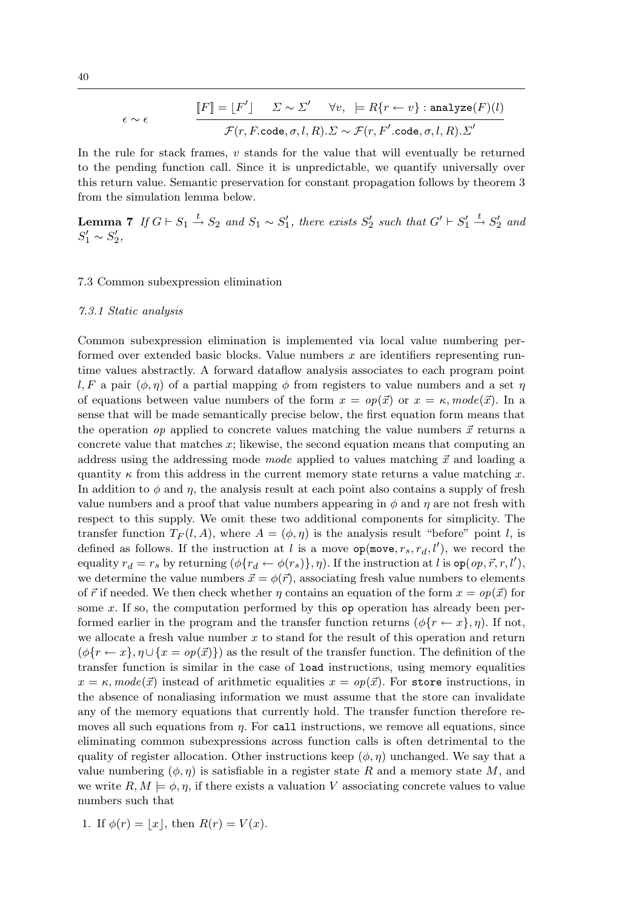$$
\epsilon \sim \epsilon \qquad \qquad \frac{\llbracket F \rrbracket = \lfloor F' \rfloor \quad \varSigma \sim \varSigma' \quad \forall v, \ \ \models R\{r \leftarrow v\} : \mathtt{analyze}(F)(l) \ \ \negthinspace \mathcal{F}(r, F.\mathtt{code}, \sigma, l, R).\varSigma \sim \mathcal{F}(r, F'.\mathtt{code}, \sigma, l, R).\varSigma'
$$

In the rule for stack frames,  $v$  stands for the value that will eventually be returned to the pending function call. Since it is unpredictable, we quantify universally over this return value. Semantic preservation for constant propagation follows by theorem 3 from the simulation lemma below.

**Lemma 7** If  $G \vdash S_1 \stackrel{t}{\rightarrow} S_2$  and  $S_1 \sim S_1'$ , there exists  $S_2'$  such that  $G' \vdash S_1' \stackrel{t}{\rightarrow} S_2'$  and  $S'_1 \sim S'_2,$ 

## 7.3 Common subexpression elimination

#### 7.3.1 Static analysis

Common subexpression elimination is implemented via local value numbering performed over extended basic blocks. Value numbers  $x$  are identifiers representing runtime values abstractly. A forward dataflow analysis associates to each program point l, F a pair  $(\phi, \eta)$  of a partial mapping  $\phi$  from registers to value numbers and a set  $\eta$ of equations between value numbers of the form  $x = op(\vec{x})$  or  $x = \kappa$ , mode $(\vec{x})$ . In a sense that will be made semantically precise below, the first equation form means that the operation op applied to concrete values matching the value numbers  $\vec{x}$  returns a concrete value that matches x; likewise, the second equation means that computing an address using the addressing mode mode applied to values matching  $\vec{x}$  and loading a quantity  $\kappa$  from this address in the current memory state returns a value matching x. In addition to  $\phi$  and  $\eta$ , the analysis result at each point also contains a supply of fresh value numbers and a proof that value numbers appearing in  $\phi$  and  $\eta$  are not fresh with respect to this supply. We omit these two additional components for simplicity. The transfer function  $T_F(l, A)$ , where  $A = (\phi, \eta)$  is the analysis result "before" point l, is defined as follows. If the instruction at l is a move  $op(\text{move}, r_s, r_d, l')$ , we record the equality  $r_d = r_s$  by returning  $(\phi\{r_d \leftarrow \phi(r_s)\}, \eta)$ . If the instruction at l is  $\mathsf{op}(op, \vec{r}, r, l'),$ we determine the value numbers  $\vec{x} = \phi(\vec{r})$ , associating fresh value numbers to elements of  $\vec{r}$  if needed. We then check whether  $\eta$  contains an equation of the form  $x = op(\vec{x})$  for some x. If so, the computation performed by this op operation has already been performed earlier in the program and the transfer function returns  $(\phi\{r \leftarrow x\}, \eta)$ . If not, we allocate a fresh value number  $x$  to stand for the result of this operation and return  $(\phi\{r\leftarrow x\},\eta\cup\{x=\text{op}(\vec{x})\})$  as the result of the transfer function. The definition of the transfer function is similar in the case of load instructions, using memory equalities  $x = \kappa$ , mode( $\vec{x}$ ) instead of arithmetic equalities  $x = op(\vec{x})$ . For store instructions, in the absence of nonaliasing information we must assume that the store can invalidate any of the memory equations that currently hold. The transfer function therefore removes all such equations from  $\eta$ . For call instructions, we remove all equations, since eliminating common subexpressions across function calls is often detrimental to the quality of register allocation. Other instructions keep  $(\phi, \eta)$  unchanged. We say that a value numbering  $(\phi, \eta)$  is satisfiable in a register state R and a memory state M, and we write  $R, M \models \phi, \eta$ , if there exists a valuation V associating concrete values to value numbers such that

1. If 
$$
\phi(r) = |x|
$$
, then  $R(r) = V(x)$ .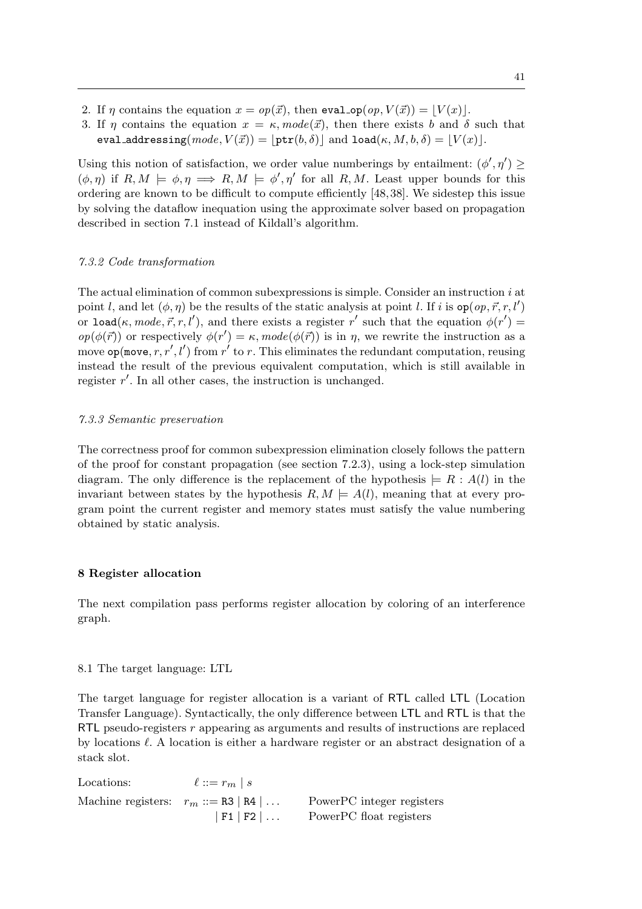- 2. If  $\eta$  contains the equation  $x = op(\vec{x})$ , then eval op $(op, V(\vec{x})) = |V(x)|$ .
- 3. If  $\eta$  contains the equation  $x = \kappa$ , mode( $\vec{x}$ ), then there exists b and  $\delta$  such that eval addressing( $mode, V(\vec{x})) = |\text{ptr}(b, \delta)|$  and load( $\kappa, M, b, \delta) = |V(x)|$ .

Using this notion of satisfaction, we order value numberings by entailment:  $(\phi', \eta') \geq$  $(\phi, \eta)$  if  $R, M \models \phi, \eta \Longrightarrow R, M \models \phi', \eta'$  for all  $R, M$ . Least upper bounds for this ordering are known to be difficult to compute efficiently [48, 38]. We sidestep this issue by solving the dataflow inequation using the approximate solver based on propagation described in section 7.1 instead of Kildall's algorithm.

# 7.3.2 Code transformation

The actual elimination of common subexpressions is simple. Consider an instruction  $i$  at point l, and let  $(\phi, \eta)$  be the results of the static analysis at point l. If i is  $\mathsf{op}(op, \vec{r}, r, l')$ or load( $\kappa$ , mode,  $\vec{r}$ ,  $\vec{r}$ ,  $\vec{l}'$ ), and there exists a register r' such that the equation  $\phi(r') =$  $op(\phi(\vec{r}))$  or respectively  $\phi(r') = \kappa$ , mode $(\phi(\vec{r}))$  is in  $\eta$ , we rewrite the instruction as a move  $\mathsf{op}(\mathsf{move}, r, r', l')$  from  $r'$  to r. This eliminates the redundant computation, reusing instead the result of the previous equivalent computation, which is still available in register  $r'$ . In all other cases, the instruction is unchanged.

# 7.3.3 Semantic preservation

The correctness proof for common subexpression elimination closely follows the pattern of the proof for constant propagation (see section 7.2.3), using a lock-step simulation diagram. The only difference is the replacement of the hypothesis  $\models R : A(l)$  in the invariant between states by the hypothesis  $R, M \models A(l)$ , meaning that at every program point the current register and memory states must satisfy the value numbering obtained by static analysis.

# 8 Register allocation

The next compilation pass performs register allocation by coloring of an interference graph.

8.1 The target language: LTL

The target language for register allocation is a variant of RTL called LTL (Location Transfer Language). Syntactically, the only difference between LTL and RTL is that the RTL pseudo-registers r appearing as arguments and results of instructions are replaced by locations  $\ell$ . A location is either a hardware register or an abstract designation of a stack slot.

Locations:  $\ell ::= r_m \mid s$ Machine registers:  $r_m ::= R3 | R4 | \dots$  PowerPC integer registers | F1 | F2 | ... PowerPC float registers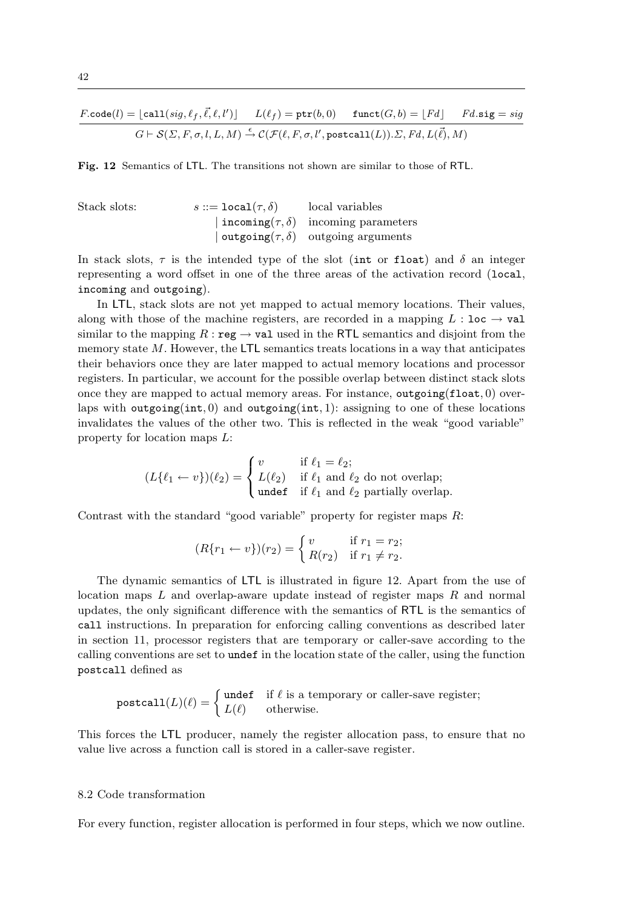$$
\frac{F.\mathtt{code}(l) = \lfloor \mathtt{call}(sig, \ell_f, \vec{\ell}, \ell, l') \rfloor \quad L(\ell_f) = \mathtt{ptr}(b, 0) \quad \mathtt{funct}(G, b) = \lfloor Fd \rfloor \quad Fd.\mathtt{sig} = sig}{G \vdash \mathcal{S}(\Sigma, F, \sigma, l, L, M) \xrightarrow{\epsilon} \mathcal{C}(\mathcal{F}(\ell, F, \sigma, l', \mathtt{postcall}(L)).\Sigma, Fd, L(\vec{\ell}), M)}
$$

Fig. 12 Semantics of LTL. The transitions not shown are similar to those of RTL.

| Stack slots:                  | $s ::= local(\tau, \delta)$ | local variables |
|-------------------------------|-----------------------------|-----------------|
| <b>incoming(\tau, \delta)</b> | incoming parameters         |                 |
| <b>outgoing(\tau, \delta)</b> | outgoing arguments          |                 |

In stack slots,  $\tau$  is the intended type of the slot (int or float) and  $\delta$  an integer representing a word offset in one of the three areas of the activation record (local, incoming and outgoing).

In LTL, stack slots are not yet mapped to actual memory locations. Their values, along with those of the machine registers, are recorded in a mapping  $L :$  loc  $\rightarrow$  val similar to the mapping  $R : \text{reg} \to \text{val}$  used in the RTL semantics and disjoint from the memory state  $M$ . However, the LTL semantics treats locations in a way that anticipates their behaviors once they are later mapped to actual memory locations and processor registers. In particular, we account for the possible overlap between distinct stack slots once they are mapped to actual memory areas. For instance,  $\text{outgoing}(\text{float}, 0)$  overlaps with outgoing(int, 0) and outgoing(int, 1): assigning to one of these locations invalidates the values of the other two. This is reflected in the weak "good variable" property for location maps L:

$$
(L\{\ell_1 \leftarrow v\})(\ell_2) = \begin{cases} v & \text{if } \ell_1 = \ell_2; \\ L(\ell_2) & \text{if } \ell_1 \text{ and } \ell_2 \text{ do not overlap;} \\ \text{undef} & \text{if } \ell_1 \text{ and } \ell_2 \text{ partially overlap.} \end{cases}
$$

Contrast with the standard "good variable" property for register maps  $R$ :

$$
(R\{r_1 \leftarrow v\})(r_2) = \begin{cases} v & \text{if } r_1 = r_2; \\ R(r_2) & \text{if } r_1 \neq r_2. \end{cases}
$$

The dynamic semantics of LTL is illustrated in figure 12. Apart from the use of location maps L and overlap-aware update instead of register maps R and normal updates, the only significant difference with the semantics of RTL is the semantics of call instructions. In preparation for enforcing calling conventions as described later in section 11, processor registers that are temporary or caller-save according to the calling conventions are set to undef in the location state of the caller, using the function postcall defined as

postcall(
$$
L
$$
)( $\ell$ ) =  $\begin{cases} \text{undef} & \text{if } \ell \text{ is a temporary or caller-save register;} \\ L(\ell) & \text{otherwise.} \end{cases}$ 

This forces the LTL producer, namely the register allocation pass, to ensure that no value live across a function call is stored in a caller-save register.

## 8.2 Code transformation

For every function, register allocation is performed in four steps, which we now outline.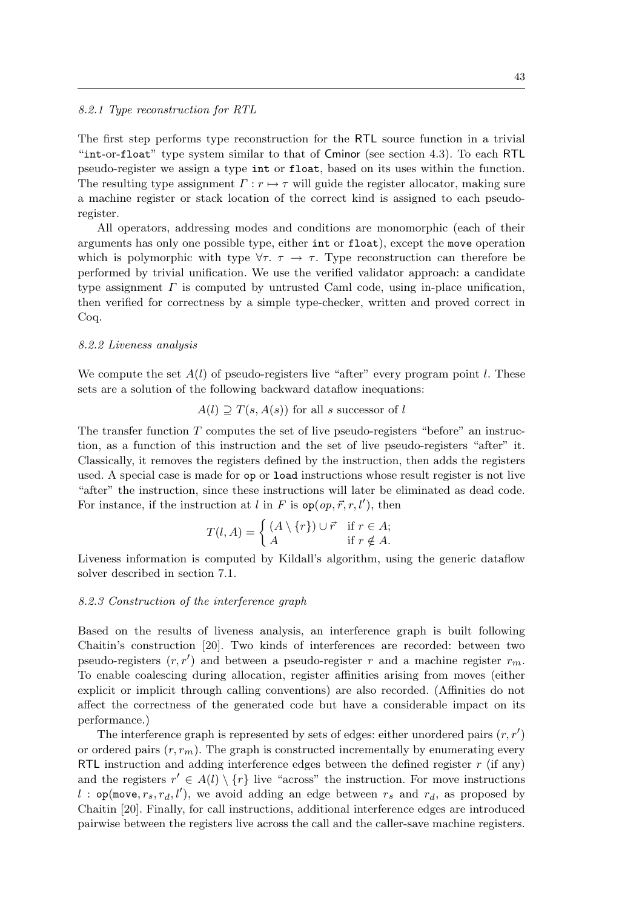## 8.2.1 Type reconstruction for RTL

The first step performs type reconstruction for the RTL source function in a trivial "int-or-float" type system similar to that of Cminor (see section 4.3). To each RTL pseudo-register we assign a type int or float, based on its uses within the function. The resulting type assignment  $\Gamma : r \mapsto \tau$  will guide the register allocator, making sure a machine register or stack location of the correct kind is assigned to each pseudoregister.

All operators, addressing modes and conditions are monomorphic (each of their arguments has only one possible type, either int or float), except the move operation which is polymorphic with type  $\forall \tau$ .  $\tau \rightarrow \tau$ . Type reconstruction can therefore be performed by trivial unification. We use the verified validator approach: a candidate type assignment  $\Gamma$  is computed by untrusted Caml code, using in-place unification, then verified for correctness by a simple type-checker, written and proved correct in Coq.

### 8.2.2 Liveness analysis

We compute the set  $A(l)$  of pseudo-registers live "after" every program point l. These sets are a solution of the following backward dataflow inequations:

 $A(l) \supseteq T(s, A(s))$  for all s successor of l

The transfer function  $T$  computes the set of live pseudo-registers "before" an instruction, as a function of this instruction and the set of live pseudo-registers "after" it. Classically, it removes the registers defined by the instruction, then adds the registers used. A special case is made for op or load instructions whose result register is not live "after" the instruction, since these instructions will later be eliminated as dead code. For instance, if the instruction at l in F is  $op(op, \vec{r}, r, l')$ , then

$$
T(l, A) = \begin{cases} (A \setminus \{r\}) \cup \vec{r} & \text{if } r \in A; \\ A & \text{if } r \notin A. \end{cases}
$$

Liveness information is computed by Kildall's algorithm, using the generic dataflow solver described in section 7.1.

#### 8.2.3 Construction of the interference graph

Based on the results of liveness analysis, an interference graph is built following Chaitin's construction [20]. Two kinds of interferences are recorded: between two pseudo-registers  $(r, r')$  and between a pseudo-register r and a machine register  $r_m$ . To enable coalescing during allocation, register affinities arising from moves (either explicit or implicit through calling conventions) are also recorded. (Affinities do not affect the correctness of the generated code but have a considerable impact on its performance.)

The interference graph is represented by sets of edges: either unordered pairs  $(r, r')$ or ordered pairs  $(r, r<sub>m</sub>)$ . The graph is constructed incrementally by enumerating every RTL instruction and adding interference edges between the defined register  $r$  (if any) and the registers  $r' \in A(l) \setminus \{r\}$  live "across" the instruction. For move instructions l: op(move,  $r_s$ ,  $r_d$ , l'), we avoid adding an edge between  $r_s$  and  $r_d$ , as proposed by Chaitin [20]. Finally, for call instructions, additional interference edges are introduced pairwise between the registers live across the call and the caller-save machine registers.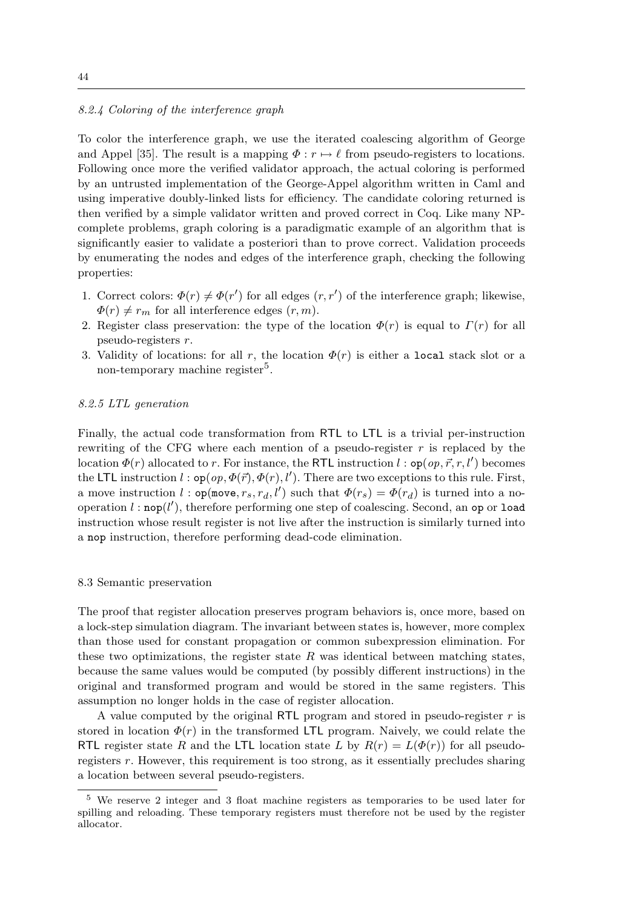### 8.2.4 Coloring of the interference graph

To color the interference graph, we use the iterated coalescing algorithm of George and Appel [35]. The result is a mapping  $\Phi : r \mapsto \ell$  from pseudo-registers to locations. Following once more the verified validator approach, the actual coloring is performed by an untrusted implementation of the George-Appel algorithm written in Caml and using imperative doubly-linked lists for efficiency. The candidate coloring returned is then verified by a simple validator written and proved correct in Coq. Like many NPcomplete problems, graph coloring is a paradigmatic example of an algorithm that is significantly easier to validate a posteriori than to prove correct. Validation proceeds by enumerating the nodes and edges of the interference graph, checking the following properties:

- 1. Correct colors:  $\Phi(r) \neq \Phi(r')$  for all edges  $(r, r')$  of the interference graph; likewise,  $\Phi(r) \neq r_m$  for all interference edges  $(r, m)$ .
- 2. Register class preservation: the type of the location  $\Phi(r)$  is equal to  $\Gamma(r)$  for all pseudo-registers r.
- 3. Validity of locations: for all r, the location  $\Phi(r)$  is either a local stack slot or a non-temporary machine register<sup>5</sup>.

## 8.2.5 LTL generation

Finally, the actual code transformation from RTL to LTL is a trivial per-instruction rewriting of the CFG where each mention of a pseudo-register  $r$  is replaced by the location  $\Phi(r)$  allocated to r. For instance, the RTL instruction  $l : op(op, \vec{r}, r, l')$  becomes the LTL instruction  $l : op(op, \Phi(\vec{r}), \Phi(r), l')$ . There are two exceptions to this rule. First, a move instruction  $l : op(\text{move}, r_s, r_d, l')$  such that  $\Phi(r_s) = \Phi(r_d)$  is turned into a nooperation  $l : \text{nop}(l')$ , therefore performing one step of coalescing. Second, an op or load instruction whose result register is not live after the instruction is similarly turned into a nop instruction, therefore performing dead-code elimination.

#### 8.3 Semantic preservation

The proof that register allocation preserves program behaviors is, once more, based on a lock-step simulation diagram. The invariant between states is, however, more complex than those used for constant propagation or common subexpression elimination. For these two optimizations, the register state  $R$  was identical between matching states, because the same values would be computed (by possibly different instructions) in the original and transformed program and would be stored in the same registers. This assumption no longer holds in the case of register allocation.

A value computed by the original RTL program and stored in pseudo-register  $r$  is stored in location  $\Phi(r)$  in the transformed LTL program. Naively, we could relate the RTL register state R and the LTL location state L by  $R(r) = L(\Phi(r))$  for all pseudoregisters  $r$ . However, this requirement is too strong, as it essentially precludes sharing a location between several pseudo-registers.

<sup>5</sup> We reserve 2 integer and 3 float machine registers as temporaries to be used later for spilling and reloading. These temporary registers must therefore not be used by the register allocator.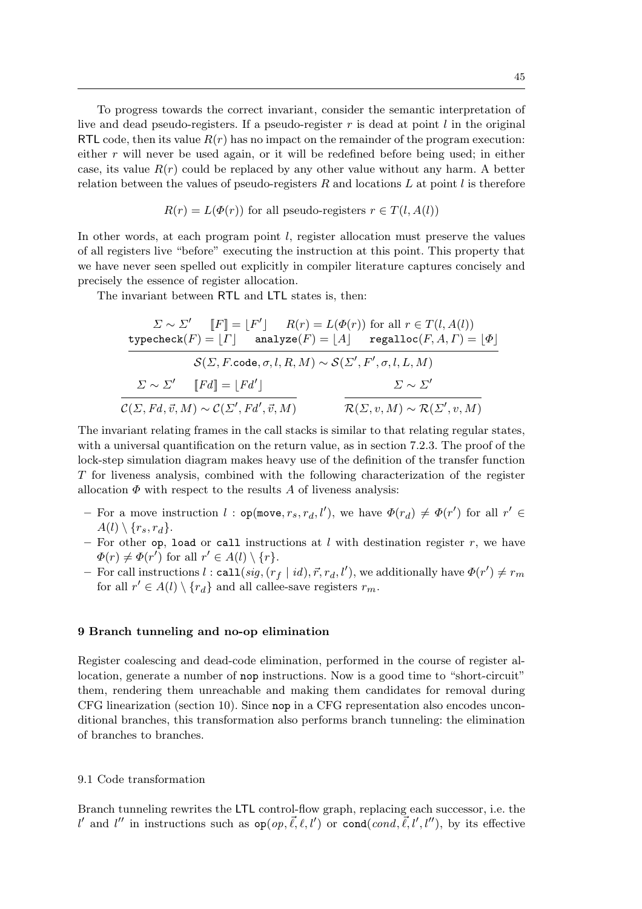To progress towards the correct invariant, consider the semantic interpretation of live and dead pseudo-registers. If a pseudo-register  $r$  is dead at point  $l$  in the original RTL code, then its value  $R(r)$  has no impact on the remainder of the program execution: either r will never be used again, or it will be redefined before being used; in either case, its value  $R(r)$  could be replaced by any other value without any harm. A better relation between the values of pseudo-registers R and locations L at point l is therefore

$$
R(r) = L(\Phi(r))
$$
 for all pseudo-registers  $r \in T(l, A(l))$ 

In other words, at each program point  $l$ , register allocation must preserve the values of all registers live "before" executing the instruction at this point. This property that we have never seen spelled out explicitly in compiler literature captures concisely and precisely the essence of register allocation.

The invariant between RTL and LTL states is, then:

$$
\Sigma \sim \Sigma' \quad [F] = [F'] \quad R(r) = L(\Phi(r)) \text{ for all } r \in T(l, A(l))
$$
  
typecheck(F) = [I] analyze(F) = [A]  $regalloc(F, A, \Gamma) = [\Phi]$   

$$
S(\Sigma, F, code, \sigma, l, R, M) \sim S(\Sigma', F', \sigma, l, L, M)
$$
  

$$
\Sigma \sim \Sigma' \quad [Fd] = [Fd'] \quad \Sigma \sim \Sigma'
$$
  

$$
C(\Sigma, Fd, \vec{v}, M) \sim C(\Sigma', Fd', \vec{v}, M) \quad \mathcal{R}(\Sigma, v, M) \sim \mathcal{R}(\Sigma', v, M)
$$

The invariant relating frames in the call stacks is similar to that relating regular states, with a universal quantification on the return value, as in section 7.2.3. The proof of the lock-step simulation diagram makes heavy use of the definition of the transfer function T for liveness analysis, combined with the following characterization of the register allocation  $\Phi$  with respect to the results A of liveness analysis:

- For a move instruction  $l$ :  $op(\text{move}, r_s, r_d, l')$ , we have  $\Phi(r_d) \neq \Phi(r')$  for all  $r' \in$  $A(l) \setminus \{r_s, r_d\}.$
- For other op, load or call instructions at  $l$  with destination register  $r$ , we have  $\Phi(r) \neq \Phi(r')$  for all  $r' \in A(l) \setminus \{r\}.$
- For call instructions  $l : \text{call}(sig, (r_f | id), \vec{r}, r_d, l')$ , we additionally have  $\Phi(r') \neq r_m$ for all  $r' \in A(l) \setminus \{r_d\}$  and all callee-save registers  $r_m$ .

## 9 Branch tunneling and no-op elimination

Register coalescing and dead-code elimination, performed in the course of register allocation, generate a number of nop instructions. Now is a good time to "short-circuit" them, rendering them unreachable and making them candidates for removal during CFG linearization (section 10). Since nop in a CFG representation also encodes unconditional branches, this transformation also performs branch tunneling: the elimination of branches to branches.

## 9.1 Code transformation

Branch tunneling rewrites the LTL control-flow graph, replacing each successor, i.e. the l' and l'' in instructions such as  $op(op, \vec{\ell}, \ell, l')$  or cond(cond,  $\vec{\ell}, l', l''$ ), by its effective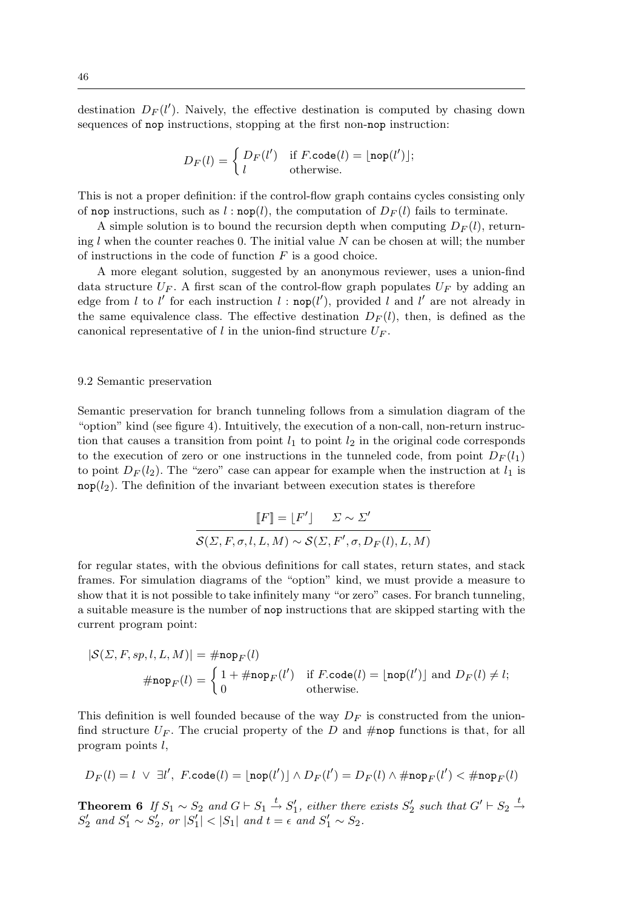destination  $D_F(l')$ . Naively, the effective destination is computed by chasing down sequences of nop instructions, stopping at the first non-nop instruction:

$$
D_F(l) = \begin{cases} D_F(l') & \text{if } F.\texttt{code}(l) = \lfloor \texttt{nop}(l') \rfloor; \\ l & \text{otherwise.} \end{cases}
$$

This is not a proper definition: if the control-flow graph contains cycles consisting only of nop instructions, such as  $l : \text{nop}(l)$ , the computation of  $D<sub>F</sub>(l)$  fails to terminate.

A simple solution is to bound the recursion depth when computing  $D_F(l)$ , returning  $l$  when the counter reaches 0. The initial value N can be chosen at will; the number of instructions in the code of function  $F$  is a good choice.

A more elegant solution, suggested by an anonymous reviewer, uses a union-find data structure  $U_F$ . A first scan of the control-flow graph populates  $U_F$  by adding an edge from l to l' for each instruction  $l : \text{nop}(l')$ , provided l and l' are not already in the same equivalence class. The effective destination  $D_F(l)$ , then, is defined as the canonical representative of l in the union-find structure  $U_F$ .

#### 9.2 Semantic preservation

Semantic preservation for branch tunneling follows from a simulation diagram of the "option" kind (see figure 4). Intuitively, the execution of a non-call, non-return instruction that causes a transition from point  $l_1$  to point  $l_2$  in the original code corresponds to the execution of zero or one instructions in the tunneled code, from point  $D_F(l_1)$ to point  $D_F(l_2)$ . The "zero" case can appear for example when the instruction at  $l_1$  is  $\text{nop}(l_2)$ . The definition of the invariant between execution states is therefore

$$
[F] = [F'] \quad \Sigma \sim \Sigma'
$$

$$
\mathcal{S}(\Sigma, F, \sigma, l, L, M) \sim \mathcal{S}(\Sigma, F', \sigma, D_F(l), L, M)
$$

for regular states, with the obvious definitions for call states, return states, and stack frames. For simulation diagrams of the "option" kind, we must provide a measure to show that it is not possible to take infinitely many "or zero" cases. For branch tunneling, a suitable measure is the number of nop instructions that are skipped starting with the current program point:

$$
|S(\Sigma, F, sp, l, L, M)| = \text{#nop}_F(l)
$$
  
\n
$$
\text{#nop}_F(l) = \begin{cases} 1 + \text{#nop}_F(l') & \text{if } F.\text{code}(l) = \lfloor \text{nop}(l') \rfloor \text{ and } D_F(l) \neq l; \\ 0 & \text{otherwise.} \end{cases}
$$

This definition is well founded because of the way  $D_F$  is constructed from the unionfind structure  $U_F$ . The crucial property of the D and  $\#$ nop functions is that, for all program points  $l$ ,

$$
D_F(l)=l \ \lor \ \exists l', \ F.\mathtt{code}(l) = \lfloor \mathtt{nop}(l') \rfloor \land D_F(l') = D_F(l) \land \# \mathtt{nop}_F(l') < \# \mathtt{nop}_F(l)
$$

**Theorem 6** If  $S_1 \sim S_2$  and  $G \vdash S_1 \stackrel{t}{\rightarrow} S'_1$ , either there exists  $S'_2$  such that  $G' \vdash S_2 \stackrel{t}{\rightarrow}$  $S'_2$  and  $S'_1 \sim S'_2$ , or  $|S'_1| < |S_1|$  and  $t = \epsilon$  and  $S'_1 \sim S_2$ .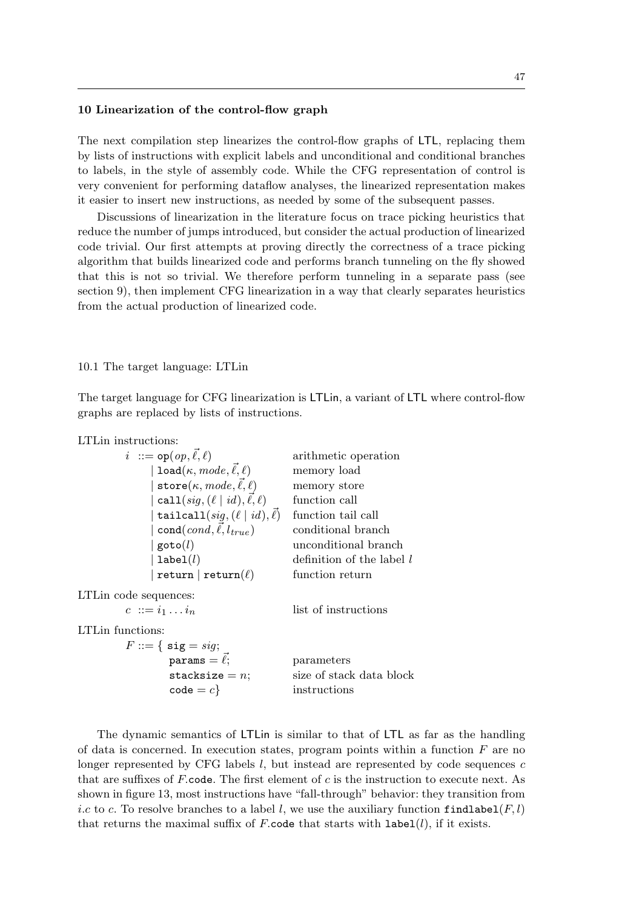## 10 Linearization of the control-flow graph

The next compilation step linearizes the control-flow graphs of LTL, replacing them by lists of instructions with explicit labels and unconditional and conditional branches to labels, in the style of assembly code. While the CFG representation of control is very convenient for performing dataflow analyses, the linearized representation makes it easier to insert new instructions, as needed by some of the subsequent passes.

Discussions of linearization in the literature focus on trace picking heuristics that reduce the number of jumps introduced, but consider the actual production of linearized code trivial. Our first attempts at proving directly the correctness of a trace picking algorithm that builds linearized code and performs branch tunneling on the fly showed that this is not so trivial. We therefore perform tunneling in a separate pass (see section 9), then implement CFG linearization in a way that clearly separates heuristics from the actual production of linearized code.

#### 10.1 The target language: LTLin

The target language for CFG linearization is LTLin, a variant of LTL where control-flow graphs are replaced by lists of instructions.

```
LTLin instructions:
```

| $i ::= \mathsf{op}(op, \vec{\ell}, \ell)$     | arithmetic operation      |
|-----------------------------------------------|---------------------------|
| load $(\kappa,\textit{mode},\vec{\ell},\ell)$ | memory load               |
| store $(\kappa, mode, \vec{\ell}, \ell)$      | memory store              |
| call $(sig, (\ell   id), \vec{\ell}, \ell)$   | function call             |
| tailcall $(sig, (\ell   id), \vec{\ell})$     | function tail call        |
| cond(cond, $\ell$ , $l_{true}$ )              | conditional branch        |
| $ $ goto $(l)$                                | unconditional branch      |
| label(l)                                      | definition of the label l |
| return   return $(\ell)$                      | function return           |
| LTLin code sequences:                         |                           |
| $c ::= i_1 \dots i_n$                         | list of instructions      |
| LTLin functions:                              |                           |
| $F ::= \{ \text{sig} = sig;$                  |                           |
| params $= \vec{l}$ ;                          | parameters                |
| stacksize $=n$ ;                              | size of stack data block  |
| $\text{code} = c$                             | instructions              |
|                                               |                           |

The dynamic semantics of LTLin is similar to that of LTL as far as the handling of data is concerned. In execution states, program points within a function  $F$  are no longer represented by CFG labels  $l$ , but instead are represented by code sequences  $c$ that are suffixes of  $F.\text{code}$ . The first element of  $c$  is the instruction to execute next. As shown in figure 13, most instructions have "fall-through" behavior: they transition from *i.c* to *c*. To resolve branches to a label l, we use the auxiliary function findlabel( $F, l$ ) that returns the maximal suffix of  $F$  code that starts with label( $l$ ), if it exists.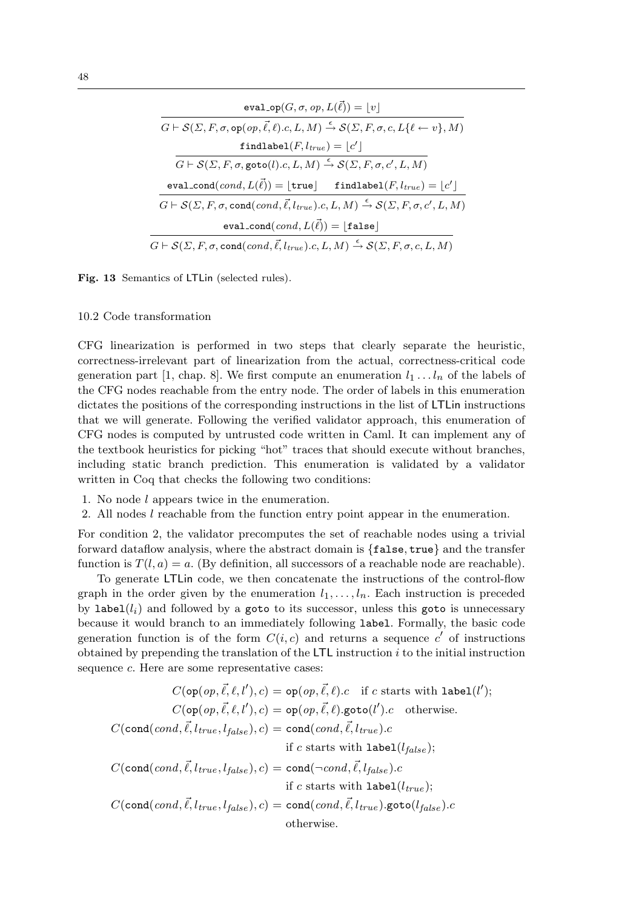

Fig. 13 Semantics of LTLin (selected rules).

#### 10.2 Code transformation

CFG linearization is performed in two steps that clearly separate the heuristic, correctness-irrelevant part of linearization from the actual, correctness-critical code generation part [1, chap. 8]. We first compute an enumeration  $l_1 \ldots l_n$  of the labels of the CFG nodes reachable from the entry node. The order of labels in this enumeration dictates the positions of the corresponding instructions in the list of LTLin instructions that we will generate. Following the verified validator approach, this enumeration of CFG nodes is computed by untrusted code written in Caml. It can implement any of the textbook heuristics for picking "hot" traces that should execute without branches, including static branch prediction. This enumeration is validated by a validator written in Coq that checks the following two conditions:

- 1. No node l appears twice in the enumeration.
- 2. All nodes l reachable from the function entry point appear in the enumeration.

For condition 2, the validator precomputes the set of reachable nodes using a trivial forward dataflow analysis, where the abstract domain is {false, true} and the transfer function is  $T(l, a) = a$ . (By definition, all successors of a reachable node are reachable).

To generate LTLin code, we then concatenate the instructions of the control-flow graph in the order given by the enumeration  $l_1, \ldots, l_n$ . Each instruction is preceded by label $(l_i)$  and followed by a goto to its successor, unless this goto is unnecessary because it would branch to an immediately following label. Formally, the basic code generation function is of the form  $C(i, c)$  and returns a sequence c' of instructions obtained by prepending the translation of the LTL instruction  $i$  to the initial instruction sequence c. Here are some representative cases:

 $C(\text{op}(op, \vec{\ell}, \ell, l'), c) = \text{op}(op, \vec{\ell}, \ell).c$  if c starts with label(*l'*);  $C(\text{op}(op, \vec{\ell}, \ell, l'), c) = \text{op}(op, \vec{\ell}, \ell)$ .goto $(l').c$  otherwise.  $C({\tt cond}(cond, \vec{\ell}, l_{true}, l_{false}), c) = {\tt cond}(cond, \vec{\ell}, l_{true}).c$ if c starts with  $label(l_{false})$ ;  $C({\tt cond}(cond, \vec{\ell}, l_{true}, l_{false}), c) = {\tt cond}(\neg cond, \vec{\ell}, l_{false}).c$ if c starts with  $label(l_{true})$ ;  $C({\tt cond}(cond, \vec{\ell}, l_{true}, l_{false}), c) = {\tt cond}(cond, \vec{\ell}, l_{true}). {\ttgoto}(l_{false}).c$ otherwise.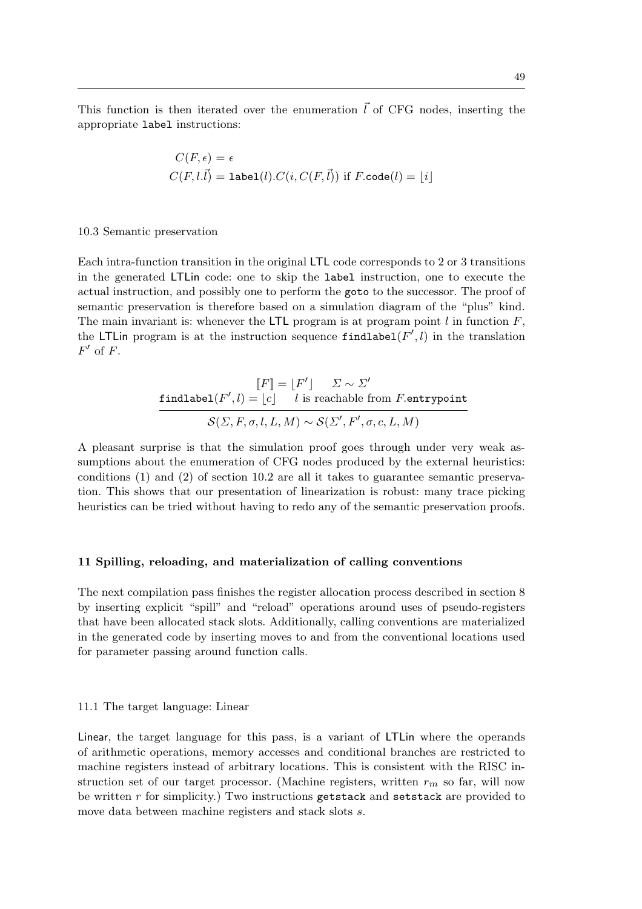This function is then iterated over the enumeration  $\vec{l}$  of CFG nodes, inserting the appropriate label instructions:

$$
C(F, \epsilon) = \epsilon
$$
  

$$
C(F, l.\vec{l}) = \texttt{label}(l).C(i, C(F, \vec{l})) \text{ if } F.\texttt{code}(l) = \lfloor i \rfloor
$$

#### 10.3 Semantic preservation

Each intra-function transition in the original LTL code corresponds to 2 or 3 transitions in the generated LTLin code: one to skip the label instruction, one to execute the actual instruction, and possibly one to perform the goto to the successor. The proof of semantic preservation is therefore based on a simulation diagram of the "plus" kind. The main invariant is: whenever the LTL program is at program point  $l$  in function  $F$ , the LTLin program is at the instruction sequence  $\texttt{findlabel}(F',l)$  in the translation  $F'$  of  $F$ .

$$
\llbracket F \rrbracket = \lfloor F' \rfloor \quad \Sigma \sim \Sigma'
$$
\n
$$
\text{findlabel}(F', l) = \lfloor c \rfloor \quad l \text{ is reachable from } F.\text{entropy} \text{int}
$$
\n
$$
\mathcal{S}(\Sigma, F, \sigma, l, L, M) \sim \mathcal{S}(\Sigma', F', \sigma, c, L, M)
$$

A pleasant surprise is that the simulation proof goes through under very weak assumptions about the enumeration of CFG nodes produced by the external heuristics: conditions (1) and (2) of section 10.2 are all it takes to guarantee semantic preservation. This shows that our presentation of linearization is robust: many trace picking heuristics can be tried without having to redo any of the semantic preservation proofs.

### 11 Spilling, reloading, and materialization of calling conventions

The next compilation pass finishes the register allocation process described in section 8 by inserting explicit "spill" and "reload" operations around uses of pseudo-registers that have been allocated stack slots. Additionally, calling conventions are materialized in the generated code by inserting moves to and from the conventional locations used for parameter passing around function calls.

### 11.1 The target language: Linear

Linear, the target language for this pass, is a variant of LTLin where the operands of arithmetic operations, memory accesses and conditional branches are restricted to machine registers instead of arbitrary locations. This is consistent with the RISC instruction set of our target processor. (Machine registers, written  $r_m$  so far, will now be written  $r$  for simplicity.) Two instructions getstack and setstack are provided to move data between machine registers and stack slots s.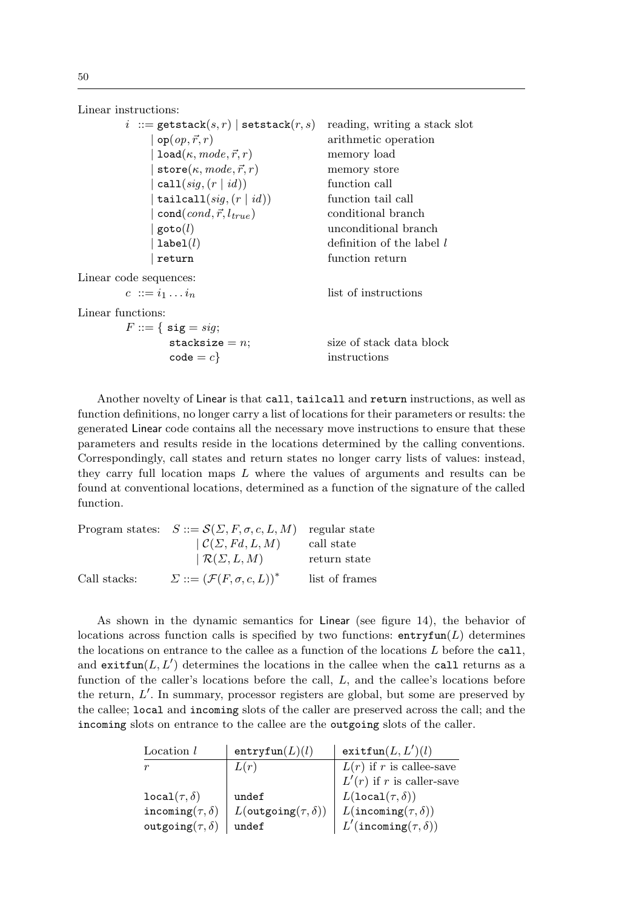Linear instructions:

|                        | $i$ : = getstack $(s,r)$   setstack $(r,s)$ | reading, writing a stack slot |
|------------------------|---------------------------------------------|-------------------------------|
|                        | $op(p, \vec{r}, r)$                         | arithmetic operation          |
|                        | $load(\kappa, mode, \vec{r}, r)$            | memory load                   |
|                        | store $(\kappa, mode, \vec{r}, r)$          | memory store                  |
|                        | call $(sig, (r   id))$                      | function call                 |
|                        | tailcall $(sig, (r   id))$                  | function tail call            |
|                        | cond(cond, $\vec{r}$ , $l_{true}$ )         | conditional branch            |
|                        | $\texttt{goto}(l)$                          | unconditional branch          |
|                        | label(l)                                    | definition of the label l     |
|                        | return                                      | function return               |
| Linear code sequences: |                                             |                               |
|                        | $c ::= i_1 \dots i_n$                       | list of instructions          |
| Linear functions:      |                                             |                               |
|                        | $F ::= \{ \text{sig} = sig;$                |                               |
|                        | stacksize $=n$ ;                            | size of stack data block      |
|                        | $code = c$                                  | instructions                  |
|                        |                                             |                               |

Another novelty of Linear is that call, tailcall and return instructions, as well as function definitions, no longer carry a list of locations for their parameters or results: the generated Linear code contains all the necessary move instructions to ensure that these parameters and results reside in the locations determined by the calling conventions. Correspondingly, call states and return states no longer carry lists of values: instead, they carry full location maps L where the values of arguments and results can be found at conventional locations, determined as a function of the signature of the called function.

|              | Program states: $S ::= \mathcal{S}(\Sigma, F, \sigma, c, L, M)$ | regular state  |
|--------------|-----------------------------------------------------------------|----------------|
|              | $\mathcal{C}(\Sigma, Fd, L, M)$                                 | call state     |
|              | $\mathcal{R}(\Sigma, L, M)$                                     | return state   |
| Call stacks: | $\Sigma ::= (\mathcal{F}(F, \sigma, c, L))^*$                   | list of frames |

As shown in the dynamic semantics for Linear (see figure 14), the behavior of locations across function calls is specified by two functions:  $\text{entryfun}(L)$  determines the locations on entrance to the callee as a function of the locations  $L$  before the call, and  $\texttt{exitfun}(L, L')$  determines the locations in the callee when the call returns as a function of the caller's locations before the call,  $L$ , and the callee's locations before the return,  $L'$ . In summary, processor registers are global, but some are preserved by the callee; local and incoming slots of the caller are preserved across the call; and the incoming slots on entrance to the callee are the outgoing slots of the caller.

| Location $l$                  | entryfun(L)(l)                     | $ext{fun}(L, L')(l)$                 |
|-------------------------------|------------------------------------|--------------------------------------|
|                               | L(r)                               | $L(r)$ if r is callee-save           |
|                               |                                    | $L'(r)$ if r is caller-save          |
| $local(\tau, \delta)$         | undef                              | $L(\texttt{local}(\tau, \delta))$    |
| incoming( $\tau$ , $\delta$ ) | $L(\text{outgoing}(\tau, \delta))$ | $L(\texttt{incoming}(\tau, \delta))$ |
| outgoing $(\tau, \delta)$     | undef                              | $L'(\text{incoming}(\tau, \delta))$  |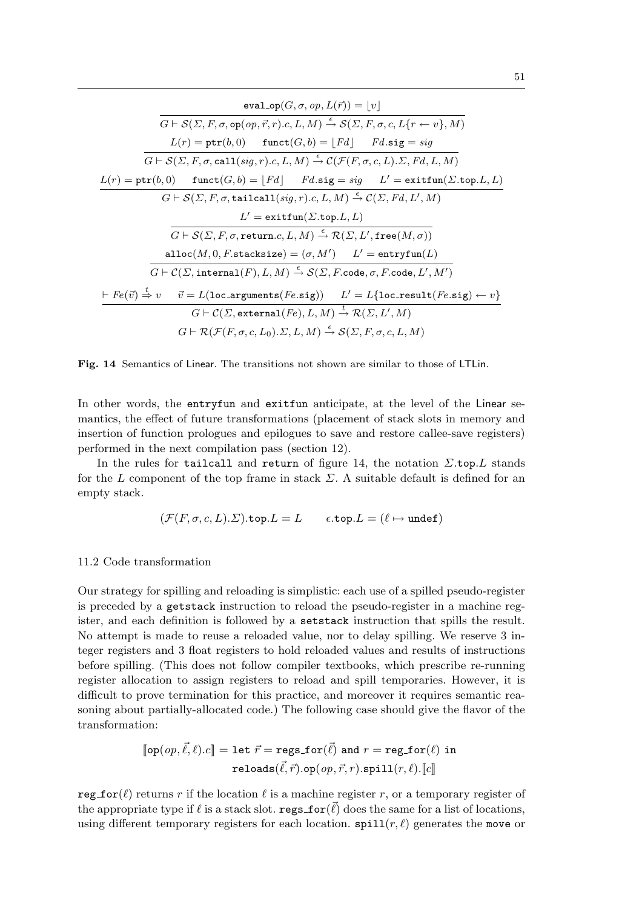eval\_op
$$
(G, \sigma, op, L(\vec{r})) = \lfloor v \rfloor
$$
  
\n
$$
\overline{G \vdash S(\Sigma, F, \sigma, op(op, \vec{r}, r).c, L, M) \stackrel{\epsilon}{\rightarrow} S(\Sigma, F, \sigma, c, L\{r \leftarrow v\}, M)}
$$
\n
$$
L(r) = \text{ptr}(b, 0) \quad \text{funct}(G, b) = \lfloor Fd \rfloor \quad Fd.\text{sig} = sig
$$
\n
$$
\overline{G \vdash S(\Sigma, F, \sigma, \text{call}(sig, r).c, L, M) \stackrel{\epsilon}{\rightarrow} C(\mathcal{F}(F, \sigma, c, L). \Sigma, Fd, L, M)}
$$
\n
$$
\underline{L(r)} = \text{ptr}(b, 0) \quad \text{funct}(G, b) = \lfloor Fd \rfloor \quad Fd.\text{sig} = sig \quad L' = \text{exitfun}(\Sigma.\text{top}.L, L)
$$
\n
$$
G \vdash S(\Sigma, F, \sigma, \text{tailcall}(sig, r).c, L, M) \stackrel{\epsilon}{\rightarrow} C(\Sigma, Fd, L', M)
$$
\n
$$
L' = \text{exitfun}(\Sigma.\text{top}.L, L)
$$
\n
$$
\overline{G \vdash S(\Sigma, F, \sigma, \text{return.c}, L, M) \stackrel{\epsilon}{\rightarrow} R(\Sigma, L', \text{free}(M, \sigma))}
$$
\n
$$
\text{alloc}(M, 0, F.\text{stacksize}) = (\sigma, M') \quad L' = \text{entryfun}(L)
$$
\n
$$
\overline{G \vdash C(\Sigma, \text{internal}(F), L, M) \stackrel{\epsilon}{\rightarrow} S(\Sigma, F.\text{code}, \sigma, F.\text{code}, L', M')}
$$
\n
$$
\underline{F \vdash F e(\vec{v}) \stackrel{\epsilon}{\Rightarrow} v} \quad \overline{v} = L(\text{loc\_arguments}(Fe.\text{sig})) \quad L' = L\{\text{loc\_result}(Fe.\text{sig}) \leftarrow v\}
$$
\n
$$
G \vdash C(\Sigma, \text{external}(F), L, M) \stackrel{\epsilon}{\rightarrow} R(\Sigma, L', M)
$$
\n
$$
G \vdash R(\mathcal{F}(F, \sigma, c, L_0). \Sigma, L, M) \stackrel{\epsilon}{\rightarrow} S(\Sigma, F, \sigma, c, L, M)
$$

Fig. 14 Semantics of Linear. The transitions not shown are similar to those of LTLin.

In other words, the entryfun and exitfun anticipate, at the level of the Linear semantics, the effect of future transformations (placement of stack slots in memory and insertion of function prologues and epilogues to save and restore callee-save registers) performed in the next compilation pass (section 12).

In the rules for tailcall and return of figure 14, the notation  $\Sigma$  top. L stands for the L component of the top frame in stack  $\Sigma$ . A suitable default is defined for an empty stack.

$$
(\mathcal{F}(F,\sigma,c,L).\Sigma).\mathtt{top}.L = L \qquad \epsilon.\mathtt{top}.L = (\ell \mapsto \mathtt{under})
$$

### 11.2 Code transformation

Our strategy for spilling and reloading is simplistic: each use of a spilled pseudo-register is preceded by a getstack instruction to reload the pseudo-register in a machine register, and each definition is followed by a setstack instruction that spills the result. No attempt is made to reuse a reloaded value, nor to delay spilling. We reserve 3 integer registers and 3 float registers to hold reloaded values and results of instructions before spilling. (This does not follow compiler textbooks, which prescribe re-running register allocation to assign registers to reload and spill temporaries. However, it is difficult to prove termination for this practice, and moreover it requires semantic reasoning about partially-allocated code.) The following case should give the flavor of the transformation:

$$
[\![\texttt{op}(\mathit{op},\vec{\ell},\ell).\mathit{c}]\!] = \texttt{let} \ \vec{r} = \texttt{regs\_for}(\vec{\ell}) \ \texttt{and} \ r = \texttt{reg\_for}(\ell) \ \texttt{in} \\ \texttt{reloads}(\vec{\ell},\vec{r}).\texttt{op}(\mathit{op},\vec{r},r).\texttt{spill}(r,\ell).[\![c]\!]
$$

reg for $(\ell)$  returns r if the location  $\ell$  is a machine register r, or a temporary register of the appropriate type if  $\ell$  is a stack slot. regs\_for( $\vec{\ell}$ ) does the same for a list of locations, using different temporary registers for each location.  $\text{spill}(r, \ell)$  generates the move or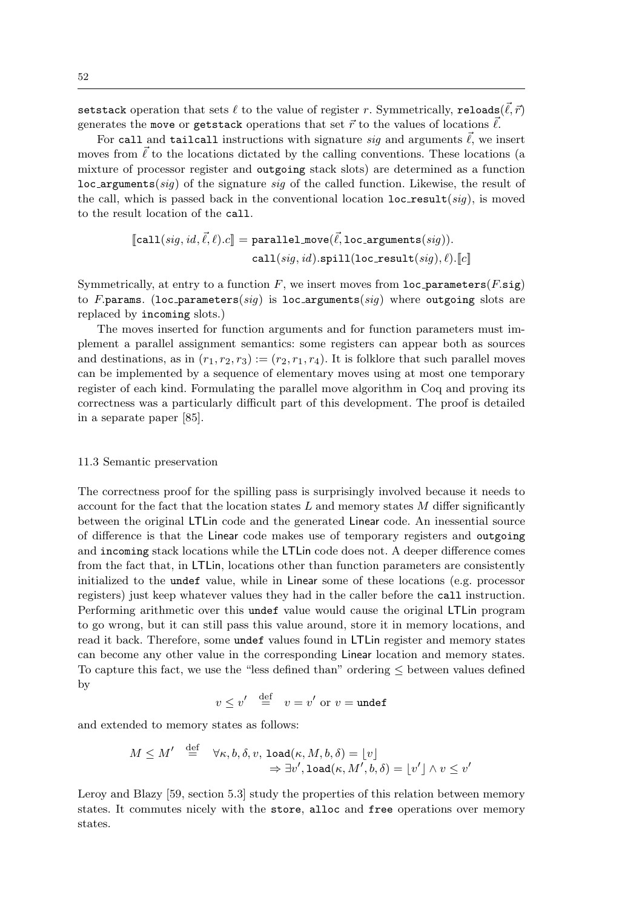setstack operation that sets  $\ell$  to the value of register  $r$ . Symmetrically,  $\mathsf{reloads}(\vec{\ell}, \vec{r})$ generates the move or getstack operations that set  $\vec{r}$  to the values of locations  $\vec{l}$ .

For call and tailcall instructions with signature sig and arguments  $\vec{l}$ , we insert moves from  $\vec{\ell}$  to the locations dictated by the calling conventions. These locations (a mixture of processor register and outgoing stack slots) are determined as a function  $\texttt{loc-arguments}(sig)$  of the signature sig of the called function. Likewise, the result of the call, which is passed back in the conventional location  $loc\_result(*sig*)$ , is moved to the result location of the call.

$$
\llbracket \texttt{call}(sig, id, \vec{\ell}, \ell).c \rrbracket = \texttt{parallel\_move}(\vec{\ell}, \texttt{loc\_arguments}(sig)).
$$
  

$$
\texttt{call}(sig, id). \texttt{spill}(\texttt{loc\_result}(sig), \ell). \llbracket c \rrbracket
$$

Symmetrically, at entry to a function  $F$ , we insert moves from  $\texttt{loc\_parameters}(F.\texttt{sig})$ to F.params. (loc\_parameters(sig) is loc\_arguments(sig) where outgoing slots are replaced by incoming slots.)

The moves inserted for function arguments and for function parameters must implement a parallel assignment semantics: some registers can appear both as sources and destinations, as in  $(r_1, r_2, r_3) := (r_2, r_1, r_4)$ . It is folklore that such parallel moves can be implemented by a sequence of elementary moves using at most one temporary register of each kind. Formulating the parallel move algorithm in Coq and proving its correctness was a particularly difficult part of this development. The proof is detailed in a separate paper [85].

#### 11.3 Semantic preservation

The correctness proof for the spilling pass is surprisingly involved because it needs to account for the fact that the location states  $L$  and memory states  $M$  differ significantly between the original LTLin code and the generated Linear code. An inessential source of difference is that the Linear code makes use of temporary registers and outgoing and incoming stack locations while the LTLin code does not. A deeper difference comes from the fact that, in LTLin, locations other than function parameters are consistently initialized to the undef value, while in Linear some of these locations (e.g. processor registers) just keep whatever values they had in the caller before the call instruction. Performing arithmetic over this undef value would cause the original LTLin program to go wrong, but it can still pass this value around, store it in memory locations, and read it back. Therefore, some undef values found in LTLin register and memory states can become any other value in the corresponding Linear location and memory states. To capture this fact, we use the "less defined than" ordering  $\leq$  between values defined by

$$
v \leq v' \stackrel{\text{def}}{=} v = v' \text{ or } v = \text{under}
$$

and extended to memory states as follows:

$$
M \leq M' \stackrel{\text{def}}{=} \forall \kappa, b, \delta, v, \texttt{load}(\kappa, M, b, \delta) = \lfloor v \rfloor \\ \Rightarrow \exists v', \texttt{load}(\kappa, M', b, \delta) = \lfloor v' \rfloor \land v \leq v'
$$

Leroy and Blazy [59, section 5.3] study the properties of this relation between memory states. It commutes nicely with the store, alloc and free operations over memory states.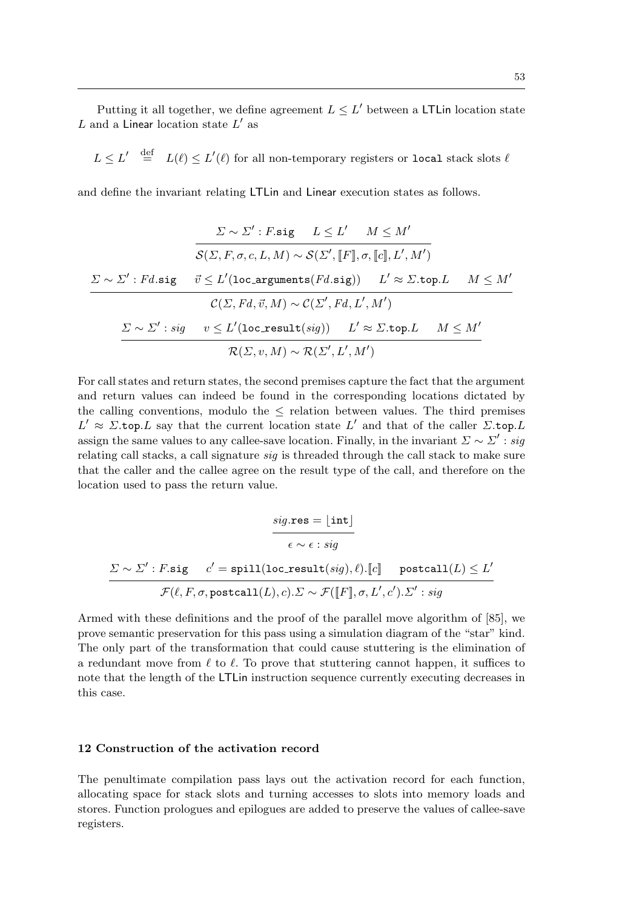Putting it all together, we define agreement  $L \leq L'$  between a LTLin location state  $L$  and a Linear location state  $L'$  as

 $L \leq L' \stackrel{\text{def}}{=} L(\ell) \leq L'(\ell)$  for all non-temporary registers or local stack slots  $\ell$ 

and define the invariant relating LTLin and Linear execution states as follows.

$$
\frac{\Sigma \sim \Sigma' : F.\texttt{sig} \quad L \le L' \quad M \le M'}{\mathcal{S}(\Sigma, F, \sigma, c, L, M) \sim \mathcal{S}(\Sigma', [\![F]\!], \sigma, [\![c]\!], L', M')}
$$
\n
$$
\frac{\Sigma \sim \Sigma' : Fd.\texttt{sig} \quad \vec{v} \le L'(\texttt{loc-arguments}(Fd.\texttt{sig})) \quad L' \approx \Sigma.\texttt{top}.L \quad M \le M'}{\mathcal{C}(\Sigma, Fd, \vec{v}, M) \sim \mathcal{C}(\Sigma', Fd, L', M')}
$$
\n
$$
\frac{\Sigma \sim \Sigma' : sig \quad v \le L'(\texttt{loc\_result}(sig)) \quad L' \approx \Sigma.\texttt{top}.L \quad M \le M'}{\mathcal{R}(\Sigma, v, M) \sim \mathcal{R}(\Sigma', L', M')}
$$

For call states and return states, the second premises capture the fact that the argument and return values can indeed be found in the corresponding locations dictated by the calling conventions, modulo the  $\leq$  relation between values. The third premises  $L' \approx \Sigma$  top. L say that the current location state  $L'$  and that of the caller  $\Sigma$  top. L assign the same values to any callee-save location. Finally, in the invariant  $\Sigma \sim \Sigma'$  : sig relating call stacks, a call signature  $sig$  is threaded through the call stack to make sure that the caller and the callee agree on the result type of the call, and therefore on the location used to pass the return value.

$$
\frac{sig.\texttt{res} = \lfloor \texttt{int} \rfloor}{\epsilon \sim \epsilon : sig}
$$
\n
$$
\frac{\Sigma \sim \Sigma' : F.\texttt{sig} \quad c' = \texttt{spill}(\texttt{loc\_result}(sig), \ell).[c]}{\mathcal{F}(\ell, F, \sigma, \texttt{postcall}(L), c). \Sigma \sim \mathcal{F}(\llbracket F \rrbracket, \sigma, L', c'). \Sigma' : sig}
$$

Armed with these definitions and the proof of the parallel move algorithm of [85], we prove semantic preservation for this pass using a simulation diagram of the "star" kind. The only part of the transformation that could cause stuttering is the elimination of a redundant move from  $\ell$  to  $\ell$ . To prove that stuttering cannot happen, it suffices to note that the length of the LTLin instruction sequence currently executing decreases in this case.

## 12 Construction of the activation record

The penultimate compilation pass lays out the activation record for each function, allocating space for stack slots and turning accesses to slots into memory loads and stores. Function prologues and epilogues are added to preserve the values of callee-save registers.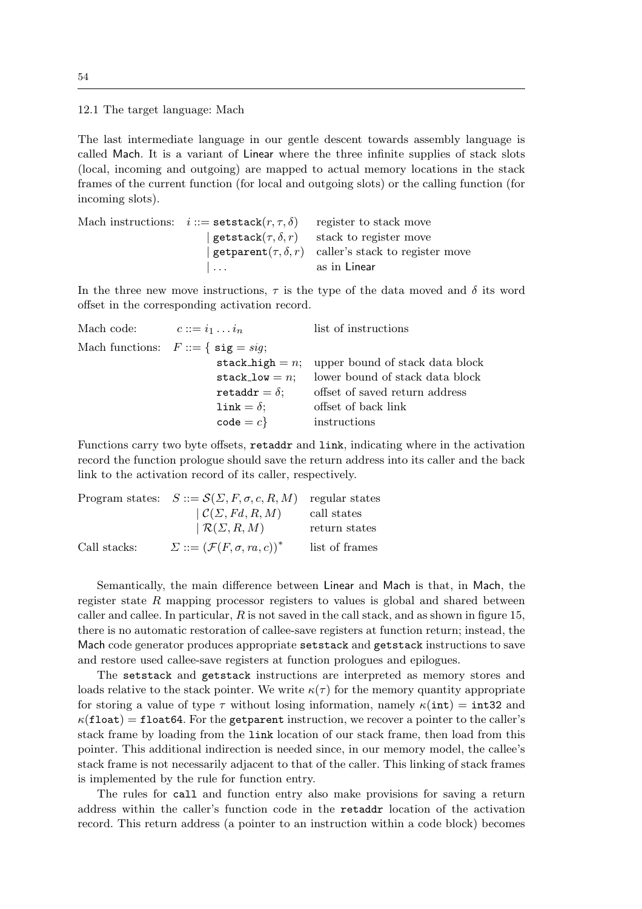12.1 The target language: Mach

The last intermediate language in our gentle descent towards assembly language is called Mach. It is a variant of Linear where the three infinite supplies of stack slots (local, incoming and outgoing) are mapped to actual memory locations in the stack frames of the current function (for local and outgoing slots) or the calling function (for incoming slots).

| Mach instructions: $i ::=$ setstack $(r, \tau, \delta)$ register to stack move |                                                                  |
|--------------------------------------------------------------------------------|------------------------------------------------------------------|
|                                                                                | $\mathbf{g}$ getstack $(\tau, \delta, r)$ stack to register move |
|                                                                                | getparent $(\tau, \delta, r)$ caller's stack to register move    |
| $\left  \ldots \right $                                                        | as in Linear                                                     |

In the three new move instructions,  $\tau$  is the type of the data moved and  $\delta$  its word offset in the corresponding activation record.

|                              | list of instructions                                                  |
|------------------------------|-----------------------------------------------------------------------|
|                              |                                                                       |
|                              | stack_high = n; upper bound of stack data block                       |
| stack_low = $n$ ;            | lower bound of stack data block                                       |
| $\mathtt{retaddr} = \delta;$ | offset of saved return address                                        |
| $\mathtt{link} = \delta;$    | offset of back link                                                   |
| $code = c$                   | instructions                                                          |
|                              | $c ::= i_1 \dots i_n$<br>Mach functions: $F ::= \{ \text{sig} = sig;$ |

Functions carry two byte offsets, retaddr and link, indicating where in the activation record the function prologue should save the return address into its caller and the back link to the activation record of its caller, respectively.

|              | Program states: $S ::= \mathcal{S}(\Sigma, F, \sigma, c, R, M)$ | regular states |
|--------------|-----------------------------------------------------------------|----------------|
|              | $\mathcal{C}(\Sigma, Fd, R, M)$                                 | call states    |
|              | $\mathcal{R}(\Sigma, R, M)$                                     | return states  |
| Call stacks: | $\Sigma ::= (\mathcal{F}(F, \sigma, ra, c))^*$                  | list of frames |

Semantically, the main difference between Linear and Mach is that, in Mach, the register state  $R$  mapping processor registers to values is global and shared between caller and callee. In particular,  $R$  is not saved in the call stack, and as shown in figure 15, there is no automatic restoration of callee-save registers at function return; instead, the Mach code generator produces appropriate setstack and getstack instructions to save and restore used callee-save registers at function prologues and epilogues.

The setstack and getstack instructions are interpreted as memory stores and loads relative to the stack pointer. We write  $\kappa(\tau)$  for the memory quantity appropriate for storing a value of type  $\tau$  without losing information, namely  $\kappa(int) = int32$  and  $\kappa$ (float) = float64. For the getparent instruction, we recover a pointer to the caller's stack frame by loading from the link location of our stack frame, then load from this pointer. This additional indirection is needed since, in our memory model, the callee's stack frame is not necessarily adjacent to that of the caller. This linking of stack frames is implemented by the rule for function entry.

The rules for call and function entry also make provisions for saving a return address within the caller's function code in the retaddr location of the activation record. This return address (a pointer to an instruction within a code block) becomes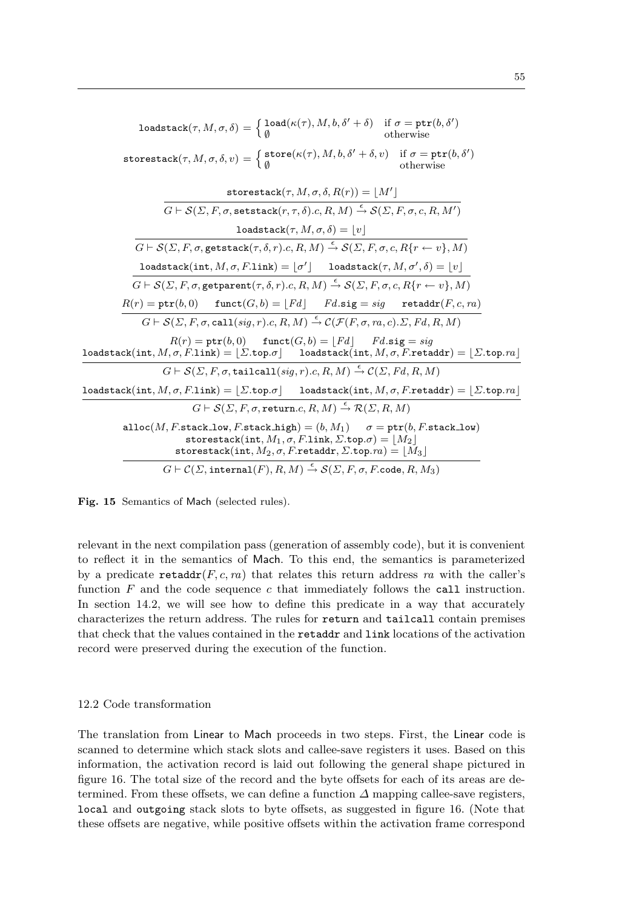| $\mathtt{loadstack}(\tau, M, \sigma, \delta) = \left\{ \begin{matrix} \mathtt{load}(\kappa(\tau), M, b, \delta' + \delta) & \text{if } \sigma = \mathtt{ptr}(b, \delta') \\ \emptyset & \text{otherwise} \end{matrix} \right.$                                                                      |
|-----------------------------------------------------------------------------------------------------------------------------------------------------------------------------------------------------------------------------------------------------------------------------------------------------|
| $\texttt{storestack}(\tau,M,\sigma,\delta,v) = \Big\{ \substack{\texttt{store}(\kappa(\tau),M,b,\delta'+\delta,v)} \quad \text{if} \ \sigma = \texttt{ptr}(b,\delta') \Big\}$<br>otherwise                                                                                                          |
| storestack $(\tau, M, \sigma, \delta, R(r)) =  M' $                                                                                                                                                                                                                                                 |
| $G \vdash \mathcal{S}(\Sigma, F, \sigma, \mathtt{setstack}(r, \tau, \delta).c, R, M) \stackrel{\epsilon}{\rightarrow} \mathcal{S}(\Sigma, F, \sigma, c, R, M')$                                                                                                                                     |
| loadstack $(\tau, M, \sigma, \delta) =  v $                                                                                                                                                                                                                                                         |
| $G \vdash \mathcal{S}(\Sigma, F, \sigma, \mathsf{getstack}(\tau, \delta, r).c, R, M) \stackrel{\epsilon}{\rightarrow} \mathcal{S}(\Sigma, F, \sigma, c, R\{r \leftarrow v\}, M)$                                                                                                                    |
| loadstack(int, M, $\sigma$ , F.link) = $ \sigma' $ loadstack( $\tau$ , M, $\sigma'$ , $\delta$ ) = $ v $                                                                                                                                                                                            |
| $G \vdash \mathcal{S}(\Sigma, F, \sigma, \texttt{getparent}(\tau, \delta, r).c, R, M) \stackrel{\epsilon}{\rightarrow} \mathcal{S}(\Sigma, F, \sigma, c, R\{r \leftarrow v\}, M)$                                                                                                                   |
| $R(r) = \text{ptr}(b,0)$ funct $(G,b) =  Fd $ $Fd.sig = sig$ retaddr $(F, c, ra)$                                                                                                                                                                                                                   |
| $G \vdash \mathcal{S}(\Sigma, F, \sigma, \text{call}(sig, r).c, R, M) \stackrel{\epsilon}{\rightarrow} \mathcal{C}(\mathcal{F}(F, \sigma, ra, c). \Sigma, Fd, R, M)$                                                                                                                                |
| $R(r) = \text{ptr}(b,0)$ funct $(G,b) =  Fd $ $Fd.\text{sig} = sig$<br>$\mathtt{loadstack(int, M, \sigma, F.1ink)} =  \Sigma.\mathtt{top.}\sigma  \quad \mathtt{loadstack(int, M, \sigma, F.retaddr)} =  \Sigma.\mathtt{top.}ra $                                                                   |
| $G \vdash \mathcal{S}(\Sigma, F, \sigma, \mathtt{tailcall}(sig, r).c, R, M) \stackrel{\epsilon}{\rightarrow} \mathcal{C}(\Sigma, Fd, R, M)$                                                                                                                                                         |
| $\mathtt{loadstack(int, M, \sigma, F.1ink)} = \lfloor \varSigma.\mathtt{top}.\sigma \rfloor \quad \mathtt{loadstack(int, M, \sigma, F.retaddr)} = \lfloor \varSigma.\mathtt{top}.ra \rfloor$                                                                                                        |
| $G \vdash \mathcal{S}(\Sigma, F, \sigma, \mathtt{return.c, R, M) \stackrel{\epsilon}{\rightarrow} \mathcal{R}(\Sigma, R, M)$                                                                                                                                                                        |
| $\mathtt{alloc}(M, F.\mathtt{stack\_low}, F.\mathtt{stack\_high}) = (b, M_1) \quad \sigma = \mathtt{ptr}(b, F.\mathtt{stack\_low})$<br>storestack(int, $M_1, \sigma, F.$ link, $\Sigma$ .top. $\sigma$ ) = $ M_2 $<br>storestack(int, $M_2$ , $\sigma$ , F.retaddr, $\Sigma$ .top. $ra$ ) = $ M_3 $ |
| $G \vdash \mathcal{C}(\Sigma, \texttt{internal}(F), R, M) \stackrel{\epsilon}{\to} \mathcal{S}(\Sigma, F, \sigma, F.\texttt{code}, R, M_3)$                                                                                                                                                         |

Fig. 15 Semantics of Mach (selected rules).

relevant in the next compilation pass (generation of assembly code), but it is convenient to reflect it in the semantics of Mach. To this end, the semantics is parameterized by a predicate retaddr( $F, c, ra$ ) that relates this return address ra with the caller's function  $F$  and the code sequence  $c$  that immediately follows the call instruction. In section 14.2, we will see how to define this predicate in a way that accurately characterizes the return address. The rules for return and tailcall contain premises that check that the values contained in the retaddr and link locations of the activation record were preserved during the execution of the function.

## 12.2 Code transformation

The translation from Linear to Mach proceeds in two steps. First, the Linear code is scanned to determine which stack slots and callee-save registers it uses. Based on this information, the activation record is laid out following the general shape pictured in figure 16. The total size of the record and the byte offsets for each of its areas are determined. From these offsets, we can define a function  $\Delta$  mapping callee-save registers, local and outgoing stack slots to byte offsets, as suggested in figure 16. (Note that these offsets are negative, while positive offsets within the activation frame correspond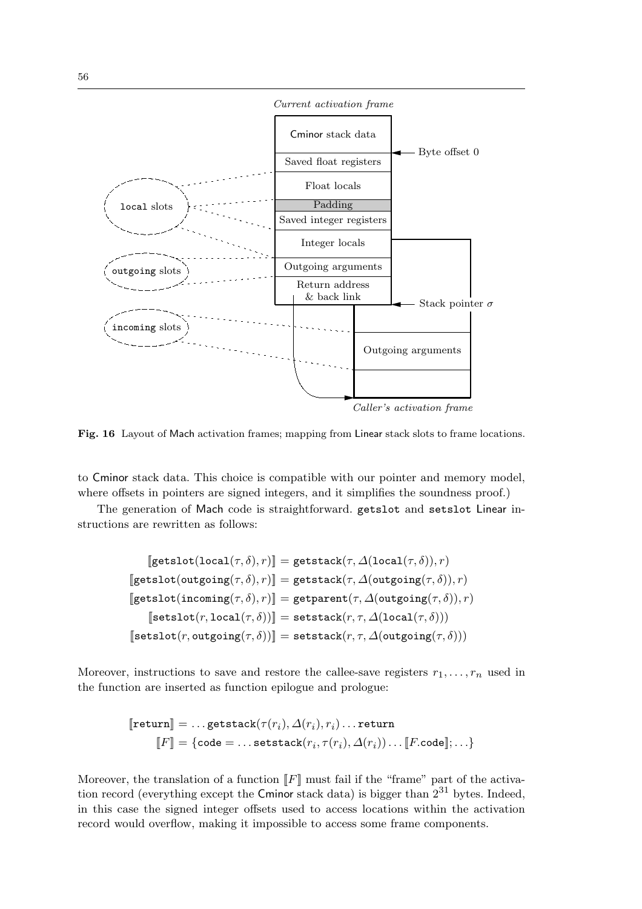

Fig. 16 Layout of Mach activation frames; mapping from Linear stack slots to frame locations.

to Cminor stack data. This choice is compatible with our pointer and memory model, where offsets in pointers are signed integers, and it simplifies the soundness proof.)

The generation of Mach code is straightforward. getslot and setslot Linear instructions are rewritten as follows:

> $[\text{getslot}(\text{local}(\tau, \delta), r)]] = \text{getstack}(\tau, \Delta(\text{local}(\tau, \delta)), r)$  $[\text{getsbot}(\text{outgoing}(\tau, \delta), r)] = \text{getstack}(\tau, \Delta(\text{outgoing}(\tau, \delta)), r)$  $[\text{getsbot}(incoming(\tau, \delta), r)] = \text{getparent}(\tau, \Delta(\text{outgoing}(\tau, \delta)), r)$  $[\textsf{setslot}(r, \textsf{local}(\tau, \delta))] = \textsf{setstack}(r, \tau, \Delta(\textsf{local}(\tau, \delta)))$  $[\textsf{setslot}(r, \textsf{outgoing}(\tau, \delta))] = \textsf{setstack}(r, \tau, \Delta(\textsf{outgoing}(\tau, \delta)))$

Moreover, instructions to save and restore the callee-save registers  $r_1, \ldots, r_n$  used in the function are inserted as function epilogue and prologue:

$$
\llbracket \texttt{return} \rrbracket = \dots \texttt{getstack}(\tau(r_i), \Delta(r_i), r_i) \dots \texttt{return}
$$

$$
\llbracket F \rrbracket = \{\texttt{code} = \dots \texttt{setstack}(r_i, \tau(r_i), \Delta(r_i)) \dots \llbracket F.\texttt{code} \rrbracket; \dots \}
$$

Moreover, the translation of a function  $||F||$  must fail if the "frame" part of the activation record (everything except the Cminor stack data) is bigger than  $2^{31}$  bytes. Indeed, in this case the signed integer offsets used to access locations within the activation record would overflow, making it impossible to access some frame components.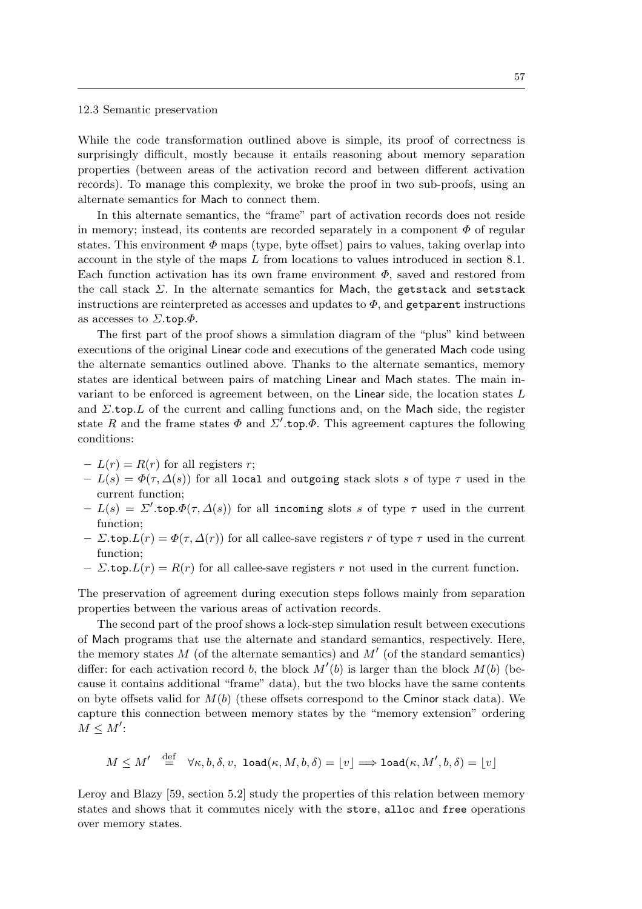### 12.3 Semantic preservation

While the code transformation outlined above is simple, its proof of correctness is surprisingly difficult, mostly because it entails reasoning about memory separation properties (between areas of the activation record and between different activation records). To manage this complexity, we broke the proof in two sub-proofs, using an alternate semantics for Mach to connect them.

In this alternate semantics, the "frame" part of activation records does not reside in memory; instead, its contents are recorded separately in a component  $\Phi$  of regular states. This environment  $\Phi$  maps (type, byte offset) pairs to values, taking overlap into account in the style of the maps L from locations to values introduced in section 8.1. Each function activation has its own frame environment  $\Phi$ , saved and restored from the call stack  $\Sigma$ . In the alternate semantics for Mach, the getstack and setstack instructions are reinterpreted as accesses and updates to  $\Phi$ , and get parent instructions as accesses to  $\Sigma$ .top. $\Phi$ .

The first part of the proof shows a simulation diagram of the "plus" kind between executions of the original Linear code and executions of the generated Mach code using the alternate semantics outlined above. Thanks to the alternate semantics, memory states are identical between pairs of matching Linear and Mach states. The main invariant to be enforced is agreement between, on the Linear side, the location states L and  $\Sigma$ .top. L of the current and calling functions and, on the Mach side, the register state R and the frame states  $\Phi$  and  $\Sigma'$ .top. $\Phi$ . This agreement captures the following conditions:

- $-L(r) = R(r)$  for all registers r;
- $L(s) = \Phi(\tau, \Delta(s))$  for all local and outgoing stack slots s of type  $\tau$  used in the current function;
- $-L(s) = \Sigma'.top.\Phi(\tau, \Delta(s))$  for all incoming slots s of type  $\tau$  used in the current function;
- Σ.top.  $L(r) = \Phi(\tau, \Delta(r))$  for all callee-save registers r of type  $\tau$  used in the current function;
- $\Sigma$  top.  $L(r) = R(r)$  for all callee-save registers r not used in the current function.

The preservation of agreement during execution steps follows mainly from separation properties between the various areas of activation records.

The second part of the proof shows a lock-step simulation result between executions of Mach programs that use the alternate and standard semantics, respectively. Here, the memory states M (of the alternate semantics) and  $M'$  (of the standard semantics) differ: for each activation record b, the block  $M'(b)$  is larger than the block  $M(b)$  (because it contains additional "frame" data), but the two blocks have the same contents on byte offsets valid for  $M(b)$  (these offsets correspond to the Cminor stack data). We capture this connection between memory states by the "memory extension" ordering  $M \leq M'$ :

$$
M\leq M'\ \stackrel{\mathrm{def}}{=}\ \forall \kappa, b, \delta, v,\ \mathtt{load}(\kappa, M, b, \delta) = \lfloor v\rfloor \Longrightarrow \mathtt{load}(\kappa, M', b, \delta) = \lfloor v\rfloor
$$

Leroy and Blazy [59, section 5.2] study the properties of this relation between memory states and shows that it commutes nicely with the store, alloc and free operations over memory states.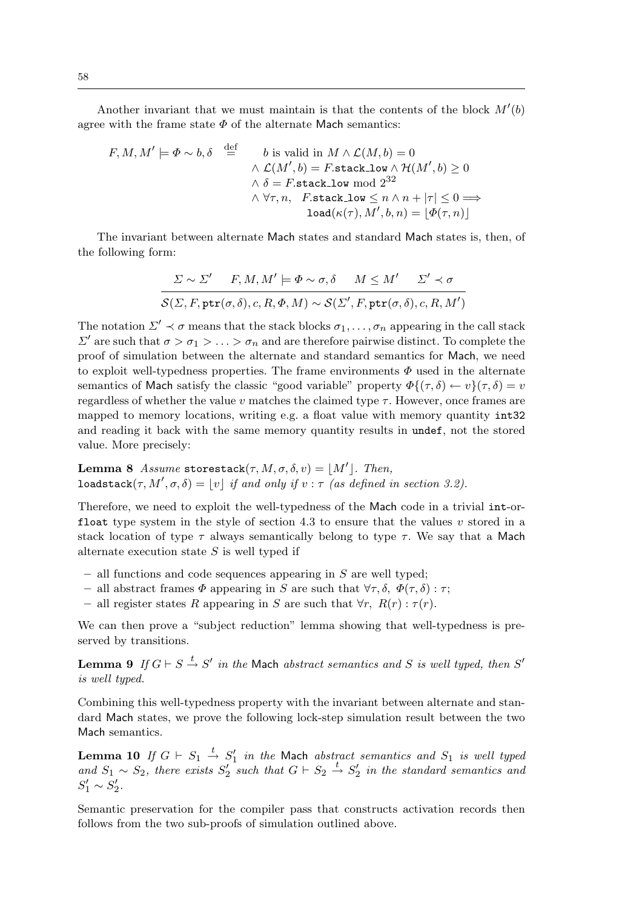Another invariant that we must maintain is that the contents of the block  $M'(b)$ agree with the frame state  $\Phi$  of the alternate Mach semantics:

$$
F, M, M' \models \Phi \sim b, \delta \stackrel{\text{def}}{=} \begin{array}{c} b \text{ is valid in } M \wedge \mathcal{L}(M, b) = 0 \\ \wedge \mathcal{L}(M', b) = F.\text{stack\_low } \wedge \mathcal{H}(M', b) \ge 0 \\ \wedge \delta = F.\text{stack\_low mod } 2^{32} \\ \wedge \forall \tau, n, \quad F.\text{stack\_low } \le n \wedge n + |\tau| \le 0 \Longrightarrow \\ \text{load}(\kappa(\tau), M', b, n) = |\Phi(\tau, n)| \end{array}
$$

The invariant between alternate Mach states and standard Mach states is, then, of the following form:

$$
\frac{\Sigma \sim \Sigma' \quad F, M, M' \models \Phi \sim \sigma, \delta \quad M \le M' \quad \Sigma' \prec \sigma}{\mathcal{S}(\Sigma, F, \text{ptr}(\sigma, \delta), c, R, \Phi, M) \sim \mathcal{S}(\Sigma', F, \text{ptr}(\sigma, \delta), c, R, M')}
$$

The notation  $\mathcal{L}' \prec \sigma$  means that the stack blocks  $\sigma_1, \ldots, \sigma_n$  appearing in the call stack  $\Sigma'$  are such that  $\sigma > \sigma_1 > \ldots > \sigma_n$  and are therefore pairwise distinct. To complete the proof of simulation between the alternate and standard semantics for Mach, we need to exploit well-typedness properties. The frame environments  $\Phi$  used in the alternate semantics of Mach satisfy the classic "good variable" property  $\Phi\{(\tau,\delta) \leftarrow v\}(\tau,\delta) = v$ regardless of whether the value v matches the claimed type  $\tau$ . However, once frames are mapped to memory locations, writing e.g. a float value with memory quantity int32 and reading it back with the same memory quantity results in undef, not the stored value. More precisely:

**Lemma 8** Assume storestack $(\tau, M, \sigma, \delta, v) = |M'|$ . Then, loadstack $(\tau, M', \sigma, \delta) = |v|$  if and only if  $v : \tau$  (as defined in section 3.2).

Therefore, we need to exploit the well-typedness of the Mach code in a trivial int-orfloat type system in the style of section 4.3 to ensure that the values  $v$  stored in a stack location of type  $\tau$  always semantically belong to type  $\tau$ . We say that a Mach alternate execution state  $S$  is well typed if

- $-$  all functions and code sequences appearing in S are well typed;
- all abstract frames Φ appearing in S are such that ∀τ, δ, Φ(τ, δ) : τ ;
- all register states R appearing in S are such that  $\forall r, R(r) : \tau(r)$ .

We can then prove a "subject reduction" lemma showing that well-typedness is preserved by transitions.

**Lemma 9** If  $G \vdash S \stackrel{t}{\rightarrow} S'$  in the Mach abstract semantics and S is well typed, then S' is well typed.

Combining this well-typedness property with the invariant between alternate and standard Mach states, we prove the following lock-step simulation result between the two Mach semantics.

**Lemma 10** If  $G \vdash S_1 \stackrel{t}{\rightarrow} S'_1$  in the Mach abstract semantics and  $S_1$  is well typed and  $S_1 \sim S_2$ , there exists  $S_2'$  such that  $G \vdash S_2 \stackrel{t}{\rightarrow} S_2'$  in the standard semantics and  $S'_1 \sim S'_2$ .

Semantic preservation for the compiler pass that constructs activation records then follows from the two sub-proofs of simulation outlined above.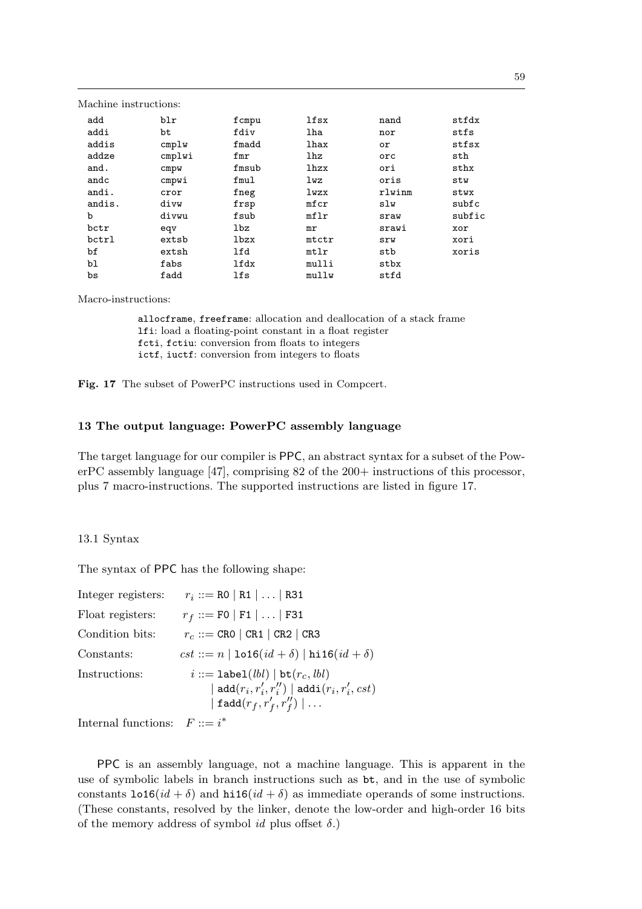| Machine instructions: |        |       |       |        |        |
|-----------------------|--------|-------|-------|--------|--------|
| add                   | blr    | fcmpu | lfsx  | nand   | stfdx  |
| addi                  | bt     | fdiv  | lha   | nor    | stfs   |
| addis                 | cmp1w  | fmadd | lhax  | or     | stfsx  |
| addze                 | cmplwi | fmr   | lhz   | orc    | sth    |
| and.                  | cmpW   | fmsub | lhzx  | ori    | sthx   |
| andc                  | cmpwi  | fmul  | lwz   | oris   | stw    |
| andi.                 | cror   | fneg  | lwzx  | rlwinm | stwx   |
| andis.                | divw   | frsp  | mfcr  | slw    | subfc  |
| b                     | divwu  | fsub  | mflr  | sraw   | subfic |
| bctr                  | eqv    | 1bz   | m r   | srawi  | xor    |
| bctrl                 | extsb  | lbzx  | mtctr | srw    | xori   |
| bf                    | extsh  | lfd   | mtlr  | stb    | xoris  |
| bl                    | fabs   | lfdx  | mulli | stbx   |        |
| bs                    | fadd   | lfs   | mullw | stfd   |        |

Macro-instructions:

allocframe, freeframe: allocation and deallocation of a stack frame lfi: load a floating-point constant in a float register fcti, fctiu: conversion from floats to integers ictf, iuctf: conversion from integers to floats

Fig. 17 The subset of PowerPC instructions used in Compcert.

## 13 The output language: PowerPC assembly language

The target language for our compiler is PPC, an abstract syntax for a subset of the PowerPC assembly language [47], comprising 82 of the 200+ instructions of this processor, plus 7 macro-instructions. The supported instructions are listed in figure 17.

13.1 Syntax

The syntax of PPC has the following shape:

| Integer registers: | $r_i ::=$ RO   R1      R31                                                                                                                                     |
|--------------------|----------------------------------------------------------------------------------------------------------------------------------------------------------------|
| Float registers:   | $r_f ::=$ F0   F1      F31                                                                                                                                     |
| Condition bits:    | $r_c ::=$ CRO   CR1   CR2   CR3                                                                                                                                |
| Constants:         | $cst ::= n \mid \texttt{lo16}(id + \delta) \mid \texttt{hi16}(id + \delta)$                                                                                    |
| Instructions:      | $i ::=$ label $(lbl)  $ bt $(r_c, lbl)$<br>$\mid \mathtt{add}(r_i,r'_i,r''_i)\mid \mathtt{addi}(r_i,r'_i,cst)$<br>$ \operatorname{fadd}(r_f,r_f',r_f'') \dots$ |
|                    |                                                                                                                                                                |

Internal functions:  $F ::= i^*$ 

PPC is an assembly language, not a machine language. This is apparent in the use of symbolic labels in branch instructions such as bt, and in the use of symbolic constants  $\text{Lo16}(id + \delta)$  and  $\text{hi16}(id + \delta)$  as immediate operands of some instructions. (These constants, resolved by the linker, denote the low-order and high-order 16 bits of the memory address of symbol *id* plus offset  $\delta$ .)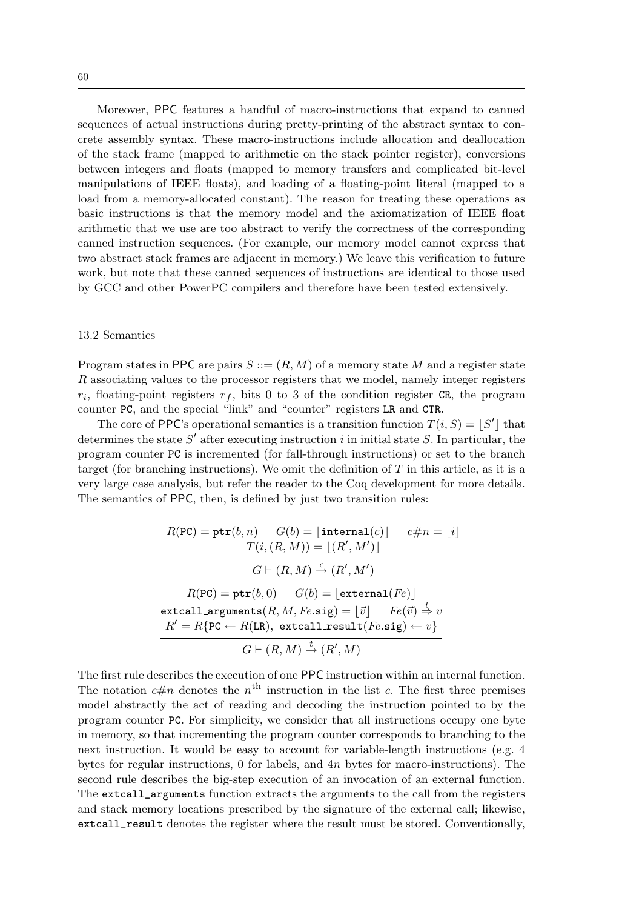60

Moreover, PPC features a handful of macro-instructions that expand to canned sequences of actual instructions during pretty-printing of the abstract syntax to concrete assembly syntax. These macro-instructions include allocation and deallocation of the stack frame (mapped to arithmetic on the stack pointer register), conversions between integers and floats (mapped to memory transfers and complicated bit-level manipulations of IEEE floats), and loading of a floating-point literal (mapped to a load from a memory-allocated constant). The reason for treating these operations as basic instructions is that the memory model and the axiomatization of IEEE float arithmetic that we use are too abstract to verify the correctness of the corresponding canned instruction sequences. (For example, our memory model cannot express that two abstract stack frames are adjacent in memory.) We leave this verification to future work, but note that these canned sequences of instructions are identical to those used by GCC and other PowerPC compilers and therefore have been tested extensively.

#### 13.2 Semantics

Program states in PPC are pairs  $S ::= (R, M)$  of a memory state M and a register state R associating values to the processor registers that we model, namely integer registers  $r_i$ , floating-point registers  $r_f$ , bits 0 to 3 of the condition register CR, the program counter PC, and the special "link" and "counter" registers LR and CTR.

The core of PPC's operational semantics is a transition function  $T(i, S) = |S'|$  that determines the state  $S'$  after executing instruction i in initial state S. In particular, the program counter PC is incremented (for fall-through instructions) or set to the branch target (for branching instructions). We omit the definition of T in this article, as it is a very large case analysis, but refer the reader to the Coq development for more details. The semantics of PPC, then, is defined by just two transition rules:

$$
R(\text{PC}) = \text{ptr}(b, n) \qquad G(b) = \lfloor \text{internal}(c) \rfloor \qquad c \#n = \lfloor i \rfloor
$$
\n
$$
T(i, (R, M)) = \lfloor (R', M') \rfloor
$$
\n
$$
G \vdash (R, M) \stackrel{\epsilon}{\to} (R', M')
$$
\n
$$
R(\text{PC}) = \text{ptr}(b, 0) \qquad G(b) = \lfloor \text{external}(Fe) \rfloor
$$
\n
$$
\text{extcall arguments}(R, M, Fe.\text{sig}) = \lfloor \vec{v} \rfloor \qquad Fe(\vec{v}) \stackrel{t}{\to} v
$$
\n
$$
R' = R\{\text{PC} \leftarrow R(\text{LR}), \text{ extend result}(Fe.\text{sig}) \leftarrow v\}
$$
\n
$$
G \vdash (R, M) \stackrel{t}{\to} (R', M)
$$

The first rule describes the execution of one PPC instruction within an internal function. The notation  $c\#n$  denotes the  $n^{\text{th}}$  instruction in the list c. The first three premises model abstractly the act of reading and decoding the instruction pointed to by the program counter PC. For simplicity, we consider that all instructions occupy one byte in memory, so that incrementing the program counter corresponds to branching to the next instruction. It would be easy to account for variable-length instructions (e.g. 4 bytes for regular instructions, 0 for labels, and 4n bytes for macro-instructions). The second rule describes the big-step execution of an invocation of an external function. The extcall\_arguments function extracts the arguments to the call from the registers and stack memory locations prescribed by the signature of the external call; likewise, extcall\_result denotes the register where the result must be stored. Conventionally,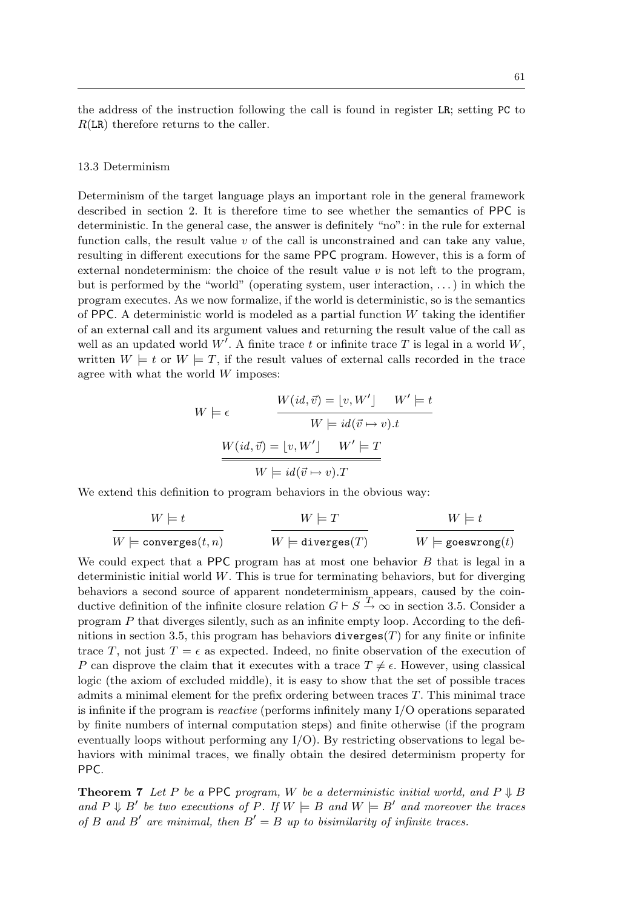the address of the instruction following the call is found in register LR; setting PC to  $R(LR)$  therefore returns to the caller.

#### 13.3 Determinism

Determinism of the target language plays an important role in the general framework described in section 2. It is therefore time to see whether the semantics of PPC is deterministic. In the general case, the answer is definitely "no": in the rule for external function calls, the result value  $v$  of the call is unconstrained and can take any value, resulting in different executions for the same PPC program. However, this is a form of external nondeterminism: the choice of the result value  $v$  is not left to the program, but is performed by the "world" (operating system, user interaction, . . . ) in which the program executes. As we now formalize, if the world is deterministic, so is the semantics of PPC. A deterministic world is modeled as a partial function  $W$  taking the identifier of an external call and its argument values and returning the result value of the call as well as an updated world W'. A finite trace t or infinite trace T is legal in a world W, written  $W \models t$  or  $W \models T$ , if the result values of external calls recorded in the trace agree with what the world  $W$  imposes:

$$
W \models \epsilon \qquad \frac{W(id, \vec{v}) = \lfloor v, W' \rfloor \quad W' \models t}{W \models id(\vec{v} \mapsto v).t}
$$

$$
\frac{W(id, \vec{v}) = \lfloor v, W' \rfloor \quad W' \models T}{W \models id(\vec{v} \mapsto v).T}
$$

We extend this definition to program behaviors in the obvious way:

$$
\cfrac{W \models t}{W \models \text{converges}(t,n)} \qquad \cfrac{W \models T}{W \models \text{diverges}(T)} \qquad \cfrac{W \models t}{W \models \text{goeswrong}(t)}
$$

We could expect that a PPC program has at most one behavior  $B$  that is legal in a deterministic initial world  $W$ . This is true for terminating behaviors, but for diverging behaviors a second source of apparent nondeterminism appears, caused by the coinductive definition of the infinite closure relation  $G \vdash S \stackrel{T}{\to} \infty$  in section 3.5. Consider a program P that diverges silently, such as an infinite empty loop. According to the definitions in section 3.5, this program has behaviors  $diverges(T)$  for any finite or infinite trace T, not just  $T = \epsilon$  as expected. Indeed, no finite observation of the execution of P can disprove the claim that it executes with a trace  $T \neq \epsilon$ . However, using classical logic (the axiom of excluded middle), it is easy to show that the set of possible traces admits a minimal element for the prefix ordering between traces T. This minimal trace is infinite if the program is reactive (performs infinitely many I/O operations separated by finite numbers of internal computation steps) and finite otherwise (if the program eventually loops without performing any  $I/O$ ). By restricting observations to legal behaviors with minimal traces, we finally obtain the desired determinism property for PPC.

**Theorem 7** Let P be a PPC program, W be a deterministic initial world, and  $P \Downarrow B$ and  $P \Downarrow B'$  be two executions of P. If  $W \models B$  and  $W \models B'$  and moreover the traces of B and B' are minimal, then  $B' = B$  up to bisimilarity of infinite traces.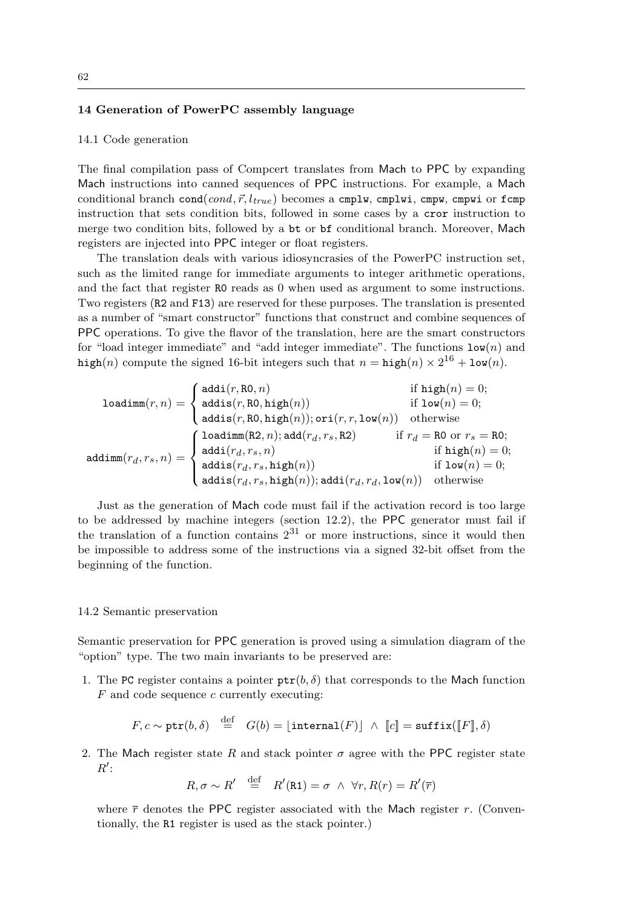# 14 Generation of PowerPC assembly language

#### 14.1 Code generation

The final compilation pass of Compcert translates from Mach to PPC by expanding Mach instructions into canned sequences of PPC instructions. For example, a Mach conditional branch cond(cond,  $\vec{r}$ ,  $l_{true}$ ) becomes a cmplw, cmplwi, cmpw, cmpwi or fcmp instruction that sets condition bits, followed in some cases by a cror instruction to merge two condition bits, followed by a bt or bf conditional branch. Moreover, Mach registers are injected into PPC integer or float registers.

The translation deals with various idiosyncrasies of the PowerPC instruction set, such as the limited range for immediate arguments to integer arithmetic operations, and the fact that register R0 reads as 0 when used as argument to some instructions. Two registers (R2 and F13) are reserved for these purposes. The translation is presented as a number of "smart constructor" functions that construct and combine sequences of PPC operations. To give the flavor of the translation, here are the smart constructors for "load integer immediate" and "add integer immediate". The functions  $\text{low}(n)$  and high(n) compute the signed 16-bit integers such that  $n = \text{high}(n) \times 2^{16} + \text{low}(n)$ .

$$
\texttt{loadimm}(r,n) = \left\{ \begin{array}{ll} \texttt{addi}(r,\texttt{RO},n) & \text{if $\texttt{high}(n) = 0$;} \\ \texttt{addis}(r,\texttt{RO},\texttt{high}(n)) & \text{if $\texttt{low}(n) = 0$;} \\ \texttt{addis}(r,\texttt{RO},\texttt{high}(n)); \texttt{ori}(r,r,\texttt{low}(n)) & \text{otherwise} \end{array} \right.
$$
\n
$$
\texttt{addimm}(r_d,r_s,n) = \left\{ \begin{array}{ll} \texttt{loadimm}(\texttt{R2},n); \texttt{add}(r_d,r_s,\texttt{R2}) & \text{if $r_d = \texttt{RO}$ or $r_s = \texttt{RO}$;} \\ \texttt{addi}(r_d,r_s,n) & \text{if $\texttt{high}(n) = 0$;} \\ \texttt{addis}(r_d,r_s,\texttt{high}(n)); \texttt{addi}(r_d,r_d,\texttt{low}(n)) & \text{otherwise} \end{array} \right.
$$

Just as the generation of Mach code must fail if the activation record is too large to be addressed by machine integers (section 12.2), the PPC generator must fail if the translation of a function contains  $2^{31}$  or more instructions, since it would then be impossible to address some of the instructions via a signed 32-bit offset from the beginning of the function.

#### 14.2 Semantic preservation

Semantic preservation for PPC generation is proved using a simulation diagram of the "option" type. The two main invariants to be preserved are:

1. The PC register contains a pointer  $ptr(b, \delta)$  that corresponds to the Mach function  $F$  and code sequence  $c$  currently executing:

def

$$
F, c \sim \texttt{ptr}(b, \delta) \stackrel{\text{def}}{=} G(b) = |\texttt{internal}(F)| \ \land \ [c] = \texttt{suffix}(\llbracket F \rrbracket, \delta)
$$

2. The Mach register state R and stack pointer  $\sigma$  agree with the PPC register state  $R'$ :  $\overline{1}$ 

$$
R, \sigma \sim R'
$$
  $\stackrel{\text{def}}{=} R'(\texttt{R1}) = \sigma \land \forall r, R(r) = R'(\overline{r})$ 

where  $\bar{r}$  denotes the PPC register associated with the Mach register r. (Conventionally, the R1 register is used as the stack pointer.)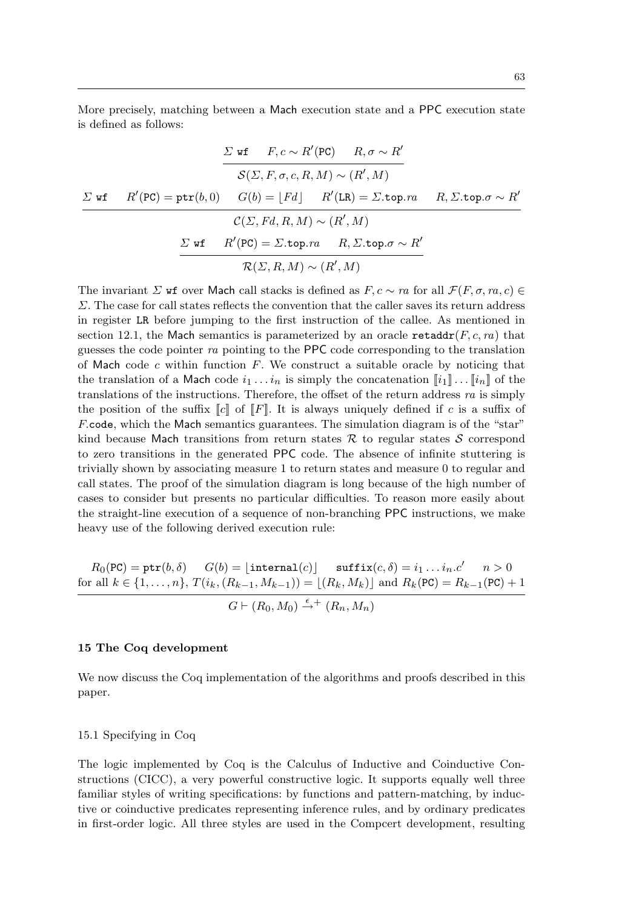More precisely, matching between a Mach execution state and a PPC execution state is defined as follows:

$$
\frac{\sum \text{wf} \quad F, c \sim R'(\text{PC}) \quad R, \sigma \sim R'}{\mathcal{S}(\Sigma, F, \sigma, c, R, M) \sim (R', M)}
$$
\n
$$
\frac{\sum \text{wf} \quad R'(\text{PC}) = \text{ptr}(b, 0) \quad G(b) = \lfloor Fd \rfloor \quad R'(\text{LR}) = \Sigma.\text{top.}ra \quad R, \Sigma.\text{top.}\sigma \sim R'}{\mathcal{C}(\Sigma, Fd, R, M) \sim (R', M)}
$$
\n
$$
\frac{\sum \text{wf} \quad R'(\text{PC}) = \Sigma.\text{top.}ra \quad R, \Sigma.\text{top.}\sigma \sim R'}{\mathcal{R}(\Sigma, R, M) \sim (R', M)}
$$

The invariant  $\Sigma$  wf over Mach call stacks is defined as  $F, c \sim ra$  for all  $\mathcal{F}(F, \sigma, ra, c) \in$  $\Sigma$ . The case for call states reflects the convention that the caller saves its return address in register LR before jumping to the first instruction of the callee. As mentioned in section 12.1, the Mach semantics is parameterized by an oracle retaddr( $F, c, ra$ ) that guesses the code pointer ra pointing to the PPC code corresponding to the translation of Mach code c within function  $F$ . We construct a suitable oracle by noticing that the translation of a Mach code  $i_1 \ldots i_n$  is simply the concatenation  $\llbracket i_1 \rrbracket \ldots \llbracket i_n \rrbracket$  of the translations of the instructions. Therefore, the offset of the return address  $ra$  is simply the position of the suffix  $\llbracket c \rrbracket$  of  $\llbracket F \rrbracket$ . It is always uniquely defined if c is a suffix of F.code, which the Mach semantics guarantees. The simulation diagram is of the "star" kind because Mach transitions from return states  $\mathcal R$  to regular states  $\mathcal S$  correspond to zero transitions in the generated PPC code. The absence of infinite stuttering is trivially shown by associating measure 1 to return states and measure 0 to regular and call states. The proof of the simulation diagram is long because of the high number of cases to consider but presents no particular difficulties. To reason more easily about the straight-line execution of a sequence of non-branching PPC instructions, we make heavy use of the following derived execution rule:

$$
R_0(\text{PC}) = \text{ptr}(b, \delta) \qquad G(b) = \lfloor \text{internal}(c) \rfloor \qquad \text{suffix}(c, \delta) = i_1 \dots i_n.c' \qquad n > 0
$$
\n
$$
\text{for all } k \in \{1, \dots, n\}, \ T(i_k, (R_{k-1}, M_{k-1})) = \lfloor (R_k, M_k) \rfloor \text{ and } R_k(\text{PC}) = R_{k-1}(\text{PC}) + 1
$$
\n
$$
G \vdash (R_0, M_0) \xrightarrow{\epsilon}^+ (R_n, M_n)
$$

### 15 The Coq development

We now discuss the Coq implementation of the algorithms and proofs described in this paper.

#### 15.1 Specifying in Coq

The logic implemented by Coq is the Calculus of Inductive and Coinductive Constructions (CICC), a very powerful constructive logic. It supports equally well three familiar styles of writing specifications: by functions and pattern-matching, by inductive or coinductive predicates representing inference rules, and by ordinary predicates in first-order logic. All three styles are used in the Compcert development, resulting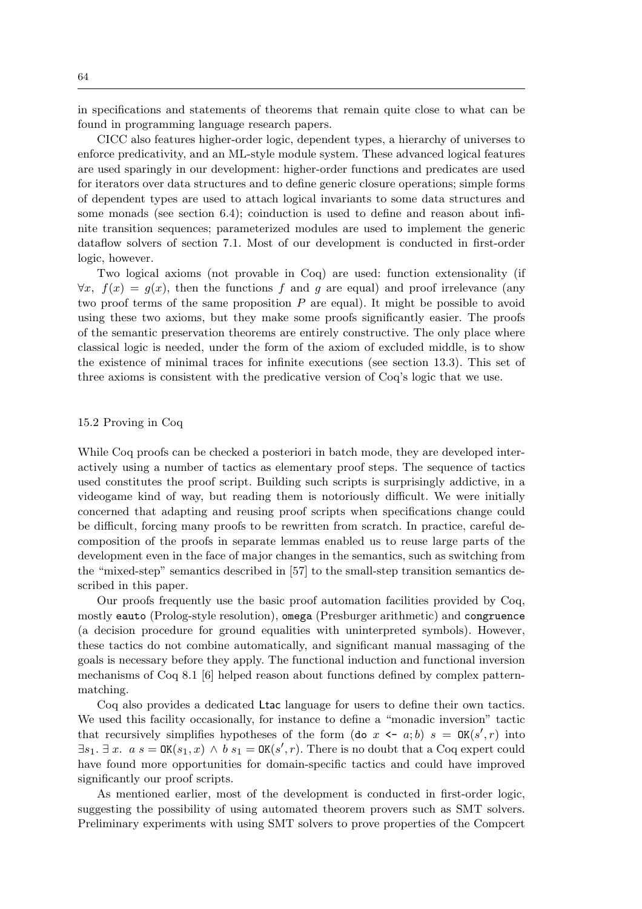in specifications and statements of theorems that remain quite close to what can be found in programming language research papers.

CICC also features higher-order logic, dependent types, a hierarchy of universes to enforce predicativity, and an ML-style module system. These advanced logical features are used sparingly in our development: higher-order functions and predicates are used for iterators over data structures and to define generic closure operations; simple forms of dependent types are used to attach logical invariants to some data structures and some monads (see section 6.4); coinduction is used to define and reason about infinite transition sequences; parameterized modules are used to implement the generic dataflow solvers of section 7.1. Most of our development is conducted in first-order logic, however.

Two logical axioms (not provable in Coq) are used: function extensionality (if  $\forall x, f(x) = g(x)$ , then the functions f and g are equal) and proof irrelevance (any two proof terms of the same proposition  $P$  are equal). It might be possible to avoid using these two axioms, but they make some proofs significantly easier. The proofs of the semantic preservation theorems are entirely constructive. The only place where classical logic is needed, under the form of the axiom of excluded middle, is to show the existence of minimal traces for infinite executions (see section 13.3). This set of three axioms is consistent with the predicative version of Coq's logic that we use.

### 15.2 Proving in Coq

While Coq proofs can be checked a posteriori in batch mode, they are developed interactively using a number of tactics as elementary proof steps. The sequence of tactics used constitutes the proof script. Building such scripts is surprisingly addictive, in a videogame kind of way, but reading them is notoriously difficult. We were initially concerned that adapting and reusing proof scripts when specifications change could be difficult, forcing many proofs to be rewritten from scratch. In practice, careful decomposition of the proofs in separate lemmas enabled us to reuse large parts of the development even in the face of major changes in the semantics, such as switching from the "mixed-step" semantics described in [57] to the small-step transition semantics described in this paper.

Our proofs frequently use the basic proof automation facilities provided by Coq, mostly eauto (Prolog-style resolution), omega (Presburger arithmetic) and congruence (a decision procedure for ground equalities with uninterpreted symbols). However, these tactics do not combine automatically, and significant manual massaging of the goals is necessary before they apply. The functional induction and functional inversion mechanisms of Coq 8.1 [6] helped reason about functions defined by complex patternmatching.

Coq also provides a dedicated Ltac language for users to define their own tactics. We used this facility occasionally, for instance to define a "monadic inversion" tactic that recursively simplifies hypotheses of the form (do  $x \leq a$ ; b)  $s = \text{OK}(s', r)$  into  $\exists s_1. \exists x. \ a \ s = \mathtt{OK}(s_1, x) \land b \ s_1 = \mathtt{OK}(s', r)$ . There is no doubt that a Coq expert could have found more opportunities for domain-specific tactics and could have improved significantly our proof scripts.

As mentioned earlier, most of the development is conducted in first-order logic, suggesting the possibility of using automated theorem provers such as SMT solvers. Preliminary experiments with using SMT solvers to prove properties of the Compcert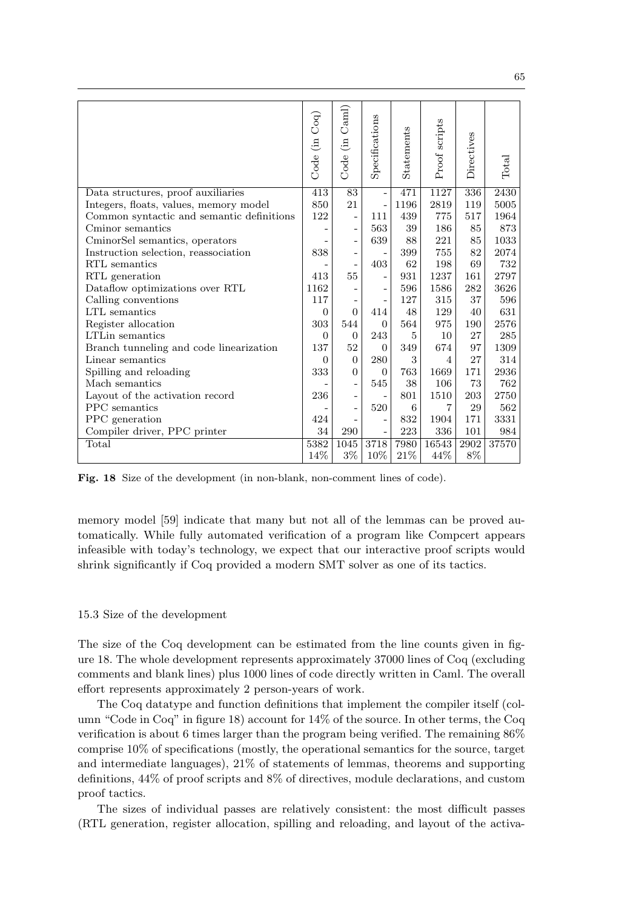|                                           | Code (in Coq)    | Can<br>$\lim_{h \to 0}$<br>Code | Specifications           | Statements | Proof scripts  | Directives | Total |
|-------------------------------------------|------------------|---------------------------------|--------------------------|------------|----------------|------------|-------|
| Data structures, proof auxiliaries        | $\overline{413}$ | 83                              | $\overline{a}$           | 471        | 1127           | 336        | 2430  |
| Integers, floats, values, memory model    | 850              | 21                              |                          | 1196       | 2819           | 119        | 5005  |
| Common syntactic and semantic definitions | 122              | $\overline{\phantom{0}}$        | 111                      | 439        | 775            | 517        | 1964  |
| Cminor semantics                          |                  | $\overline{\phantom{0}}$        | 563                      | 39         | 186            | 85         | 873   |
| CminorSel semantics, operators            |                  | $\overline{\phantom{0}}$        | 639                      | 88         | 221            | 85         | 1033  |
| Instruction selection, reassociation      | 838              | $\overline{\phantom{0}}$        |                          | 399        | 755            | 82         | 2074  |
| RTL semantics                             |                  |                                 | 403                      | 62         | 198            | 69         | 732   |
| RTL generation                            | 413              | 55                              | $\overline{\phantom{0}}$ | 931        | 1237           | 161        | 2797  |
| Dataflow optimizations over RTL           | 1162             |                                 |                          | 596        | 1586           | 282        | 3626  |
| Calling conventions                       | 117              |                                 |                          | 127        | 315            | 37         | 596   |
| LTL semantics                             | $\theta$         | $\overline{0}$                  | 414                      | 48         | 129            | 40         | 631   |
| Register allocation                       | 303              | 544                             | $\Omega$                 | 564        | 975            | 190        | 2576  |
| LTLin semantics                           | $\Omega$         | $\Omega$                        | 243                      | 5          | 10             | 27         | 285   |
| Branch tunneling and code linearization   | 137              | 52                              | $\Omega$                 | 349        | 674            | 97         | 1309  |
| Linear semantics                          | $\Omega$         | $\theta$                        | 280                      | 3          | $\overline{4}$ | 27         | 314   |
| Spilling and reloading                    | 333              | $\Omega$                        | $\Omega$                 | 763        | 1669           | 171        | 2936  |
| Mach semantics                            |                  | $\overline{\phantom{0}}$        | 545                      | 38         | 106            | 73         | 762   |
| Layout of the activation record           | 236              |                                 |                          | 801        | 1510           | 203        | 2750  |
| <b>PPC</b> semantics                      |                  |                                 | 520                      | 6          | 7              | 29         | 562   |
| PPC generation                            | 424              |                                 |                          | 832        | 1904           | 171        | 3331  |
| Compiler driver, PPC printer              | 34               | 290                             |                          | 223        | 336            | 101        | 984   |
| Total                                     | 5382             | 1045                            | 3718                     | 7980       | 16543          | 2902       | 37570 |
|                                           | 14%              | $3\%$                           | 10%                      | 21%        | 44%            | $8\%$      |       |

Fig. 18 Size of the development (in non-blank, non-comment lines of code).

memory model [59] indicate that many but not all of the lemmas can be proved automatically. While fully automated verification of a program like Compcert appears infeasible with today's technology, we expect that our interactive proof scripts would shrink significantly if Coq provided a modern SMT solver as one of its tactics.

### 15.3 Size of the development

The size of the Coq development can be estimated from the line counts given in figure 18. The whole development represents approximately 37000 lines of Coq (excluding comments and blank lines) plus 1000 lines of code directly written in Caml. The overall effort represents approximately 2 person-years of work.

The Coq datatype and function definitions that implement the compiler itself (column "Code in Coq" in figure 18) account for 14% of the source. In other terms, the Coq verification is about 6 times larger than the program being verified. The remaining 86% comprise 10% of specifications (mostly, the operational semantics for the source, target and intermediate languages), 21% of statements of lemmas, theorems and supporting definitions, 44% of proof scripts and 8% of directives, module declarations, and custom proof tactics.

The sizes of individual passes are relatively consistent: the most difficult passes (RTL generation, register allocation, spilling and reloading, and layout of the activa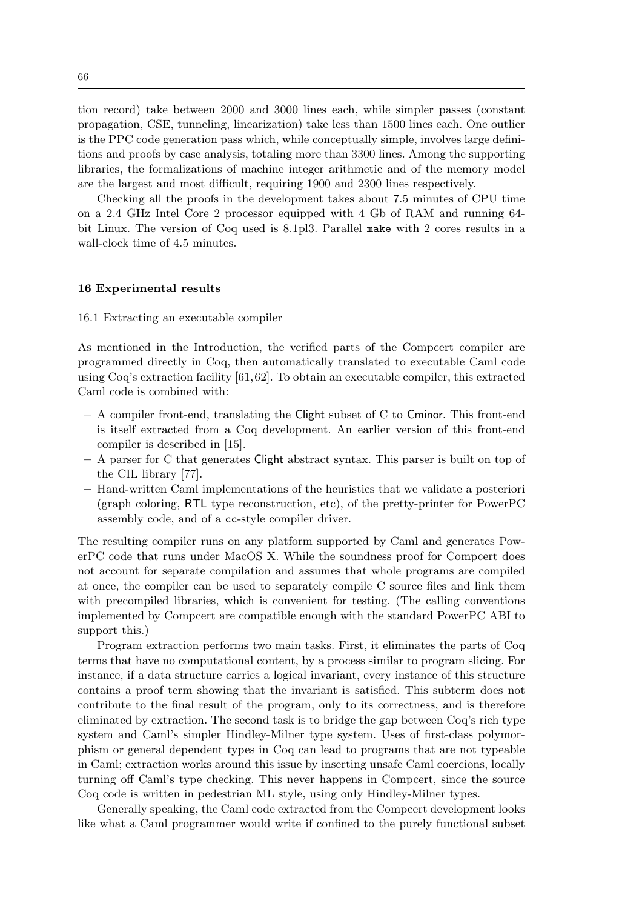tion record) take between 2000 and 3000 lines each, while simpler passes (constant propagation, CSE, tunneling, linearization) take less than 1500 lines each. One outlier is the PPC code generation pass which, while conceptually simple, involves large definitions and proofs by case analysis, totaling more than 3300 lines. Among the supporting libraries, the formalizations of machine integer arithmetic and of the memory model are the largest and most difficult, requiring 1900 and 2300 lines respectively.

Checking all the proofs in the development takes about 7.5 minutes of CPU time on a 2.4 GHz Intel Core 2 processor equipped with 4 Gb of RAM and running 64 bit Linux. The version of Coq used is 8.1pl3. Parallel make with 2 cores results in a wall-clock time of 4.5 minutes.

#### 16 Experimental results

16.1 Extracting an executable compiler

As mentioned in the Introduction, the verified parts of the Compcert compiler are programmed directly in Coq, then automatically translated to executable Caml code using Coq's extraction facility [61, 62]. To obtain an executable compiler, this extracted Caml code is combined with:

- A compiler front-end, translating the Clight subset of C to Cminor. This front-end is itself extracted from a Coq development. An earlier version of this front-end compiler is described in [15].
- A parser for C that generates Clight abstract syntax. This parser is built on top of the CIL library [77].
- Hand-written Caml implementations of the heuristics that we validate a posteriori (graph coloring, RTL type reconstruction, etc), of the pretty-printer for PowerPC assembly code, and of a cc-style compiler driver.

The resulting compiler runs on any platform supported by Caml and generates PowerPC code that runs under MacOS X. While the soundness proof for Compcert does not account for separate compilation and assumes that whole programs are compiled at once, the compiler can be used to separately compile C source files and link them with precompiled libraries, which is convenient for testing. (The calling conventions implemented by Compcert are compatible enough with the standard PowerPC ABI to support this.)

Program extraction performs two main tasks. First, it eliminates the parts of Coq terms that have no computational content, by a process similar to program slicing. For instance, if a data structure carries a logical invariant, every instance of this structure contains a proof term showing that the invariant is satisfied. This subterm does not contribute to the final result of the program, only to its correctness, and is therefore eliminated by extraction. The second task is to bridge the gap between Coq's rich type system and Caml's simpler Hindley-Milner type system. Uses of first-class polymorphism or general dependent types in Coq can lead to programs that are not typeable in Caml; extraction works around this issue by inserting unsafe Caml coercions, locally turning off Caml's type checking. This never happens in Compcert, since the source Coq code is written in pedestrian ML style, using only Hindley-Milner types.

Generally speaking, the Caml code extracted from the Compcert development looks like what a Caml programmer would write if confined to the purely functional subset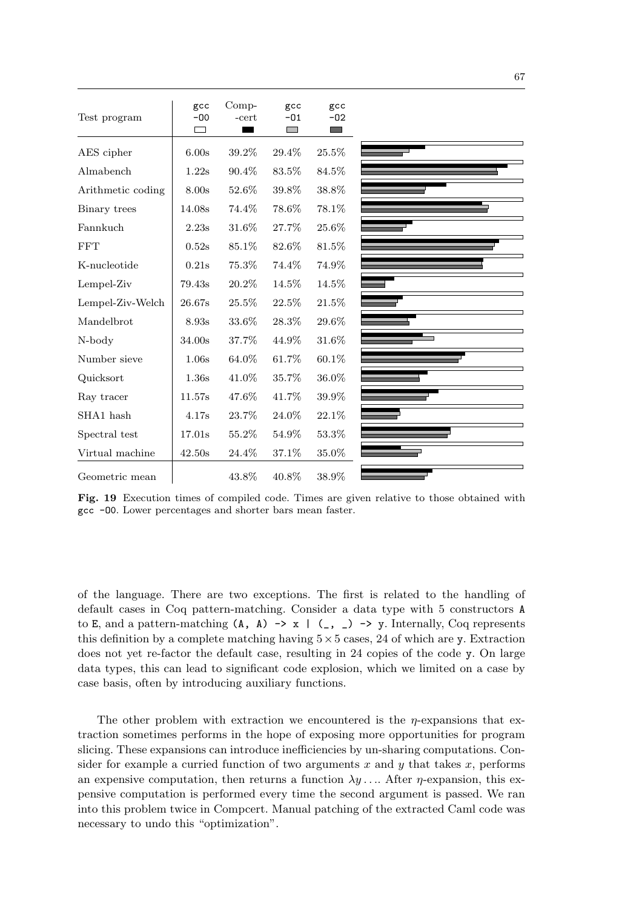| Test program      | gcc<br>$-00$      | $Comp-$<br>-cert | gcc<br>$-01$  | gcc<br>$-02$               |
|-------------------|-------------------|------------------|---------------|----------------------------|
|                   | $\Box$            |                  | <b>The Co</b> | $\mathcal{L}(\mathcal{A})$ |
| AES cipher        | 6.00s             | 39.2%            | 29.4%         | 25.5%                      |
| Almabench         | 1.22s             | 90.4%            | 83.5%         | 84.5%                      |
| Arithmetic coding | 8.00 <sub>s</sub> | 52.6%            | 39.8%         | 38.8%                      |
| Binary trees      | 14.08s            | 74.4%            | 78.6%         | 78.1%                      |
| Fannkuch          | 2.23s             | 31.6%            | 27.7%         | 25.6%                      |
| <b>FFT</b>        | 0.52s             | 85.1%            | 82.6%         | 81.5%                      |
| K-nucleotide      | 0.21s             | 75.3%            | 74.4%         | 74.9%                      |
| Lempel-Ziv        | 79.43s            | 20.2%            | 14.5%         | 14.5%                      |
| Lempel-Ziv-Welch  | 26.67s            | 25.5%            | 22.5%         | 21.5%                      |
| Mandelbrot        | 8.93s             | 33.6%            | 28.3%         | 29.6%                      |
| N-body            | 34.00s            | 37.7%            | 44.9%         | 31.6%                      |
| Number sieve      | 1.06s             | 64.0%            | $61.7\%$      | 60.1%                      |
| Quicksort         | 1.36s             | 41.0%            | 35.7%         | 36.0%                      |
| Ray tracer        | 11.57s            | 47.6%            | 41.7%         | 39.9%                      |
| SHA1 hash         | 4.17s             | 23.7%            | 24.0%         | 22.1%                      |
| Spectral test     | 17.01s            | 55.2%            | 54.9%         | 53.3%                      |
| Virtual machine   | 42.50s            | 24.4%            | 37.1%         | 35.0%                      |
| Geometric mean    |                   | 43.8%            | 40.8%         | 38.9%                      |

Fig. 19 Execution times of compiled code. Times are given relative to those obtained with gcc -O0. Lower percentages and shorter bars mean faster.

of the language. There are two exceptions. The first is related to the handling of default cases in Coq pattern-matching. Consider a data type with 5 constructors A to E, and a pattern-matching  $(A, A) \rightarrow x \mid (-, -) \rightarrow y$ . Internally, Coq represents this definition by a complete matching having  $5 \times 5$  cases, 24 of which are y. Extraction does not yet re-factor the default case, resulting in 24 copies of the code y. On large data types, this can lead to significant code explosion, which we limited on a case by case basis, often by introducing auxiliary functions.

The other problem with extraction we encountered is the  $\eta$ -expansions that extraction sometimes performs in the hope of exposing more opportunities for program slicing. These expansions can introduce inefficiencies by un-sharing computations. Consider for example a curried function of two arguments  $x$  and  $y$  that takes  $x$ , performs an expensive computation, then returns a function  $\lambda y$ ... After  $\eta$ -expansion, this expensive computation is performed every time the second argument is passed. We ran into this problem twice in Compcert. Manual patching of the extracted Caml code was necessary to undo this "optimization".

67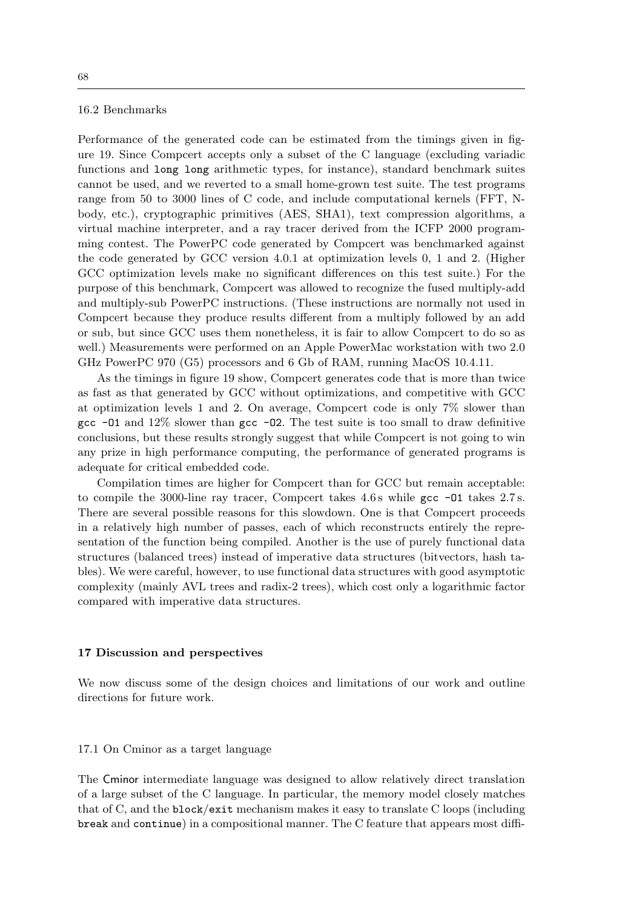## 16.2 Benchmarks

Performance of the generated code can be estimated from the timings given in figure 19. Since Compcert accepts only a subset of the C language (excluding variadic functions and long long arithmetic types, for instance), standard benchmark suites cannot be used, and we reverted to a small home-grown test suite. The test programs range from 50 to 3000 lines of C code, and include computational kernels (FFT, Nbody, etc.), cryptographic primitives (AES, SHA1), text compression algorithms, a virtual machine interpreter, and a ray tracer derived from the ICFP 2000 programming contest. The PowerPC code generated by Compcert was benchmarked against the code generated by GCC version 4.0.1 at optimization levels 0, 1 and 2. (Higher GCC optimization levels make no significant differences on this test suite.) For the purpose of this benchmark, Compcert was allowed to recognize the fused multiply-add and multiply-sub PowerPC instructions. (These instructions are normally not used in Compcert because they produce results different from a multiply followed by an add or sub, but since GCC uses them nonetheless, it is fair to allow Compcert to do so as well.) Measurements were performed on an Apple PowerMac workstation with two 2.0 GHz PowerPC 970 (G5) processors and 6 Gb of RAM, running MacOS 10.4.11.

As the timings in figure 19 show, Compcert generates code that is more than twice as fast as that generated by GCC without optimizations, and competitive with GCC at optimization levels 1 and 2. On average, Compcert code is only 7% slower than gcc  $-01$  and  $12\%$  slower than gcc  $-02$ . The test suite is too small to draw definitive conclusions, but these results strongly suggest that while Compcert is not going to win any prize in high performance computing, the performance of generated programs is adequate for critical embedded code.

Compilation times are higher for Compcert than for GCC but remain acceptable: to compile the 3000-line ray tracer, Compcert takes 4.6 s while gcc -O1 takes 2.7 s. There are several possible reasons for this slowdown. One is that Compcert proceeds in a relatively high number of passes, each of which reconstructs entirely the representation of the function being compiled. Another is the use of purely functional data structures (balanced trees) instead of imperative data structures (bitvectors, hash tables). We were careful, however, to use functional data structures with good asymptotic complexity (mainly AVL trees and radix-2 trees), which cost only a logarithmic factor compared with imperative data structures.

### 17 Discussion and perspectives

We now discuss some of the design choices and limitations of our work and outline directions for future work.

### 17.1 On Cminor as a target language

The Cminor intermediate language was designed to allow relatively direct translation of a large subset of the C language. In particular, the memory model closely matches that of C, and the block/exit mechanism makes it easy to translate C loops (including break and continue) in a compositional manner. The C feature that appears most diffi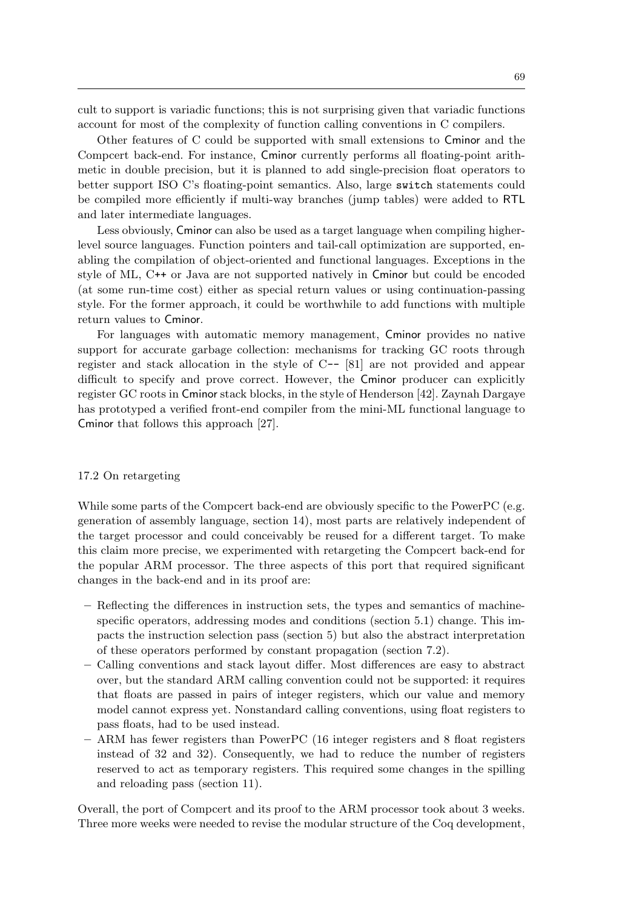cult to support is variadic functions; this is not surprising given that variadic functions account for most of the complexity of function calling conventions in C compilers.

Other features of C could be supported with small extensions to Cminor and the Compcert back-end. For instance, Cminor currently performs all floating-point arithmetic in double precision, but it is planned to add single-precision float operators to better support ISO C's floating-point semantics. Also, large switch statements could be compiled more efficiently if multi-way branches (jump tables) were added to RTL and later intermediate languages.

Less obviously, Cminor can also be used as a target language when compiling higherlevel source languages. Function pointers and tail-call optimization are supported, enabling the compilation of object-oriented and functional languages. Exceptions in the style of ML, C++ or Java are not supported natively in Cminor but could be encoded (at some run-time cost) either as special return values or using continuation-passing style. For the former approach, it could be worthwhile to add functions with multiple return values to Cminor.

For languages with automatic memory management, Cminor provides no native support for accurate garbage collection: mechanisms for tracking GC roots through register and stack allocation in the style of C-- [81] are not provided and appear difficult to specify and prove correct. However, the Cminor producer can explicitly register GC roots in Cminor stack blocks, in the style of Henderson [42]. Zaynah Dargaye has prototyped a verified front-end compiler from the mini-ML functional language to Cminor that follows this approach [27].

## 17.2 On retargeting

While some parts of the Compcert back-end are obviously specific to the PowerPC (e.g. generation of assembly language, section 14), most parts are relatively independent of the target processor and could conceivably be reused for a different target. To make this claim more precise, we experimented with retargeting the Compcert back-end for the popular ARM processor. The three aspects of this port that required significant changes in the back-end and in its proof are:

- Reflecting the differences in instruction sets, the types and semantics of machinespecific operators, addressing modes and conditions (section 5.1) change. This impacts the instruction selection pass (section 5) but also the abstract interpretation of these operators performed by constant propagation (section 7.2).
- Calling conventions and stack layout differ. Most differences are easy to abstract over, but the standard ARM calling convention could not be supported: it requires that floats are passed in pairs of integer registers, which our value and memory model cannot express yet. Nonstandard calling conventions, using float registers to pass floats, had to be used instead.
- ARM has fewer registers than PowerPC (16 integer registers and 8 float registers instead of 32 and 32). Consequently, we had to reduce the number of registers reserved to act as temporary registers. This required some changes in the spilling and reloading pass (section 11).

Overall, the port of Compcert and its proof to the ARM processor took about 3 weeks. Three more weeks were needed to revise the modular structure of the Coq development.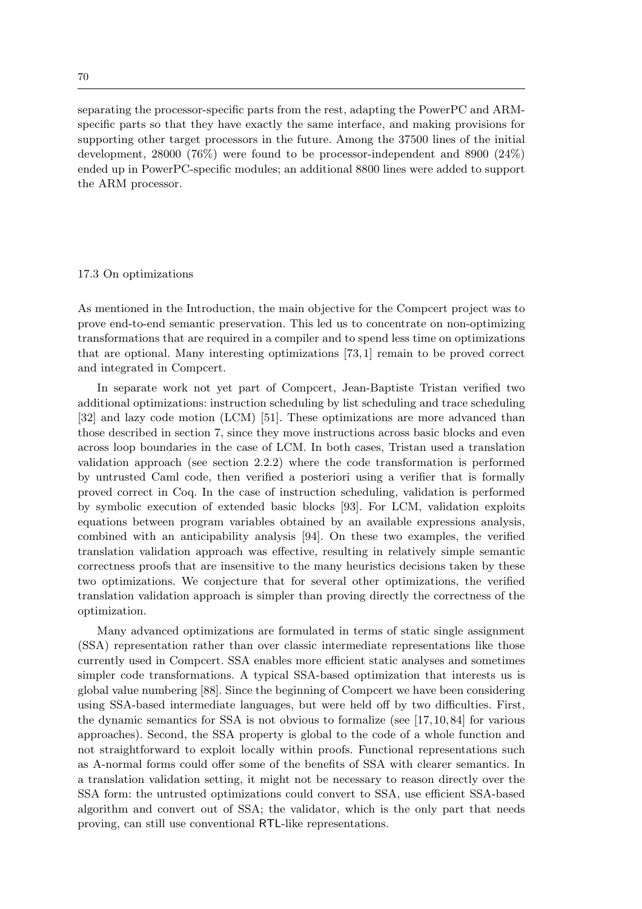separating the processor-specific parts from the rest, adapting the PowerPC and ARMspecific parts so that they have exactly the same interface, and making provisions for supporting other target processors in the future. Among the 37500 lines of the initial development, 28000 (76%) were found to be processor-independent and 8900 (24%) ended up in PowerPC-specific modules; an additional 8800 lines were added to support the ARM processor.

#### 17.3 On optimizations

As mentioned in the Introduction, the main objective for the Compcert project was to prove end-to-end semantic preservation. This led us to concentrate on non-optimizing transformations that are required in a compiler and to spend less time on optimizations that are optional. Many interesting optimizations [73, 1] remain to be proved correct and integrated in Compcert.

In separate work not yet part of Compcert, Jean-Baptiste Tristan verified two additional optimizations: instruction scheduling by list scheduling and trace scheduling [32] and lazy code motion (LCM) [51]. These optimizations are more advanced than those described in section 7, since they move instructions across basic blocks and even across loop boundaries in the case of LCM. In both cases, Tristan used a translation validation approach (see section 2.2.2) where the code transformation is performed by untrusted Caml code, then verified a posteriori using a verifier that is formally proved correct in Coq. In the case of instruction scheduling, validation is performed by symbolic execution of extended basic blocks [93]. For LCM, validation exploits equations between program variables obtained by an available expressions analysis, combined with an anticipability analysis [94]. On these two examples, the verified translation validation approach was effective, resulting in relatively simple semantic correctness proofs that are insensitive to the many heuristics decisions taken by these two optimizations. We conjecture that for several other optimizations, the verified translation validation approach is simpler than proving directly the correctness of the optimization.

Many advanced optimizations are formulated in terms of static single assignment (SSA) representation rather than over classic intermediate representations like those currently used in Compcert. SSA enables more efficient static analyses and sometimes simpler code transformations. A typical SSA-based optimization that interests us is global value numbering [88]. Since the beginning of Compcert we have been considering using SSA-based intermediate languages, but were held off by two difficulties. First, the dynamic semantics for SSA is not obvious to formalize (see [17,10, 84] for various approaches). Second, the SSA property is global to the code of a whole function and not straightforward to exploit locally within proofs. Functional representations such as A-normal forms could offer some of the benefits of SSA with clearer semantics. In a translation validation setting, it might not be necessary to reason directly over the SSA form: the untrusted optimizations could convert to SSA, use efficient SSA-based algorithm and convert out of SSA; the validator, which is the only part that needs proving, can still use conventional RTL-like representations.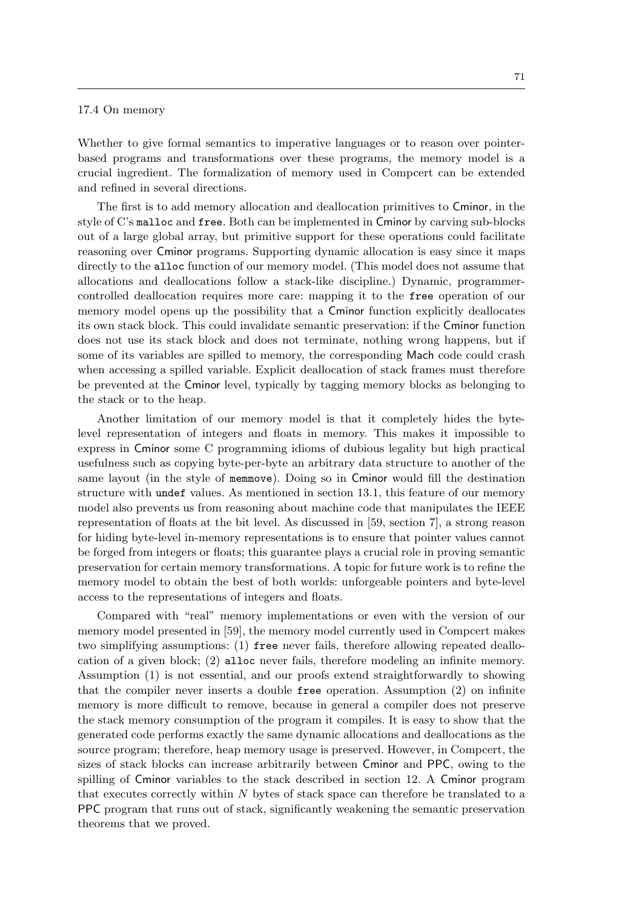## 17.4 On memory

Whether to give formal semantics to imperative languages or to reason over pointerbased programs and transformations over these programs, the memory model is a crucial ingredient. The formalization of memory used in Compcert can be extended and refined in several directions.

The first is to add memory allocation and deallocation primitives to Cminor, in the style of C's malloc and free. Both can be implemented in Cminor by carving sub-blocks out of a large global array, but primitive support for these operations could facilitate reasoning over Cminor programs. Supporting dynamic allocation is easy since it maps directly to the alloc function of our memory model. (This model does not assume that allocations and deallocations follow a stack-like discipline.) Dynamic, programmercontrolled deallocation requires more care: mapping it to the free operation of our memory model opens up the possibility that a Cminor function explicitly deallocates its own stack block. This could invalidate semantic preservation: if the Cminor function does not use its stack block and does not terminate, nothing wrong happens, but if some of its variables are spilled to memory, the corresponding Mach code could crash when accessing a spilled variable. Explicit deallocation of stack frames must therefore be prevented at the Cminor level, typically by tagging memory blocks as belonging to the stack or to the heap.

Another limitation of our memory model is that it completely hides the bytelevel representation of integers and floats in memory. This makes it impossible to express in Cminor some C programming idioms of dubious legality but high practical usefulness such as copying byte-per-byte an arbitrary data structure to another of the same layout (in the style of memmove). Doing so in Cminor would fill the destination structure with undef values. As mentioned in section 13.1, this feature of our memory model also prevents us from reasoning about machine code that manipulates the IEEE representation of floats at the bit level. As discussed in [59, section 7], a strong reason for hiding byte-level in-memory representations is to ensure that pointer values cannot be forged from integers or floats; this guarantee plays a crucial role in proving semantic preservation for certain memory transformations. A topic for future work is to refine the memory model to obtain the best of both worlds: unforgeable pointers and byte-level access to the representations of integers and floats.

Compared with "real" memory implementations or even with the version of our memory model presented in [59], the memory model currently used in Compcert makes two simplifying assumptions: (1) free never fails, therefore allowing repeated deallocation of a given block; (2) alloc never fails, therefore modeling an infinite memory. Assumption (1) is not essential, and our proofs extend straightforwardly to showing that the compiler never inserts a double free operation. Assumption (2) on infinite memory is more difficult to remove, because in general a compiler does not preserve the stack memory consumption of the program it compiles. It is easy to show that the generated code performs exactly the same dynamic allocations and deallocations as the source program; therefore, heap memory usage is preserved. However, in Compcert, the sizes of stack blocks can increase arbitrarily between Cminor and PPC, owing to the spilling of Cminor variables to the stack described in section 12. A Cminor program that executes correctly within  $N$  bytes of stack space can therefore be translated to a PPC program that runs out of stack, significantly weakening the semantic preservation theorems that we proved.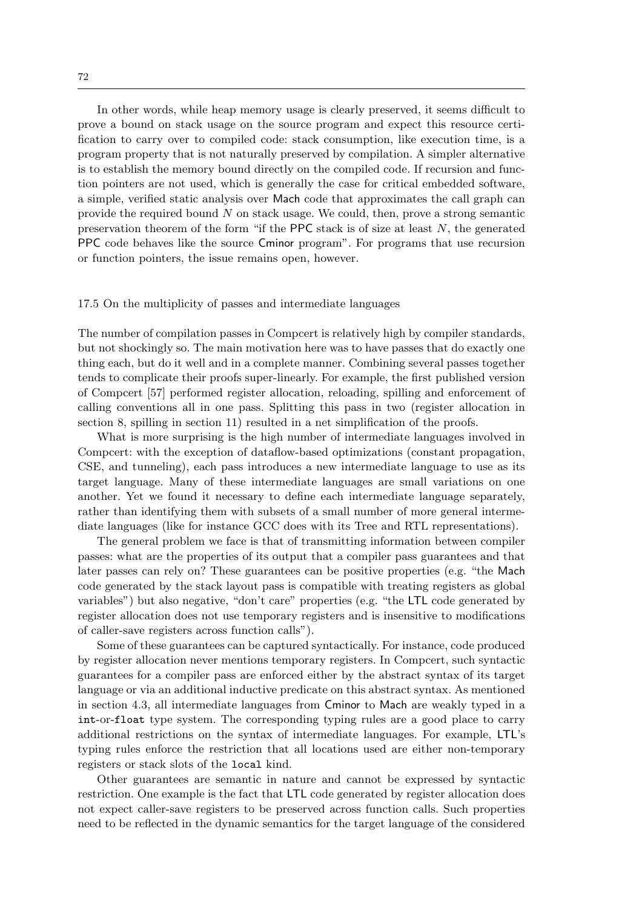In other words, while heap memory usage is clearly preserved, it seems difficult to prove a bound on stack usage on the source program and expect this resource certification to carry over to compiled code: stack consumption, like execution time, is a program property that is not naturally preserved by compilation. A simpler alternative is to establish the memory bound directly on the compiled code. If recursion and function pointers are not used, which is generally the case for critical embedded software, a simple, verified static analysis over Mach code that approximates the call graph can provide the required bound  $N$  on stack usage. We could, then, prove a strong semantic preservation theorem of the form "if the PPC stack is of size at least  $N$ , the generated PPC code behaves like the source Cminor program". For programs that use recursion or function pointers, the issue remains open, however.

## 17.5 On the multiplicity of passes and intermediate languages

The number of compilation passes in Compcert is relatively high by compiler standards, but not shockingly so. The main motivation here was to have passes that do exactly one thing each, but do it well and in a complete manner. Combining several passes together tends to complicate their proofs super-linearly. For example, the first published version of Compcert [57] performed register allocation, reloading, spilling and enforcement of calling conventions all in one pass. Splitting this pass in two (register allocation in section 8, spilling in section 11) resulted in a net simplification of the proofs.

What is more surprising is the high number of intermediate languages involved in Compcert: with the exception of dataflow-based optimizations (constant propagation, CSE, and tunneling), each pass introduces a new intermediate language to use as its target language. Many of these intermediate languages are small variations on one another. Yet we found it necessary to define each intermediate language separately, rather than identifying them with subsets of a small number of more general intermediate languages (like for instance GCC does with its Tree and RTL representations).

The general problem we face is that of transmitting information between compiler passes: what are the properties of its output that a compiler pass guarantees and that later passes can rely on? These guarantees can be positive properties (e.g. "the Mach code generated by the stack layout pass is compatible with treating registers as global variables") but also negative, "don't care" properties (e.g. "the LTL code generated by register allocation does not use temporary registers and is insensitive to modifications of caller-save registers across function calls").

Some of these guarantees can be captured syntactically. For instance, code produced by register allocation never mentions temporary registers. In Compcert, such syntactic guarantees for a compiler pass are enforced either by the abstract syntax of its target language or via an additional inductive predicate on this abstract syntax. As mentioned in section 4.3, all intermediate languages from Cminor to Mach are weakly typed in a int-or-float type system. The corresponding typing rules are a good place to carry additional restrictions on the syntax of intermediate languages. For example, LTL's typing rules enforce the restriction that all locations used are either non-temporary registers or stack slots of the local kind.

Other guarantees are semantic in nature and cannot be expressed by syntactic restriction. One example is the fact that LTL code generated by register allocation does not expect caller-save registers to be preserved across function calls. Such properties need to be reflected in the dynamic semantics for the target language of the considered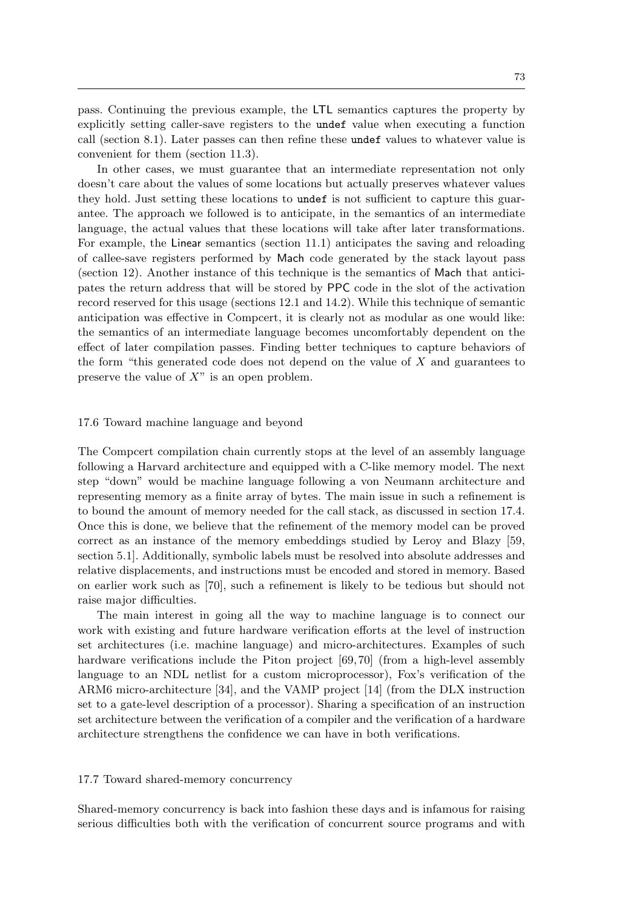pass. Continuing the previous example, the LTL semantics captures the property by explicitly setting caller-save registers to the undef value when executing a function call (section 8.1). Later passes can then refine these undef values to whatever value is convenient for them (section 11.3).

In other cases, we must guarantee that an intermediate representation not only doesn't care about the values of some locations but actually preserves whatever values they hold. Just setting these locations to undef is not sufficient to capture this guarantee. The approach we followed is to anticipate, in the semantics of an intermediate language, the actual values that these locations will take after later transformations. For example, the Linear semantics (section 11.1) anticipates the saving and reloading of callee-save registers performed by Mach code generated by the stack layout pass (section 12). Another instance of this technique is the semantics of Mach that anticipates the return address that will be stored by PPC code in the slot of the activation record reserved for this usage (sections 12.1 and 14.2). While this technique of semantic anticipation was effective in Compcert, it is clearly not as modular as one would like: the semantics of an intermediate language becomes uncomfortably dependent on the effect of later compilation passes. Finding better techniques to capture behaviors of the form "this generated code does not depend on the value of  $X$  and guarantees to preserve the value of  $X^"$  is an open problem.

## 17.6 Toward machine language and beyond

The Compcert compilation chain currently stops at the level of an assembly language following a Harvard architecture and equipped with a C-like memory model. The next step "down" would be machine language following a von Neumann architecture and representing memory as a finite array of bytes. The main issue in such a refinement is to bound the amount of memory needed for the call stack, as discussed in section 17.4. Once this is done, we believe that the refinement of the memory model can be proved correct as an instance of the memory embeddings studied by Leroy and Blazy [59, section 5.1]. Additionally, symbolic labels must be resolved into absolute addresses and relative displacements, and instructions must be encoded and stored in memory. Based on earlier work such as [70], such a refinement is likely to be tedious but should not raise major difficulties.

The main interest in going all the way to machine language is to connect our work with existing and future hardware verification efforts at the level of instruction set architectures (i.e. machine language) and micro-architectures. Examples of such hardware verifications include the Piton project [69,70] (from a high-level assembly language to an NDL netlist for a custom microprocessor), Fox's verification of the ARM6 micro-architecture [34], and the VAMP project [14] (from the DLX instruction set to a gate-level description of a processor). Sharing a specification of an instruction set architecture between the verification of a compiler and the verification of a hardware architecture strengthens the confidence we can have in both verifications.

#### 17.7 Toward shared-memory concurrency

Shared-memory concurrency is back into fashion these days and is infamous for raising serious difficulties both with the verification of concurrent source programs and with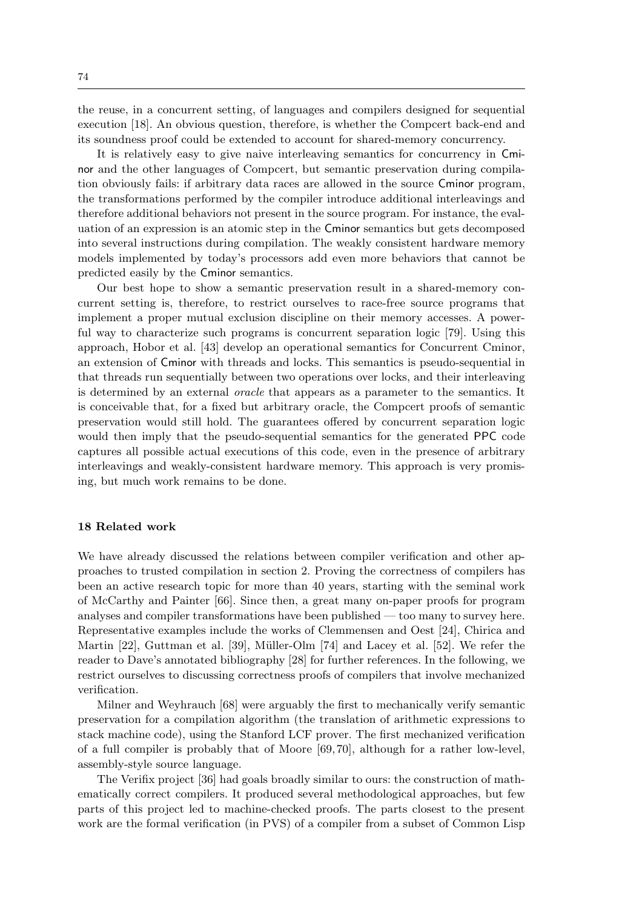the reuse, in a concurrent setting, of languages and compilers designed for sequential execution [18]. An obvious question, therefore, is whether the Compcert back-end and its soundness proof could be extended to account for shared-memory concurrency.

It is relatively easy to give naive interleaving semantics for concurrency in Cminor and the other languages of Compcert, but semantic preservation during compilation obviously fails: if arbitrary data races are allowed in the source Cminor program, the transformations performed by the compiler introduce additional interleavings and therefore additional behaviors not present in the source program. For instance, the evaluation of an expression is an atomic step in the Cminor semantics but gets decomposed into several instructions during compilation. The weakly consistent hardware memory models implemented by today's processors add even more behaviors that cannot be predicted easily by the Cminor semantics.

Our best hope to show a semantic preservation result in a shared-memory concurrent setting is, therefore, to restrict ourselves to race-free source programs that implement a proper mutual exclusion discipline on their memory accesses. A powerful way to characterize such programs is concurrent separation logic [79]. Using this approach, Hobor et al. [43] develop an operational semantics for Concurrent Cminor, an extension of Cminor with threads and locks. This semantics is pseudo-sequential in that threads run sequentially between two operations over locks, and their interleaving is determined by an external oracle that appears as a parameter to the semantics. It is conceivable that, for a fixed but arbitrary oracle, the Compcert proofs of semantic preservation would still hold. The guarantees offered by concurrent separation logic would then imply that the pseudo-sequential semantics for the generated PPC code captures all possible actual executions of this code, even in the presence of arbitrary interleavings and weakly-consistent hardware memory. This approach is very promising, but much work remains to be done.

### 18 Related work

We have already discussed the relations between compiler verification and other approaches to trusted compilation in section 2. Proving the correctness of compilers has been an active research topic for more than 40 years, starting with the seminal work of McCarthy and Painter [66]. Since then, a great many on-paper proofs for program analyses and compiler transformations have been published — too many to survey here. Representative examples include the works of Clemmensen and Oest [24], Chirica and Martin  $[22]$ , Guttman et al.  $[39]$ , Müller-Olm  $[74]$  and Lacey et al.  $[52]$ . We refer the reader to Dave's annotated bibliography [28] for further references. In the following, we restrict ourselves to discussing correctness proofs of compilers that involve mechanized verification.

Milner and Weyhrauch [68] were arguably the first to mechanically verify semantic preservation for a compilation algorithm (the translation of arithmetic expressions to stack machine code), using the Stanford LCF prover. The first mechanized verification of a full compiler is probably that of Moore [69, 70], although for a rather low-level, assembly-style source language.

The Verifix project [36] had goals broadly similar to ours: the construction of mathematically correct compilers. It produced several methodological approaches, but few parts of this project led to machine-checked proofs. The parts closest to the present work are the formal verification (in PVS) of a compiler from a subset of Common Lisp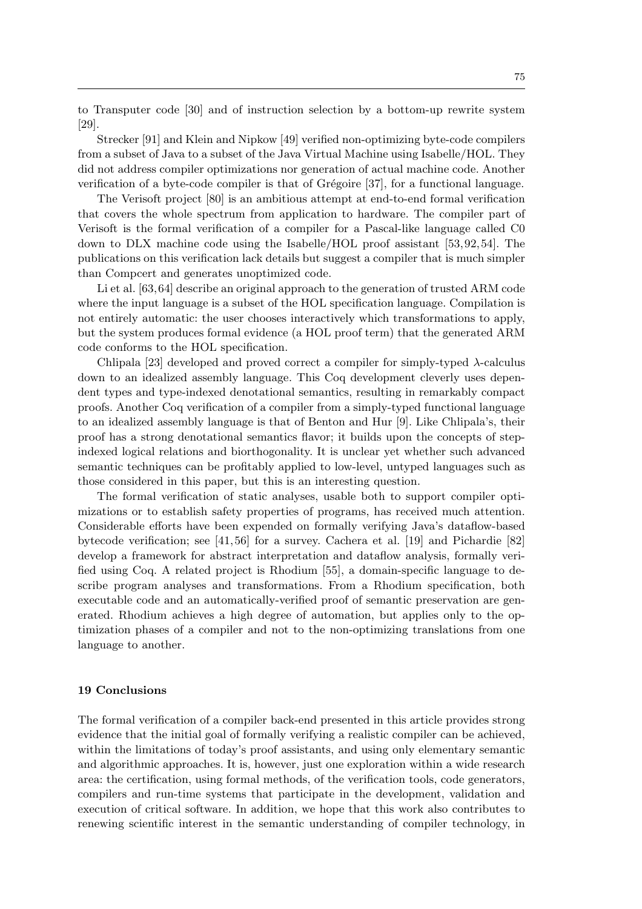to Transputer code [30] and of instruction selection by a bottom-up rewrite system [29].

Strecker [91] and Klein and Nipkow [49] verified non-optimizing byte-code compilers from a subset of Java to a subset of the Java Virtual Machine using Isabelle/HOL. They did not address compiler optimizations nor generation of actual machine code. Another verification of a byte-code compiler is that of Grégoire  $[37]$ , for a functional language.

The Verisoft project [80] is an ambitious attempt at end-to-end formal verification that covers the whole spectrum from application to hardware. The compiler part of Verisoft is the formal verification of a compiler for a Pascal-like language called C0 down to DLX machine code using the Isabelle/HOL proof assistant [53, 92,54]. The publications on this verification lack details but suggest a compiler that is much simpler than Compcert and generates unoptimized code.

Li et al. [63,64] describe an original approach to the generation of trusted ARM code where the input language is a subset of the HOL specification language. Compilation is not entirely automatic: the user chooses interactively which transformations to apply, but the system produces formal evidence (a HOL proof term) that the generated ARM code conforms to the HOL specification.

Chlipala [23] developed and proved correct a compiler for simply-typed  $\lambda$ -calculus down to an idealized assembly language. This Coq development cleverly uses dependent types and type-indexed denotational semantics, resulting in remarkably compact proofs. Another Coq verification of a compiler from a simply-typed functional language to an idealized assembly language is that of Benton and Hur [9]. Like Chlipala's, their proof has a strong denotational semantics flavor; it builds upon the concepts of stepindexed logical relations and biorthogonality. It is unclear yet whether such advanced semantic techniques can be profitably applied to low-level, untyped languages such as those considered in this paper, but this is an interesting question.

The formal verification of static analyses, usable both to support compiler optimizations or to establish safety properties of programs, has received much attention. Considerable efforts have been expended on formally verifying Java's dataflow-based bytecode verification; see [41,56] for a survey. Cachera et al. [19] and Pichardie [82] develop a framework for abstract interpretation and dataflow analysis, formally verified using Coq. A related project is Rhodium [55], a domain-specific language to describe program analyses and transformations. From a Rhodium specification, both executable code and an automatically-verified proof of semantic preservation are generated. Rhodium achieves a high degree of automation, but applies only to the optimization phases of a compiler and not to the non-optimizing translations from one language to another.

# 19 Conclusions

The formal verification of a compiler back-end presented in this article provides strong evidence that the initial goal of formally verifying a realistic compiler can be achieved, within the limitations of today's proof assistants, and using only elementary semantic and algorithmic approaches. It is, however, just one exploration within a wide research area: the certification, using formal methods, of the verification tools, code generators, compilers and run-time systems that participate in the development, validation and execution of critical software. In addition, we hope that this work also contributes to renewing scientific interest in the semantic understanding of compiler technology, in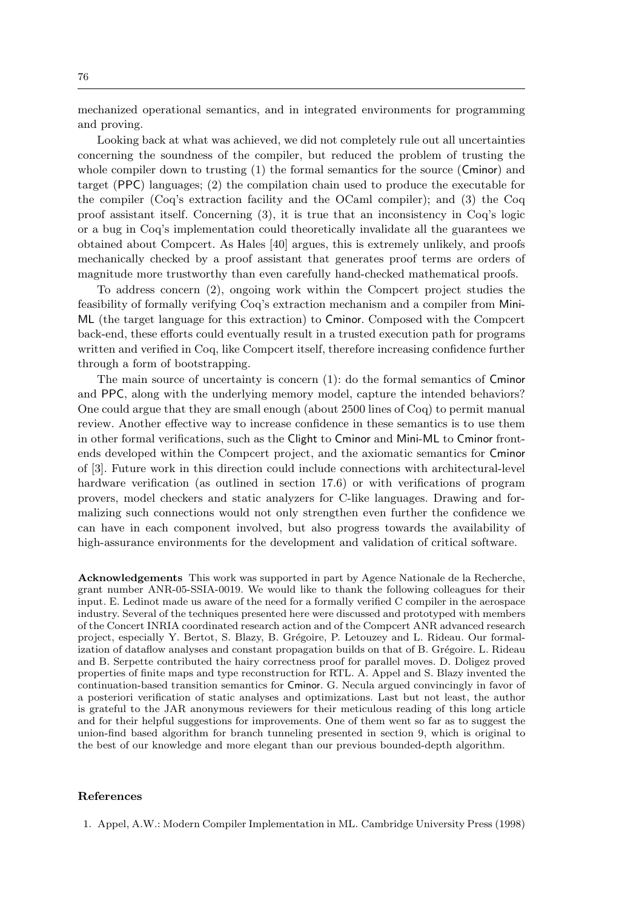mechanized operational semantics, and in integrated environments for programming and proving.

Looking back at what was achieved, we did not completely rule out all uncertainties concerning the soundness of the compiler, but reduced the problem of trusting the whole compiler down to trusting (1) the formal semantics for the source (Cminor) and target (PPC) languages; (2) the compilation chain used to produce the executable for the compiler (Coq's extraction facility and the OCaml compiler); and (3) the Coq proof assistant itself. Concerning (3), it is true that an inconsistency in Coq's logic or a bug in Coq's implementation could theoretically invalidate all the guarantees we obtained about Compcert. As Hales [40] argues, this is extremely unlikely, and proofs mechanically checked by a proof assistant that generates proof terms are orders of magnitude more trustworthy than even carefully hand-checked mathematical proofs.

To address concern (2), ongoing work within the Compcert project studies the feasibility of formally verifying Coq's extraction mechanism and a compiler from Mini-ML (the target language for this extraction) to Cminor. Composed with the Compcert back-end, these efforts could eventually result in a trusted execution path for programs written and verified in Coq, like Compcert itself, therefore increasing confidence further through a form of bootstrapping.

The main source of uncertainty is concern (1): do the formal semantics of Cminor and PPC, along with the underlying memory model, capture the intended behaviors? One could argue that they are small enough (about 2500 lines of Coq) to permit manual review. Another effective way to increase confidence in these semantics is to use them in other formal verifications, such as the Clight to Cminor and Mini-ML to Cminor frontends developed within the Compcert project, and the axiomatic semantics for Cminor of [3]. Future work in this direction could include connections with architectural-level hardware verification (as outlined in section 17.6) or with verifications of program provers, model checkers and static analyzers for C-like languages. Drawing and formalizing such connections would not only strengthen even further the confidence we can have in each component involved, but also progress towards the availability of high-assurance environments for the development and validation of critical software.

Acknowledgements This work was supported in part by Agence Nationale de la Recherche, grant number ANR-05-SSIA-0019. We would like to thank the following colleagues for their input. E. Ledinot made us aware of the need for a formally verified C compiler in the aerospace industry. Several of the techniques presented here were discussed and prototyped with members of the Concert INRIA coordinated research action and of the Compcert ANR advanced research project, especially Y. Bertot, S. Blazy, B. Grégoire, P. Letouzey and L. Rideau. Our formalization of dataflow analyses and constant propagation builds on that of B. Grégoire. L. Rideau and B. Serpette contributed the hairy correctness proof for parallel moves. D. Doligez proved properties of finite maps and type reconstruction for RTL. A. Appel and S. Blazy invented the continuation-based transition semantics for Cminor. G. Necula argued convincingly in favor of a posteriori verification of static analyses and optimizations. Last but not least, the author is grateful to the JAR anonymous reviewers for their meticulous reading of this long article and for their helpful suggestions for improvements. One of them went so far as to suggest the union-find based algorithm for branch tunneling presented in section 9, which is original to the best of our knowledge and more elegant than our previous bounded-depth algorithm.

# References

<sup>1.</sup> Appel, A.W.: Modern Compiler Implementation in ML. Cambridge University Press (1998)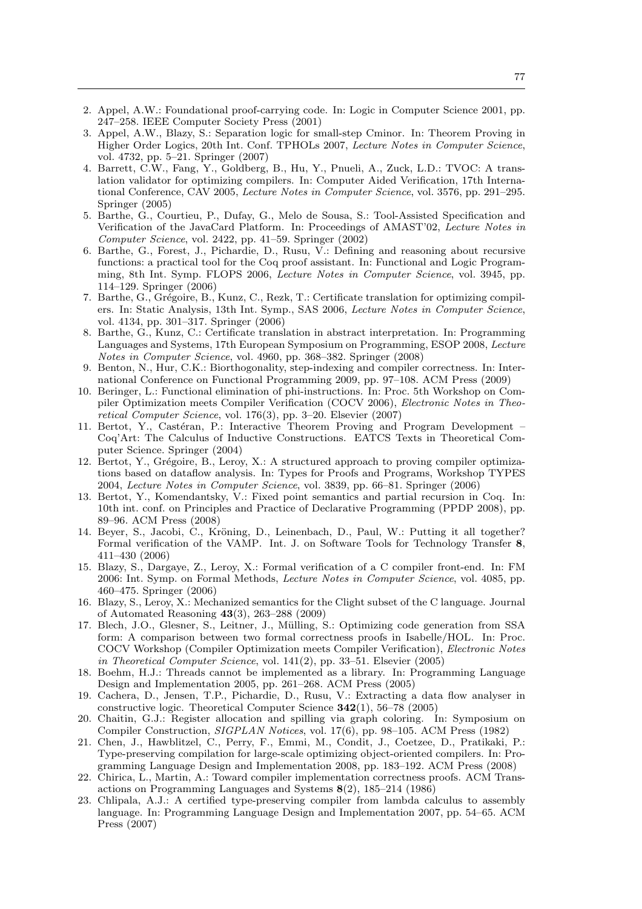- 2. Appel, A.W.: Foundational proof-carrying code. In: Logic in Computer Science 2001, pp. 247–258. IEEE Computer Society Press (2001)
- 3. Appel, A.W., Blazy, S.: Separation logic for small-step Cminor. In: Theorem Proving in Higher Order Logics, 20th Int. Conf. TPHOLs 2007, Lecture Notes in Computer Science, vol. 4732, pp. 5–21. Springer (2007)
- 4. Barrett, C.W., Fang, Y., Goldberg, B., Hu, Y., Pnueli, A., Zuck, L.D.: TVOC: A translation validator for optimizing compilers. In: Computer Aided Verification, 17th International Conference, CAV 2005, Lecture Notes in Computer Science, vol. 3576, pp. 291–295. Springer (2005)
- 5. Barthe, G., Courtieu, P., Dufay, G., Melo de Sousa, S.: Tool-Assisted Specification and Verification of the JavaCard Platform. In: Proceedings of AMAST'02, Lecture Notes in Computer Science, vol. 2422, pp. 41–59. Springer (2002)
- 6. Barthe, G., Forest, J., Pichardie, D., Rusu, V.: Defining and reasoning about recursive functions: a practical tool for the Coq proof assistant. In: Functional and Logic Programming, 8th Int. Symp. FLOPS 2006, Lecture Notes in Computer Science, vol. 3945, pp. 114–129. Springer (2006)
- 7. Barthe, G., Grégoire, B., Kunz, C., Rezk, T.: Certificate translation for optimizing compilers. In: Static Analysis, 13th Int. Symp., SAS 2006, Lecture Notes in Computer Science, vol. 4134, pp. 301–317. Springer (2006)
- 8. Barthe, G., Kunz, C.: Certificate translation in abstract interpretation. In: Programming Languages and Systems, 17th European Symposium on Programming, ESOP 2008, Lecture Notes in Computer Science, vol. 4960, pp. 368–382. Springer (2008)
- 9. Benton, N., Hur, C.K.: Biorthogonality, step-indexing and compiler correctness. In: International Conference on Functional Programming 2009, pp. 97–108. ACM Press (2009)
- 10. Beringer, L.: Functional elimination of phi-instructions. In: Proc. 5th Workshop on Compiler Optimization meets Compiler Verification (COCV 2006), Electronic Notes in Theoretical Computer Science, vol. 176(3), pp. 3–20. Elsevier (2007)
- 11. Bertot, Y., Castéran, P.: Interactive Theorem Proving and Program Development Coq'Art: The Calculus of Inductive Constructions. EATCS Texts in Theoretical Computer Science. Springer (2004)
- 12. Bertot, Y., Grégoire, B., Leroy, X.: A structured approach to proving compiler optimizations based on dataflow analysis. In: Types for Proofs and Programs, Workshop TYPES 2004, Lecture Notes in Computer Science, vol. 3839, pp. 66–81. Springer (2006)
- 13. Bertot, Y., Komendantsky, V.: Fixed point semantics and partial recursion in Coq. In: 10th int. conf. on Principles and Practice of Declarative Programming (PPDP 2008), pp. 89–96. ACM Press (2008)
- 14. Beyer, S., Jacobi, C., Kröning, D., Leinenbach, D., Paul, W.: Putting it all together? Formal verification of the VAMP. Int. J. on Software Tools for Technology Transfer 8, 411–430 (2006)
- 15. Blazy, S., Dargaye, Z., Leroy, X.: Formal verification of a C compiler front-end. In: FM 2006: Int. Symp. on Formal Methods, Lecture Notes in Computer Science, vol. 4085, pp. 460–475. Springer (2006)
- 16. Blazy, S., Leroy, X.: Mechanized semantics for the Clight subset of the C language. Journal of Automated Reasoning 43(3), 263–288 (2009)
- 17. Blech, J.O., Glesner, S., Leitner, J., Mülling, S.: Optimizing code generation from SSA form: A comparison between two formal correctness proofs in Isabelle/HOL. In: Proc. COCV Workshop (Compiler Optimization meets Compiler Verification), Electronic Notes in Theoretical Computer Science, vol. 141(2), pp. 33–51. Elsevier (2005)
- 18. Boehm, H.J.: Threads cannot be implemented as a library. In: Programming Language Design and Implementation 2005, pp. 261–268. ACM Press (2005)
- 19. Cachera, D., Jensen, T.P., Pichardie, D., Rusu, V.: Extracting a data flow analyser in constructive logic. Theoretical Computer Science 342(1), 56–78 (2005)
- 20. Chaitin, G.J.: Register allocation and spilling via graph coloring. In: Symposium on Compiler Construction, SIGPLAN Notices, vol. 17(6), pp. 98–105. ACM Press (1982)
- 21. Chen, J., Hawblitzel, C., Perry, F., Emmi, M., Condit, J., Coetzee, D., Pratikaki, P.: Type-preserving compilation for large-scale optimizing object-oriented compilers. In: Programming Language Design and Implementation 2008, pp. 183–192. ACM Press (2008)
- 22. Chirica, L., Martin, A.: Toward compiler implementation correctness proofs. ACM Transactions on Programming Languages and Systems 8(2), 185–214 (1986)
- 23. Chlipala, A.J.: A certified type-preserving compiler from lambda calculus to assembly language. In: Programming Language Design and Implementation 2007, pp. 54–65. ACM Press (2007)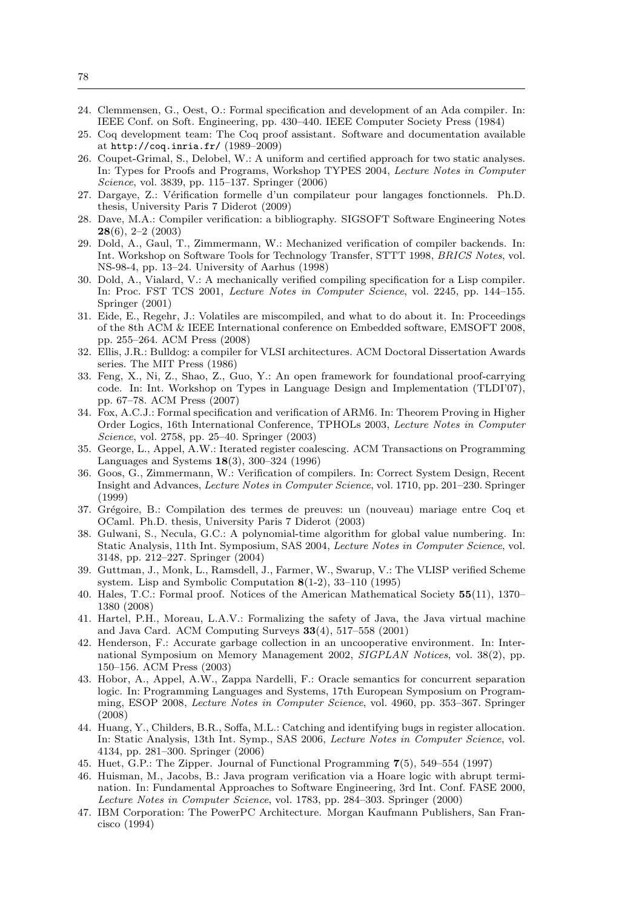- 24. Clemmensen, G., Oest, O.: Formal specification and development of an Ada compiler. In: IEEE Conf. on Soft. Engineering, pp. 430–440. IEEE Computer Society Press (1984)
- 25. Coq development team: The Coq proof assistant. Software and documentation available at http://coq.inria.fr/ (1989–2009)
- 26. Coupet-Grimal, S., Delobel, W.: A uniform and certified approach for two static analyses. In: Types for Proofs and Programs, Workshop TYPES 2004, Lecture Notes in Computer Science, vol. 3839, pp. 115–137. Springer (2006)
- 27. Dargaye, Z.: Vérification formelle d'un compilateur pour langages fonctionnels. Ph.D. thesis, University Paris 7 Diderot (2009)
- 28. Dave, M.A.: Compiler verification: a bibliography. SIGSOFT Software Engineering Notes 28(6), 2–2 (2003)
- 29. Dold, A., Gaul, T., Zimmermann, W.: Mechanized verification of compiler backends. In: Int. Workshop on Software Tools for Technology Transfer, STTT 1998, BRICS Notes, vol. NS-98-4, pp. 13–24. University of Aarhus (1998)
- 30. Dold, A., Vialard, V.: A mechanically verified compiling specification for a Lisp compiler. In: Proc. FST TCS 2001, Lecture Notes in Computer Science, vol. 2245, pp. 144–155. Springer (2001)
- 31. Eide, E., Regehr, J.: Volatiles are miscompiled, and what to do about it. In: Proceedings of the 8th ACM & IEEE International conference on Embedded software, EMSOFT 2008, pp. 255–264. ACM Press (2008)
- 32. Ellis, J.R.: Bulldog: a compiler for VLSI architectures. ACM Doctoral Dissertation Awards series. The MIT Press (1986)
- 33. Feng, X., Ni, Z., Shao, Z., Guo, Y.: An open framework for foundational proof-carrying code. In: Int. Workshop on Types in Language Design and Implementation (TLDI'07), pp. 67–78. ACM Press (2007)
- 34. Fox, A.C.J.: Formal specification and verification of ARM6. In: Theorem Proving in Higher Order Logics, 16th International Conference, TPHOLs 2003, Lecture Notes in Computer Science, vol. 2758, pp. 25–40. Springer (2003)
- 35. George, L., Appel, A.W.: Iterated register coalescing. ACM Transactions on Programming Languages and Systems 18(3), 300–324 (1996)
- 36. Goos, G., Zimmermann, W.: Verification of compilers. In: Correct System Design, Recent Insight and Advances, Lecture Notes in Computer Science, vol. 1710, pp. 201–230. Springer (1999)
- 37. Grégoire, B.: Compilation des termes de preuves: un (nouveau) mariage entre Coq et OCaml. Ph.D. thesis, University Paris 7 Diderot (2003)
- 38. Gulwani, S., Necula, G.C.: A polynomial-time algorithm for global value numbering. In: Static Analysis, 11th Int. Symposium, SAS 2004, Lecture Notes in Computer Science, vol. 3148, pp. 212–227. Springer (2004)
- 39. Guttman, J., Monk, L., Ramsdell, J., Farmer, W., Swarup, V.: The VLISP verified Scheme system. Lisp and Symbolic Computation 8(1-2), 33–110 (1995)
- 40. Hales, T.C.: Formal proof. Notices of the American Mathematical Society 55(11), 1370– 1380 (2008)
- 41. Hartel, P.H., Moreau, L.A.V.: Formalizing the safety of Java, the Java virtual machine and Java Card. ACM Computing Surveys 33(4), 517–558 (2001)
- 42. Henderson, F.: Accurate garbage collection in an uncooperative environment. In: International Symposium on Memory Management 2002, SIGPLAN Notices, vol. 38(2), pp. 150–156. ACM Press (2003)
- 43. Hobor, A., Appel, A.W., Zappa Nardelli, F.: Oracle semantics for concurrent separation logic. In: Programming Languages and Systems, 17th European Symposium on Programming, ESOP 2008, Lecture Notes in Computer Science, vol. 4960, pp. 353–367. Springer (2008)
- 44. Huang, Y., Childers, B.R., Soffa, M.L.: Catching and identifying bugs in register allocation. In: Static Analysis, 13th Int. Symp., SAS 2006, Lecture Notes in Computer Science, vol. 4134, pp. 281–300. Springer (2006)
- 45. Huet, G.P.: The Zipper. Journal of Functional Programming 7(5), 549–554 (1997)
- 46. Huisman, M., Jacobs, B.: Java program verification via a Hoare logic with abrupt termination. In: Fundamental Approaches to Software Engineering, 3rd Int. Conf. FASE 2000, Lecture Notes in Computer Science, vol. 1783, pp. 284–303. Springer (2000)
- 47. IBM Corporation: The PowerPC Architecture. Morgan Kaufmann Publishers, San Francisco (1994)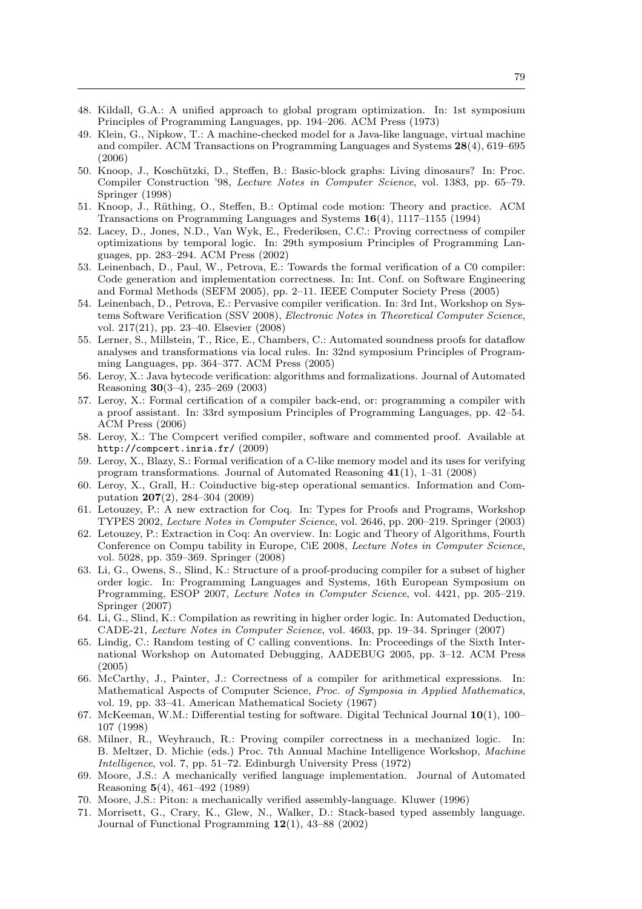- 48. Kildall, G.A.: A unified approach to global program optimization. In: 1st symposium Principles of Programming Languages, pp. 194–206. ACM Press (1973)
- 49. Klein, G., Nipkow, T.: A machine-checked model for a Java-like language, virtual machine and compiler. ACM Transactions on Programming Languages and Systems 28(4), 619–695 (2006)
- 50. Knoop, J., Koschützki, D., Steffen, B.: Basic-block graphs: Living dinosaurs? In: Proc. Compiler Construction '98, Lecture Notes in Computer Science, vol. 1383, pp. 65–79. Springer (1998)
- 51. Knoop, J., Rüthing, O., Steffen, B.: Optimal code motion: Theory and practice. ACM Transactions on Programming Languages and Systems  $16(4)$ , 1117–1155 (1994)
- 52. Lacey, D., Jones, N.D., Van Wyk, E., Frederiksen, C.C.: Proving correctness of compiler optimizations by temporal logic. In: 29th symposium Principles of Programming Languages, pp. 283–294. ACM Press (2002)
- 53. Leinenbach, D., Paul, W., Petrova, E.: Towards the formal verification of a C0 compiler: Code generation and implementation correctness. In: Int. Conf. on Software Engineering and Formal Methods (SEFM 2005), pp. 2–11. IEEE Computer Society Press (2005)
- 54. Leinenbach, D., Petrova, E.: Pervasive compiler verification. In: 3rd Int, Workshop on Systems Software Verification (SSV 2008), Electronic Notes in Theoretical Computer Science, vol. 217(21), pp. 23–40. Elsevier (2008)
- 55. Lerner, S., Millstein, T., Rice, E., Chambers, C.: Automated soundness proofs for dataflow analyses and transformations via local rules. In: 32nd symposium Principles of Programming Languages, pp. 364–377. ACM Press (2005)
- 56. Leroy, X.: Java bytecode verification: algorithms and formalizations. Journal of Automated Reasoning 30(3–4), 235–269 (2003)
- 57. Leroy, X.: Formal certification of a compiler back-end, or: programming a compiler with a proof assistant. In: 33rd symposium Principles of Programming Languages, pp. 42–54. ACM Press (2006)
- 58. Leroy, X.: The Compcert verified compiler, software and commented proof. Available at http://compcert.inria.fr/ (2009)
- 59. Leroy, X., Blazy, S.: Formal verification of a C-like memory model and its uses for verifying program transformations. Journal of Automated Reasoning 41(1), 1–31 (2008)
- 60. Leroy, X., Grall, H.: Coinductive big-step operational semantics. Information and Computation 207(2), 284–304 (2009)
- 61. Letouzey, P.: A new extraction for Coq. In: Types for Proofs and Programs, Workshop TYPES 2002, Lecture Notes in Computer Science, vol. 2646, pp. 200–219. Springer (2003)
- 62. Letouzey, P.: Extraction in Coq: An overview. In: Logic and Theory of Algorithms, Fourth Conference on Compu tability in Europe, CiE 2008, Lecture Notes in Computer Science, vol. 5028, pp. 359–369. Springer (2008)
- 63. Li, G., Owens, S., Slind, K.: Structure of a proof-producing compiler for a subset of higher order logic. In: Programming Languages and Systems, 16th European Symposium on Programming, ESOP 2007, Lecture Notes in Computer Science, vol. 4421, pp. 205–219. Springer (2007)
- 64. Li, G., Slind, K.: Compilation as rewriting in higher order logic. In: Automated Deduction, CADE-21, Lecture Notes in Computer Science, vol. 4603, pp. 19–34. Springer (2007)
- 65. Lindig, C.: Random testing of C calling conventions. In: Proceedings of the Sixth International Workshop on Automated Debugging, AADEBUG 2005, pp. 3–12. ACM Press (2005)
- 66. McCarthy, J., Painter, J.: Correctness of a compiler for arithmetical expressions. In: Mathematical Aspects of Computer Science, Proc. of Symposia in Applied Mathematics, vol. 19, pp. 33–41. American Mathematical Society (1967)
- 67. McKeeman, W.M.: Differential testing for software. Digital Technical Journal 10(1), 100– 107 (1998)
- 68. Milner, R., Weyhrauch, R.: Proving compiler correctness in a mechanized logic. In: B. Meltzer, D. Michie (eds.) Proc. 7th Annual Machine Intelligence Workshop, Machine Intelligence, vol. 7, pp. 51–72. Edinburgh University Press (1972)
- 69. Moore, J.S.: A mechanically verified language implementation. Journal of Automated Reasoning 5(4), 461–492 (1989)
- 70. Moore, J.S.: Piton: a mechanically verified assembly-language. Kluwer (1996)
- 71. Morrisett, G., Crary, K., Glew, N., Walker, D.: Stack-based typed assembly language. Journal of Functional Programming 12(1), 43–88 (2002)